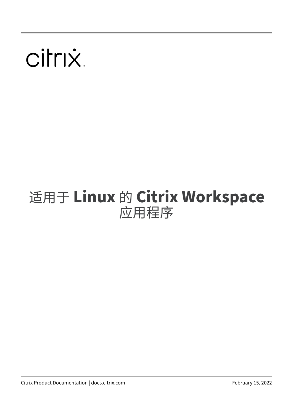# citrix.

# 适用于 **Linux** 的 **Citrix Workspace** 应用程序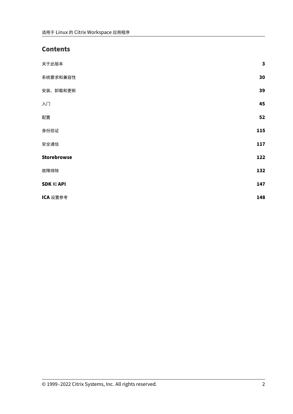# **Contents**

| 关于此版本              | $\mathbf{3}$ |
|--------------------|--------------|
| 系统要求和兼容性           | 30           |
| 安装、卸载和更新           | 39           |
| 入门                 | 45           |
| 配置                 | 52           |
| 身份验证               | 115          |
| 安全通信               | 117          |
| <b>Storebrowse</b> | 122          |
| 故障排除               | 132          |
| SDK 和 API          | 147          |
| ICA 设置参考           | 148          |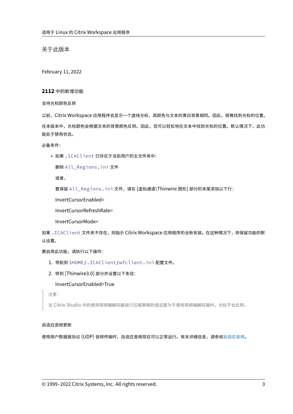关于此版本

<span id="page-2-0"></span>February 11, 2022

**2112** 中的新增功能

支持光标颜色反转

以前,Citrix Workspace 应用程序会显示一个虚线光标,其颜色与文本的黑白背景相同。因此,很难找到光标的位置。 在本版本中,光标颜色会根据文本的背景颜色反转。因此,您可以轻松地在文本中找到光标的位置。默认情况下,此功 能处于禁用状态。

必备条件:

• 如果 .ICAClient 已存在于当前用户的主文件夹中:

删除 All\_Regions.ini 文件

或者,

要保留 All\_Regions.ini 文件,请在 [虚拟通道\Thinwire 图形] 部分的末尾添加以下行:

InvertCursorEnabled=

InvertCursorRefreshRate=

InvertCursorMode=

如果 .ICAClient 文件夹不存在,则指示 Citrix Workspace 应用程序的全新安装。在这种情况下,将保留功能的默 认设置。

要启用此功能,请执行以下操作:

- 1. 导航到 \$HOME/.ICAClient/wfclient.ini 配置文件。
- 2. 转到 [Thinwire3.0] 部分并设置以下条目:

InvertCursorEnabled=True

注意:

当 Citrix Studio 中的使用视频编解码器进行压缩策略的值设置为不使用视频编解码器时,光标不会反转。

# 自适应音频更新

使用用户数据报协议 (UDP) 音频传输时,自适应音频现在可以正常运行。有关详细信息,请参阅自适应音频。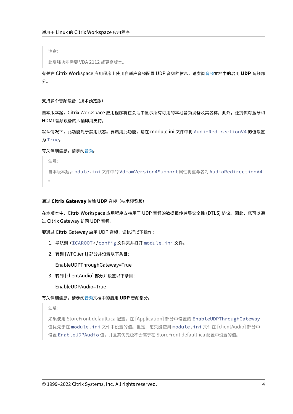注意:

此增强功能需要 VDA 2112 或更高版本。

有关在 Citrix Workspace 应用程序上使用自适应音频配置 UDP 音频的信息,请参阅音频文档中的启用 **UDP** 音频部 分。

支持多个音频设备(技术预览版)

自本版本起,Citrix Workspace 应用程序将在会话中显示所有可用的本地音频设备及其名称。此外,还提供对蓝牙和 HDMI 音频设备的即插即用支持。

默认情况下,此功能处于禁用状态。要启用此功能,请在 module.ini 文件中将 AudioRedirectionV4 的值设置 为 True。

有关详细信息,请参阅音频。

注意:

自本版本起,modu[le.i](https://docs.citrix.com/zh-cn/citrix-workspace-app-for-linux/configure-xenapp.html#audio)ni 文件中的 VdcamVersion4Support 属性将重命名为 AudioRedirectionV4 。

通过 **Citrix Gateway** 传输 **UDP** 音频(技术预览版)

在本版本中, Citrix Workspace 应用程序支持用于 UDP 音频的数据报传输层安全性 (DTLS) 协议。因此,您可以通 过 Citrix Gateway 访问 UDP 音频。

要通过 Citrix Gateway 启用 UDP 音频,请执行以下操作:

- 1. 导航到 <ICAROOT>/config 文件夹并打开 module.ini 文件。
- 2. 转到 [WFClient] 部分并设置以下条目:

EnableUDPThroughGateway=True

3. 转到 [clientAudio] 部分并设置以下条目:

EnableUDPAudio=True

有关详细信息,请参阅音频文档中的启用 **UDP** 音频部分。

注意:

如果使用 StoreFr[ont d](https://docs.citrix.com/zh-cn/citrix-workspace-app-for-linux/configure-xenapp.html#audio)efault.ica 配置,在 [Application] 部分中设置的 EnableUDPThroughGateway 值优先于在 module.ini 文件中设置的值。但是,您只能使用 module.ini 文件在 [clientAudio] 部分中 设置 EnableUDPAudio 值,并且其优先级不会高于在 StoreFront default.ica 配置中设置的值。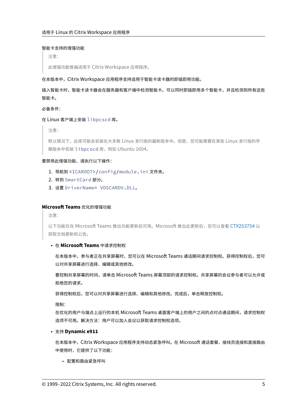#### 智能卡支持的增强功能

注意:

此增强功能普遍适用于 Citrix Workspace 应用程序。

# 在本版本中, Citrix Workspace 应用程序支持适用于智能卡读卡器的即插即用功能。

插入智能卡时,智能卡读卡器会在服务器和客户端中检测智能卡。可以同时即插即用多个智能卡,并且检测到所有这些 智能卡。

必备条件:

#### 在 Linux 客户端上安装 libpcscd 库。

注意:

默认情况下,此库可能会安装在大多数 Linux 发行版的最新版本中。但是,您可能需要在某些 Linux 发行版的早 期版本中安装 libpcscd 库,例如 Ubuntu 1604。

#### 要禁用此增强功能,请执行以下操作:

- 1. 导航到 <ICAROOT>/config/module.ini 文件夹。
- 2. 转到 SmartCard 部分。
- 3. 设置 DriverName= VDSCARDV.DLL。

# **Microsoft Teams** 优化的增强功能

注意:

以下功能仅在 Microsoft Teams 推出功能更新后可用。Microsoft 推出此更新后,您可以查看 CTX253754 以 获取文档更新和公告。

#### • 在 **Microsoft Teams** 中请求控制权

在本版本中,参与者正在共享屏幕时,您可以在 Microsoft Teams 通话期间请求控制权。[获得控制权后,](https://support.citrix.com/article/CTX253754?_ga=2.97575065.720441965.1633910494-935350695.1633365909)您可 以对共享屏幕进行选择、编辑或其他修改。

要控制共享屏幕的时间,请单击 Microsoft Teams 屏幕顶部的请求控制权。共享屏幕的会议参与者可以允许或 拒绝您的请求。

获得控制权后,您可以对共享屏幕进行选择、编辑和其他修改。完成后,单击释放控制权。

限制:

在优化的用户与端点上运行的本机 Microsoft Teams 桌面客户端上的用户之间的点对点通话期间,请求控制权 选项不可用。解决方法:用户可以加入会议以获取请求控制权选项。

# • 支持 **Dynamic e911**

在本版本中,Citrix Workspace 应用程序支持动态紧急呼叫。在 Microsoft 通话套餐、接线员连接和直接路由 中使用时,它提供了以下功能:

**–** 配置和路由紧急呼叫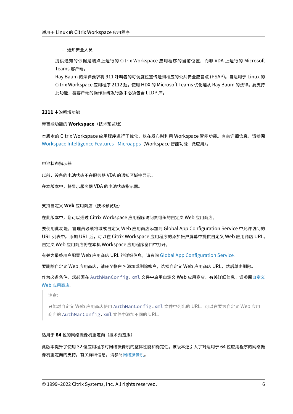**–** 通知安全人员

提供通知的依据是端点上运行的 Citrix Workspace 应用程序的当前位置,而非 VDA 上运行的 Microsoft Teams 客户端。

Ray Baum 的法律要求将 911 呼叫者的可调度位置传送到相应的公共安全应答点 (PSAP)。自适用于 Linux 的 Citrix Workspace 应用程序 2112 起,使用 HDX 的 Microsoft Teams 优化遵从 Ray Baum 的法律。要支持 此功能,瘦客户端的操作系统发行版中必须包含 LLDP 库。

#### **2111** 中的新增功能

## 带智能功能的 **Workspace**(技术预览版)

本版本的 Citrix Workspace 应用程序进行了优化,以在发布时利用 Workspace 智能功能。有关详细信息,请参阅 Workspace Intelligence Features - Microapps (Workspace 智能功能 - 微应用)。

#### [电池状态指示器](https://docs.citrix.com/zh-cn/tech-zone/learn/tech-briefs/workspace-microapps.html)

以前,设备的电池状态不在服务器 VDA 的通知区域中显示。

在本版本中,将显示服务器 VDA 的电池状态指示器。

#### 支持自定义 **Web** 应用商店(技术预览版)

在此版本中,您可以通过 Citrix Workspace 应用程序访问贵组织的自定义 Web 应用商店。

要使用此功能,管理员必须将域或自定义 Web 应用商店添加到 Global App Configuration Service 中允许访问的 URL 列表中。添加 URL 后,可以在 Citrix Workspace 应用程序的添加帐户屏幕中提供自定义 Web 应用商店 URL。 自定义 Web 应用商店将在本机 Workspace 应用程序窗口中打开。

有关为最终用户配置 Web 应用商店 URL 的详细信息,请参阅 Global App Configuration Service。

要删除自定义 Web 应用商店,请转至帐户 > 添加或删除帐户,选择自定义 Web 应用商店 URL,然后单击删除。

作为必备条件,您必须在 AuthManConfig.xml 文件中启用自定义 Web [应用商店。有关详细信息](https://developer.cloud.com/citrixworkspace/server-integration/global-app-configuration-service/docs/getting-started),请参阅自定义 Web 应用商店。

注意:

[只能对自定](https://docs.citrix.com/zh-cn/citrix-workspace-app-for-linux/get-started.html#custom-web-stores)义 Web 应用商店使用 AuthManConfig.xml 文件中列出的 URL。可以在要为自定义 Web [应用](https://docs.citrix.com/zh-cn/citrix-workspace-app-for-linux/get-started.html#custom-web-stores) 商店的 AuthManConfig.xml 文件中添加不同的 URL。

# 适用于 **64** 位的网络摄像机重定向(技术预览版)

此版本提升了使用 32 位应用程序时网络摄像机的整体性能和稳定性。该版本还引入了对适用于 64 位应用程序的网络摄 像机重定向的支持。有关详细信息,请参阅网络摄像机。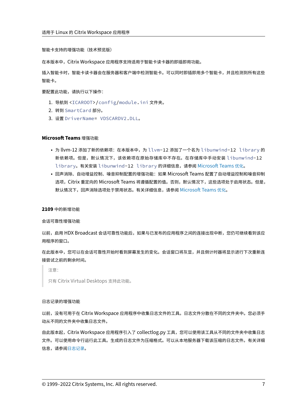智能卡支持的增强功能(技术预览版)

在本版本中,Citrix Workspace 应用程序支持适用于智能卡读卡器的即插即用功能。

插入智能卡时,智能卡读卡器会在服务器和客户端中检测智能卡。可以同时即插即用多个智能卡,并且检测到所有这些 智能卡。

要配置此功能,请执行以下操作:

- 1. 导航到 <ICAROOT>/config/module.ini 文件夹。
- 2. 转到 SmartCard 部分。
- 3. 设置 DriverName= VDSCARDV2.DLL。

#### **Microsoft Teams** 增强功能

- 为 llvm-12 添加了新的依赖项: 在本版本中,为 llvm-12 添加了一个名为 libunwind-12 library 的 新依赖项。但是,默认情况下,该依赖项在原始存储库中不存在。在存储库中手动安装 libunwind-12 library。有关安装 libunwind-12 library 的详细信息,请参阅 Microsoft Teams 优化。
- 回声消除、自动增益控制、噪音抑制配置的增强功能:如果 Microsoft Teams 配置了自动增益控制和噪音抑制 选项,Citrix 重定向的 Microsoft Teams 将遵循配置的值。否则,默认情况下,这些选项处于启用状态。但是, 默认情况下,回声消除选项处于禁用状态。有关详细信息,请参阅 Micros[oft Teams](https://docs.citrix.com/zh-cn/citrix-workspace-app-for-linux/configure-xenapp.html#optimization-for-microsoft-teams) 优化。

#### **2109** 中的新增功能

会话可靠性增强功能

以前,启用 HDX Broadcast 会话可靠性功能后,如果与已发布的应用程序之间的连接出现中断,您仍可继续看到该应 用程序的窗口。

在此版本中,您可以在会话可靠性开始时看到屏幕发生的变化。会话窗口将灰显,并且倒计时器将显示进行下次重新连 接尝试之前的剩余时间。

注意:

只有 Citrix Virtual Desktops 支持此功能。

#### 日志记录的增强功能

以前,没有可用于在 Citrix Workspace 应用程序中收集日志文件的工具。日志文件分散在不同的文件夹中。您必须手 动从不同的文件夹中收集日志文件。

自此版本起,Citrix Workspace 应用程序引入了 collectlog.py 工具,您可以使用该工具从不同的文件夹中收集日志 文件。可以使用命令行运行此工具。生成的日志文件为压缩格式。可以从本地服务器下载该压缩的日志文件。有关详细 信息,请参阅日志记录。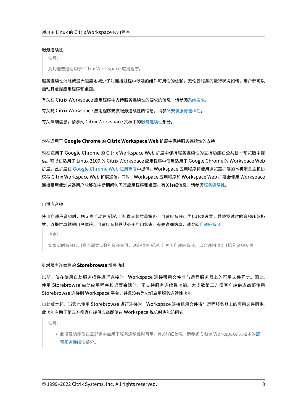#### 服务连续性

注意:

此功能普遍适用于 Citrix Workspace 应用程序。

服务连续性消除或最大限度地减少了对连接过程中涉及的组件可用性的依赖。无论云服务的运行状况如何,用户都可以 启动其虚拟应用程序和桌面。

有关在 Citrix Workspace 应用程序中支持服务连续性的要求的信息,请参阅系统要求。

有关随 Citrix Workspace 应用程序安装服务连续性的信息,请参阅安装服务连续性。

有关详细信息,请参阅 Citrix Workspace 文档中的服务连续性部分。

#### 对在适用于 **Google Chrome** 的 **Citrix Worksp[ace Web](https://docs.citrix.com/en-us/citrix-workspace/service-continuity.html)** 扩展中保持服务连续性的支持

对在适用于 Google Chrome 的 Citrix Workspace Web 扩展中保持服务连续性的支持功能在公共技术预览版中提 供。可以在适用于 Linux 2109 的 Citrix Workspace 应用程序中使用适用于 Google Chrome 的 Workspace Web 扩展。此扩展在 Google Chrome Web 应用商店中提供。Workspace 应用程序将使用浏览器扩展的本机消息主机协 议与 Citrix Workspace Web 扩展通信。同时,Workspace 应用程序和 Workspace Web 扩展会使用 Workspace 连接租用使浏览器用户能够在中断期间访问其应用程序和桌面。有关详细信息,请参阅服务连续性。

#### 自适应音频

使用自适应音频时,您无需手动在 VDA 上配置音频质量策略。自适应音频可优化环境设置,并替换过时的音频压缩格 式,以提供卓越的用户体验。自适应音频默认处于启用状态。有关详细信息,请参阅自适应音频。

注意:

如果实时音频应用程序需要 UDP 音频交付,则必须在 VDA 上禁用自适应音频,[以允许回退到](https://docs.citrix.com/zh-cn/citrix-virtual-apps-desktops/multimedia/audio.html#adaptive-audio) UDP 音频交付。

#### 针对服务连续性的 **Storebrowse** 增强功能

以前,仅在使用自助服务插件进行连接时,Workspace 连接租用文件才与远程服务器上的可用文件同步。因此, 使用 Storebrowse 启动应用程序和桌面会话时,不支持服务连续性功能。大多数第三方瘦客户端供应商都使用 Storebrowse 连接到 Workspace 平台,并且没有为它们启用服务连续性功能。

自此版本起,当您也使用 Storebrowse 进行连接时,Workspace 连接租用文件将与远程服务器上的可用文件同步。 此功能有助于第三方瘦客户端供应商即使在 Workspace 脱机时也能访问它。

注意:

• 此增强功能仅在云部署中启用了服务连续性时可用。有关详细信息,请参阅 Citrix Workspace 文档中的配 置服务连续性部分。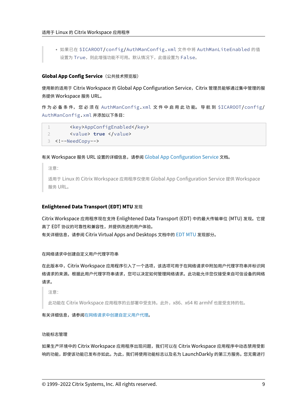• 如果已在 \$ICAROOT/config/AuthManConfig.xml 文件中将 AuthManLiteEnabled 的值 设置为 True, 则此增强功能不可用。默认情况下, 此值设置为 False。

# **Global App Config Service**(公共技术预览版)

使用新的适用于 Citrix Workspace 的 Global App Configuration Service,Citrix 管理员能够通过集中管理的服 务提供 Workspace 服务 URL。

作 为 必 备 条 件, 您 必 须 在 AuthManConfig.xml 文 件 中 启 用 此 功 能。 导 航 到 \$ICAROOT/config/ AuthManConfig.xml 并添加以下条目:

```
1 <key>AppConfigEnabled</key>
2 <value> true </value>
3 <!--NeedCopy-->
```
# 有关 Workspace 服务 URL 设置的详细信息,请参阅 Global App Configuration Service 文档。

注意:

适用于 Linux 的 Citrix Workspace 应用程序仅使用 [Global App Configuration Servi](https://developer.cloud.com/citrixworkspace/server-integration/global-app-configuration-service/docs/overview)ce 提供 Workspace 服务 URL。

# **Enlightened Data Transport (EDT) MTU** 发现

Citrix Workspace 应用程序现在支持 Enlightened Data Transport (EDT) 中的最大传输单位 (MTU) 发现。它提 高了 EDT 协议的可靠性和兼容性,并提供改进的用户体验。 有关详细信息,请参阅 Citrix Virtual Apps and Desktops 文档中的 EDT MTU 发现部分。

在网络请求中创建自定义用户代理字符串

在此版本中,Citrix Workspace 应用程序引入了一个选项,该选项可用于在网络请求中附加用户代理字符串并标识网 络请求的来源。根据此用户代理字符串请求,您可以决定如何管理网络请求。此功能允许您仅接受来自可信设备的网络 请求。

注意:

此功能在 Citrix Workspace 应用程序的云部署中受支持。此外,x86、x64 和 armhf 也是受支持的包。

有关详细信息,请参阅在网络请求中创建自定义用户代理。

#### 功能标志管理

如果生产环境中的 Citrix Workspace 应用程序出现问题,我们可以在 Citrix Workspace 应用程序中动态禁用受影 响的功能,即使该功能已发布亦如此。为此,我们将使用功能标志以及名为 LaunchDarkly 的第三方服务。您无需进行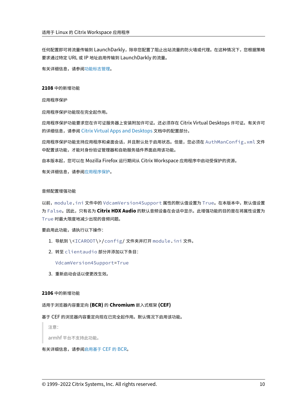任何配置即可将流量传输到 LaunchDarkly,除非您配置了阻止出站流量的防火墙或代理。在这种情况下,您根据策略 要求通过特定 URL 或 IP 地址启用传输到 LaunchDarkly 的流量。

有关详细信息,请参阅功能标志管理。

**2108** 中的新增功能

应用程序保护

应用程序保护功能现在完全起作用。

应用程序保护功能要求您在许可证服务器上安装附加许可证。还必须存在 Citrix Virtual Desktops 许可证。有关许可 的详细信息,请参阅 Citrix Virtual Apps and Desktops 文档中的配置部分。

应用程序保护功能支持应用程序和桌面会话,并且默认处于启用状态。但是,您必须在 AuthManConfig.xml 文件 中配置该功能,才能对身份验证管理器和自助服务插件界面启用该功能。

自本版本起,您可以在 [Mozilla Firefox](https://docs.citrix.com/zh-cn/citrix-virtual-apps-desktops.html) 运行期间从 Citrix Workspace 应用程序中启动受保护的资源。

有关详细信息,请参阅应用程序保护。

#### 音频配置增强功能

以前, module.ini 文件中的 VdcamVersion4Support 属性的默认值设置为 True。在本版本中,默认值设置 为 False。因此,只有名为 **Citrix HDX Audio** 的默认音频设备在会话中显示。此增强功能的目的是在将属性设置为 True 时最大限度地减少出现的音频问题。

要启用此功能,请执行以下操作:

- 1. 导航到 \<ICAROOT\>/config/ 文件夹并打开 module.ini 文件。
- 2. 转至 clientaudio 部分并添加以下条目:

VdcamVersion4Support=True

3. 重新启动会话以使更改生效。

#### **2106** 中的新增功能

# 适用于浏览器内容重定向 **(BCR)** 的 **Chromium** 嵌入式框架 **(CEF)**

# 基于 CEF 的浏览器内容重定向现在已完全起作用。默认情况下启用该功能。

注意:

armhf 平台不支持此功能。

有关详细信息,请参阅启用基于 CEF 的 BCR。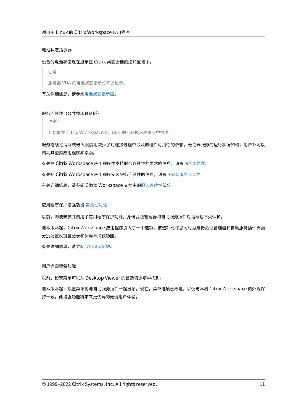# 电池状态指示器

#### 设备的电池状态现在显示在 Citrix 桌面会话的通知区域中。

注意:

服务器 VDA 的电池状态指示灯不会显示。

有关详细信息,请参阅电池状态指示器。

# 服务连续性(公共技术[预览版\)](https://docs.citrix.com/zh-cn/citrix-workspace-app-for-linux/configure-xenapp.html#battery-status-indicator)

注意:

此功能在 Citrix Workspace 应用程序的公开技术预览版中提供。

服务连续性消除或最大限度地减少了对连接过程中涉及的组件可用性的依赖。无论云服务的运行状况如何,用户都可以 启动其虚拟应用程序和桌面。

有关在 Citrix Workspace 应用程序中支持服务连续性的要求的信息,请参阅系统要求。

有关随 Citrix Workspace 应用程序安装服务连续性的信息,请参阅安装服务连续性。

有关详细信息,请参阅 Citrix Workspace 文档中的服务连续性部分。

应用程序保护增强功能 实验性功能

以前,即使安装并启用了应用程序保护功能,身份验证管理器和自助服务插件对话框也不受保护。

自本版本起,Citrix W[orkspace](https://docs.citrix.com/zh-cn/citrix-workspace-app-for-linux/whats-new.html#experimental-features) 应用程序引入了一个选项,该选项允许您同时为身份验证管理器和自助服务插件界面 分别配置反键盘记录和反屏幕捕获功能。

有关详细信息,请参阅应用程序保护。

#### 用户界面增强功能

以前,设置菜单可以从 Desktop Viewer 的首选项选项中找到。

自本版本起,设置菜单将与自助服务插件一起显示。现在,菜单选项已改进,以便与本机 Citrix Workspace 的外观保 持一致。此增强功能将带来更优异的无缝用户体验。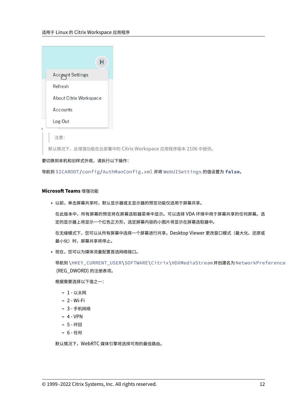| н                       |
|-------------------------|
| <b>Account Settings</b> |
| Refresh                 |
| About Citrix Workspace  |
| Accounts                |
| Log Out                 |
|                         |
| 注意:                     |

默认情况下,此增强功能在云部署中的 Citrix Workspace 应用程序版本 2106 中提供。

# 要切换到本机和旧样式外观,请执行以下操作:

导航到 \$ICAROOT/config/AuthManConfig.xml 并将 WebUISettings 的值设置为 **false**。

# **Microsoft Teams** 增强功能

• 以前,单击屏幕共享时,默认显示器或主显示器的预览功能仅适用于屏幕共享。

在此版本中,所有屏幕的预览将在屏幕选取器菜单中显示。可以选择 VDA 环境中用于屏幕共享的任何屏幕。选 定的显示器上将显示一个红色正方形,选定屏幕内容的小图片将显示在屏幕选取器中。

在无缝模式下,您可以从所有屏幕中选择一个屏幕进行共享。Desktop Viewer 更改窗口模式(最大化、还原或 最小化)时,屏幕共享将停止。

• 现在,您可以为媒体流量配置首选网络接口。

导航到\HKEY\_CURRENT\_USER\SOFTWARE\Citrix\HDXMediaStream 并创建名为 NetworkPreference (REG\_DWORD) 的注册表项。

根据需要选择以下值之一:

- **–** 1 ‑ 以太网
- **–** 2 ‑ Wi‑Fi
- **–** 3 ‑ 手机网络
- **–** 4 ‑ VPN
- **–** 5 ‑ 环回
- **–** 6 ‑ 任何

默认情况下,WebRTC 媒体引擎将选择可用的最佳路由。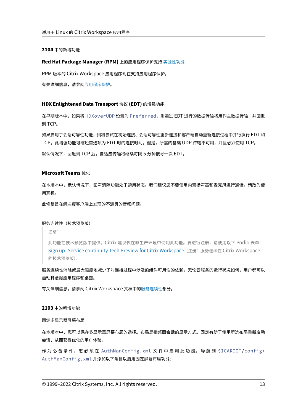**2104** 中的新增功能

#### **Red Hat Package Manager (RPM)** 上的应用程序保护支持 实验性功能

RPM 版本的 Citrix Workspace 应用程序现在支持应用程序保护。

有关详细信息,请参阅应用程序保护。

#### **HDX Enlightened [Data Transp](https://docs.citrix.com/zh-cn/citrix-workspace-app-for-linux/configure-xenapp.html#app-protection)ort** 协议 **(EDT)** 的增强功能

在早期版本中,如果将 HDXoverUDP 设置为 Preferred,则通过 EDT 进行的数据传输将用作主数据传输,并回退 到 TCP。

如果启用了会话可靠性功能,则将尝试在初始连接、会话可靠性重新连接和客户端自动重新连接过程中并行执行 EDT 和 TCP。此增强功能可缩短首选项为 EDT 时的连接时间。但是,所需的基础 UDP 传输不可用,并且必须使用 TCP。

默认情况下,回退到 TCP 后,自适应传输将继续每隔 5 分钟搜寻一次 EDT。

# **Microsoft Teams** 优化

在本版本中,默认情况下,回声消除功能处于禁用状态。我们建议您不要使用内置扬声器和麦克风进行通话。请改为使 用耳机。

此修复旨在解决瘦客户端上发现的不连贯的音频问题。

服务连续性(技术预览版)

注意:

此功能在技术预览版中提供。Citrix 建议仅在非生产环境中使用此功能。要进行注册,请使用以下 Podio 表单: Sign up: Service continuity Tech Preview for Citrix Workspace(注册:服务连续性 Citrix Workspace 的技术预览版)。

服务连续性消除或最大限度地减少了对连接过程中涉及的组件可用性的依赖。无论云服务的运行状况如何,用户都可以 启[动其虚拟应用程序和桌面。](https://podio.com/webforms/25148648/1854298)

有关详细信息,请参阅 Citrix Workspace 文档中的服务连续性部分。

#### **2103** 中的新增功能

固定多显示器屏幕布局

在本版本中,您可以保存多显示器屏幕布局的选择。布局是指桌面会话的显示方式。固定有助于使用所选布局重新启动 会话,从而获得优化的用户体验。

作 为 必 备 条 件, 您 必 须 在 AuthManConfig.xml 文 件 中 启 用 此 功 能。 导 航 到 \$ICAROOT/config/ AuthManConfig.xml 并添加以下条目以启用固定屏幕布局功能: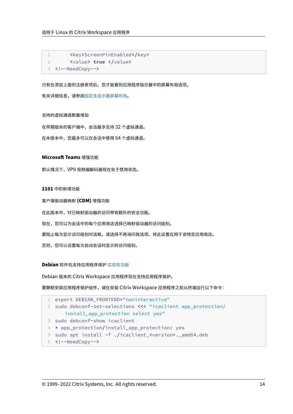```
1 <key>ScreenPinEnabled</key>
2 <value> true </value>
3 <!--NeedCopy-->
```
只有在添加上面的注册表项后,您才能看到应用程序指示器中的屏幕布局选项。

有关详细信息,请参阅固定多显示器屏幕布局。

#### 支持的虚拟通道数量增[加](https://docs.citrix.com/zh-cn/citrix-workspace-app-for-linux/configure-xenapp.html#pinning-multi-monitor-screen-layout)

在早期版本的客户端中,会话最多支持 32 个虚拟通道。

在本版本中,您最多可以在会话中使用 64 个虚拟通道。

# **Microsoft Teams** 增强功能

默认情况下,VP9 视频编解码器现在处于禁用状态。

#### **2101** 中的新增功能

客户端驱动器映射 **(CDM)** 增强功能

在此版本中,对已映射驱动器的访问带有额外的安全功能。

现在,您可以为会话中的每个应用商店选择已映射驱动器的访问级别。

要阻止每次显示访问级别对话框,请选择不再询问我选项。将此设置应用于该特定应用商店。

否则,您可以设置每次启动会话时显示的访问级别。

# **Debian** 软件包支持应用程序保护 实验性功能

Debian 版本的 Citrix Workspace 应用程序现在支持应用程序保护。

要静默安装应用程序保护组件,请在安装 [Citri](https://docs.citrix.com/zh-cn/citrix-workspace-app-for-linux/whats-new.html#experimental-features)x Workspace 应用程序之前从终端运行以下命令:

```
1 export DEBIAN_FRONTEND="noninteractive"
2 sudo debconf-set-selections <<< "icaclient app_protection/
     install_app_protection select yes"
3 sudo debconf-show icaclient
4 * app_protection/install_app_protection: yes
5 sudo apt install -f ./icaclient_<version>._amd64.deb
6 <!--NeedCopy-->
```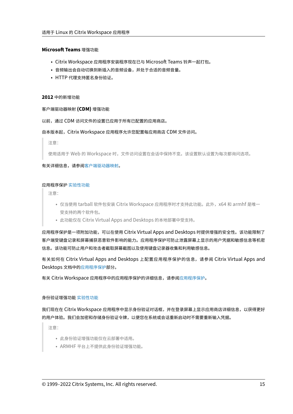#### **Microsoft Teams** 增强功能

- Citrix Workspace 应用程序安装程序现在已与 Microsoft Teams 铃声一起打包。
- 音频输出会自动切换到新插入的音频设备,并处于合适的音频音量。
- HTTP 代理支持匿名身份验证。

#### **2012** 中的新增功能

#### 客户端驱动器映射 **(CDM)** 增强功能

以前,通过 CDM 访问文件的设置已应用于所有已配置的应用商店。

#### 自本版本起,Citrix Workspace 应用程序允许您配置每应用商店 CDM 文件访问。

注意:

使用适用于 Web 的 Workspace 时,文件访问设置在会话中保持不变。该设置默认设置为每次都询问选项。

有关详细信息,请参阅客户端驱动器映射。

#### 应用程序保护 实验性[功能](https://docs.citrix.com/zh-cn/citrix-workspace-app-for-linux/configure-xenapp.html#client-drive-mapping)

注意:

- 仅当使用 tarball 软件包安装 Citrix Workspace 应用程序时才支持此功能。此外,x64 和 armhf 是唯一 受[支持的两个软](https://docs.citrix.com/zh-cn/citrix-workspace-app-for-linux/whats-new.html#experimental-features)件包。
- 此功能仅在 Citrix Virtual Apps and Desktops 的本地部署中受支持。

应用程序保护是一项附加功能,可以在使用 Citrix Virtual Apps and Desktops 时提供增强的安全性。该功能限制了 客户端受键盘记录和屏幕捕获恶意软件影响的能力。应用程序保护可防止泄露屏幕上显示的用户凭据和敏感信息等机密 信息。该功能可防止用户和攻击者截取屏幕截图以及使用键盘记录器收集和利用敏感信息。

有关如何在 Citrix Virtual Apps and Desktops 上配置应用程序保护的信息,请参阅 Citrix Virtual Apps and Desktops 文档中的应用程序保护部分。

有关 Citrix Workspace 应用程序中的应用程序保护的详细信息,请参阅应用程序保护。

#### 身份验证增强功能 实验性功能

我们现在在 Citrix Workspace 应用程序中显示身份验证对话框,并在登录屏幕上显示应用商店详细信息,以获得更好 的用户体验。我们[会加密和存储](https://docs.citrix.com/zh-cn/citrix-workspace-app-for-linux/whats-new.html#experimental-features)身份验证令牌,以便您在系统或会话重新启动时不需要重新输入凭据。

注意:

- 此身份验证增强功能仅在云部署中适用。
- ARMHF 平台上不提供此身份验证增强功能。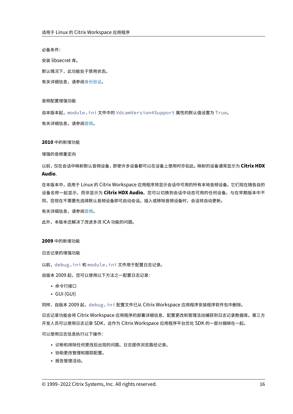必备条件:

安装 libsecret 库。

默认情况下,此功能处于禁用状态。

有关详细信息,请参阅身份验证。

音频配置增强功能

自本版本起,module.ini 文件中的 VdcamVersion4Support 属性的默认值设置为 True。

有关详细信息,请参阅音频。

#### **2010** 中的新增功能

增强的音频重定向

以前,仅在会话中映射默认音频设备,即使许多设备都可以在设备上使用时亦如此。映射的设备通常显示为 **Citrix HDX Audio**.

在本版本中,适用于 Linux 的 Citrix Workspace 应用程序将显示会话中可用的所有本地音频设备。它们现在随各自的 设备名称一起显示,而非显示为 **Citrix HDX Audio**。您可以切换到会话中动态可用的任何设备。与在早期版本中不 同,您现在不需要先选择默认音频设备即可启动会话。插入或移除音频设备时,会话将自动更新。

有关详细信息,请参阅音频。

此外,本版本还解决了改进多流 ICA 功能的问题。

**2009** 中的新增功能

日志记录的增强功能

以前, debug.ini 和 module.ini 文件用于配置日志记录。

自版本 2009 起,您可以使用以下方法之一配置日志记录:

- 命令行接口
- GUI (GUI)

同样,自版本 2009 起,debug.ini 配置文件已从 Citrix Workspace 应用程序安装程序软件包中删除。

日志记录功能会将 Citrix Workspace 应用程序的部署详细信息、配置更改和管理活动捕获到日志记录数据库。第三方 开发人员可以使用日志记录 SDK, 这作为 Citrix Workspace 应用程序平台优化 SDK 的一部分捆绑在一起。

可以使用日志信息执行以下操作:

- 诊断和排除任何更改后出现的问题。日志提供浏览路径记录。
- 协助更改管理和跟踪配置。
- 报告管理活动。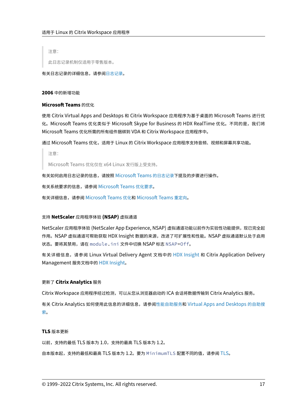注意:

此日志记录机制仅适用于零售版本。

有关日志记录的详细信息,请参阅日志记录。

**2006** 中的新增功能

# **Microsoft Teams** 的优化

使用 Citrix Virtual Apps and Desktops 和 Citrix Workspace 应用程序为基于桌面的 Microsoft Teams 进行优 化。Microsoft Teams 优化类似于 Microsoft Skype for Business 的 HDX RealTime 优化。不同的是,我们将 Microsoft Teams 优化所需的所有组件捆绑到 VDA 和 Citrix Workspace 应用程序中。

通过 Microsoft Teams 优化,适用于 Linux 的 Citrix Workspace 应用程序支持音频、视频和屏幕共享功能。

注意:

Microsoft Teams 优化仅在 x64 Linux 发行版上受支持。

有关如何启用日志记录的信息,请按照 Microsoft Teams 的日志记录下提及的步骤进行操作。

有关系统要求的信息,请参阅 Microsoft Teams 优化要求。

有关详细信息,请参阅 Microsoft Teams 优化和 [Microsoft Teams](https://docs.citrix.com/zh-cn/citrix-workspace-app-for-linux/configure-xenapp.html#logging-for-microsoft-teams) 重定向。

# 支持 **NetScaler** 应用程序体验 **[\(NSAP\)](https://docs.citrix.com/zh-cn/citrix-virtual-apps-desktops/multimedia/opt-ms-teams.html)** 虚拟通道

NetScaler 应用程序体验 (NetScaler App Expe[rience, NSAP\)](https://docs.citrix.com/zh-cn/citrix-virtual-apps-desktops/policies/reference/ica-policy-settings/multimedia-policy-settings.html#microsoft-teams-redirection) 虚拟通道功能以前作为实验性功能提供, 现已完全起 作用。NSAP 虚拟通道可帮助获取 HDX Insight 数据的来源,改进了可扩展性和性能。NSAP 虚拟通道默认处于启用 状态。要将其禁用,请在 module.ini 文件中切换 NSAP 标志 NSAP=Off。

有关详细信息,请参阅 Linux Virtual Delivery Agent 文档中的 HDX Insight 和 Citrix Application Delivery Management 服务文档中的 HDX Insight。

# 更新了 **Citrix Analytics** 服务

Citrix Workspace 应用程序[经过检测,可以](https://docs.citrix.com/zh-cn/citrix-application-delivery-management-service/analytics/hdx-insight.html)从您从浏览器启动的 ICA 会话将数据传输到 Citrix Analytics 服务。

有关 Citrix Analytics 如何使用此信息的详细信息,请参阅性能自助服务和 Virtual Apps and Desktops 的自助搜 索。

# **[TL](https://docs.citrix.com/zh-cn/security-analytics/self-service-search/self-service-search-virtual-apps-desktops.html)S** 版本更新

以前,支持的最低 TLS 版本为 1.0,支持的最高 TLS 版本为 1.2。

自本版本起,支持的最低和最高 TLS 版本为 1.2。要为 MinimumTLS 配置不同的值,请参阅 TLS。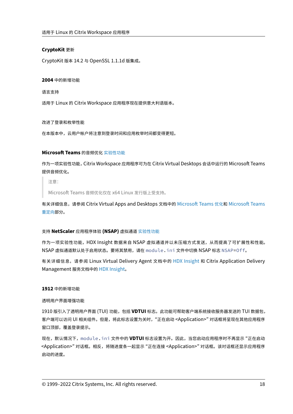# **CryptoKit** 更新

CryptoKit 版本 14.2 与 OpenSSL 1.1.1d 版集成。

#### **2004** 中的新增功能

语言支持

适用于 Linux 的 Citrix Workspace 应用程序现在提供意大利语版本。

#### 改进了登录和枚举性能

在本版本中,云用户帐户将注意到登录时间和应用枚举时间都变得更短。

# **Microsoft Teams** 的音频优化 实验性功能

作为一项实验性功能,Citrix Workspace 应用程序可为在 Citrix Virtual Desktops 会话中运行的 Microsoft Teams 提供音频优化。

注意:

Microsoft Teams 音频优化仅在 x64 Linux 发行版上受支持。

有关详细信息,请参阅 Citrix Virtual Apps and Desktops 文档中的 Microsoft Teams 优化和 Microsoft Teams 重定向部分。

# 支持 **[N](https://docs.citrix.com/zh-cn/citrix-virtual-apps-desktops/policies/reference/ica-policy-settings/multimedia-policy-settings.html#microsoft-teams-redirection)etScaler** 应用程序体验 **(NSAP)** 虚拟通道 实验性功能

作为一项实验性功能,HDX Insight 数据来自 NSAP 虚拟通道并以未压缩方式发送,从而提高了可扩展性和性能。 NSAP 虚拟通道默认处于启用状态。要将其禁用,请在 [modul](https://docs.citrix.com/zh-cn/citrix-workspace-app-for-linux/whats-new.html#experimental-features)e.ini 文件中切换 NSAP 标志 NSAP=Off。

有关详细信息,请参阅 Linux Virtual Delivery Agent 文档中的 HDX Insight 和 Citrix Application Delivery Management 服务文档中的 HDX Insight。

# **1912** 中的新增功能

# 透明用户界面增强功能

1910 版引入了透明用户界面 (TUI) 功能,包括 **VDTUI** 标志。此功能可帮助客户端系统接收服务器发送的 TUI 数据包, 客户端可以访问 UI 相关组件。但是,将此标志设置为关时,"正在启动 <Application>" 对话框将呈现在其他应用程序 窗口顶部,覆盖登录提示。

现在,默认情况下,module.ini 文件中的 **VDTUI** 标志设置为开。因此,当您启动应用程序时不再显示 "正在启动 <Application>" 对话框。相反,将随进度条一起显示 "正在连接 <Application>" 对话框。该对话框还显示应用程序 启动的进度。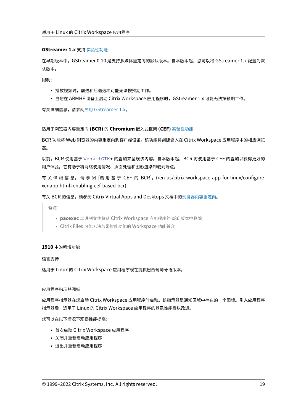#### **GStreamer 1.x** 支持 实验性功能

在早期版本中,GStreamer 0.10 是支持多媒体重定向的默认版本。自本版本起,您可以将 GStreamer 1.x 配置为默 认版本。

限制:

- 播放视频时,前进和后退选项可能无法按预期工作。
- 当您在 ARMHF 设备上启动 Citrix Workspace 应用程序时,GStreamer 1.x 可能无法按预期工作。

有关详细信息,请参阅启用 GStreamer 1.x。

适用于浏览器内容重定向 **(BCR)** 的 **[Chrom](https://docs.citrix.com/zh-cn/citrix-workspace-app-for-linux/configure-xenapp.html#enabling-gstreamer-1x)ium** 嵌入式框架 **(CEF)** 实验性功能

BCR 功能将 Web 浏览器的内容重定向到客户端设备。该功能将创建嵌入在 Citrix Workspace 应用程序中的相应浏览 器。

以前,[BCR](https://docs.citrix.com/zh-cn/citrix-workspace-app-for-linux/whats-new.html#experimental-features) 使用基于 WebkitGTK+ 的叠加来呈现该内容。自本版本起,BCR 将使用基于 CEF 的叠加以获得更好的 用户体验。它有助于将网络使用情况、页面处理和图形渲染卸载到端点。

有关详细信息,请参阅 [启用基于 CEF 的 BCR]。(/en-us/citrix-workspace-app-for-linux/configurexenapp.html#enabling‑cef‑based‑bcr)

有关 BCR 的信息,请参阅 Citrix Virtual Apps and Desktops 文档中的浏览器内容重定向。

备注:

- **pacexec** 二进制文件将从 Citrix Workspace 应用程序的 x86 [版本中删除。](https://docs.citrix.com/zh-cn/citrix-virtual-apps-desktops/multimedia/browser-content-redirection.html)
- Citrix Files 可能无法与带智能功能的 Workspace 功能兼容。

#### **1910** 中的新增功能

语言支持

适用于 Linux 的 Citrix Workspace 应用程序现在提供巴西葡萄牙语版本。

#### 应用程序指示器图标

应用程序指示器在您启动 Citrix Workspace 应用程序时启动。该指示器是通知区域中存在的一个图标。引入应用程序 指示器后,适用于 Linux 的 Citrix Workspace 应用程序的登录性能得以改进。

您可以在以下情况下观察性能提高:

- 首次启动 Citrix Workspace 应用程序
- 关闭并重新启动应用程序
- 退出并重新启动应用程序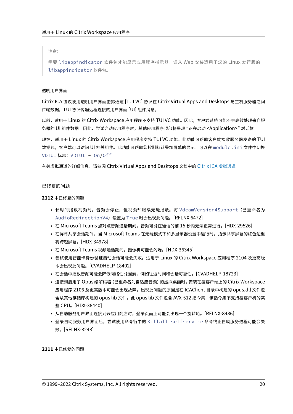注意:

需要 libappindicator 软件包才能显示应用程序指示器。请从 Web 安装适用于您的 Linux 发行版的 libappindicator 软件包。

#### 透明用户界面

Citrix ICA 协议使用透明用户界面虚拟通道 [TUI VC] 协议在 Citrix Virtual Apps and Desktops 与主机服务器之间 传输数据。TUI 协议传输远程连接的用户界面 [UI] 组件消息。

以前,适用于 Linux 的 Citrix Workspace 应用程序不支持 TUI VC 功能。因此,客户端系统可能不会高效处理来自服 务器的 UI 组件数据。因此,尝试启动应用程序时,其他应用程序顶部将呈现 "正在启动 <Application>" 对话框。

现在,适用于 Linux 的 Citrix Workspace 应用程序支持 TUI VC 功能。此功能可帮助客户端接收服务器发送的 TUI 数据包,客户端可以访问 UI 相关组件。此功能可帮助您控制默认叠加屏幕的显示。可以在 module.ini 文件中切换 VDTUI 标志: VDTUI - On/Off

有关虚拟通道的详细信息,请参阅 Citrix Virtual Apps and Desktops 文档中的 Citrix ICA 虚拟通道。

#### 已修复的问题

**2112** 中已修复的问题

- 长时间播放视频时,音频会停止,但视频却继续无缝播放。将 VdcamVersion4Support (已重命名为 AudioRedirectionV4) 设置为 True 时会出现此问题。[RFLNX 6472]
- 在 Microsoft Teams 点对点音频通话期间,音频可能在通话的前 15 秒内无法正常进行。[HDX‑29526]
- 在屏幕共享会话期间,当 Microsoft Teams 在无缝模式下和多显示器设置中运行时,指示共享屏幕的红色边框 将跨越屏幕。[HDX‑34978]
- 在 Microsoft Teams 视频通话期间,摄像机可能会闪烁。[HDX-36345]
- 尝试使用智能卡身份验证启动会话可能会失败。适用于 Linux 的 Citrix Workspace 应用程序 2104 及更高版 本会出现此问题。[CVADHELP‑18402]
- 在会话中播放音频可能会降低网络性能因素,例如往返时间和会话可靠性。[CVADHELP‑18723]
- 连接到启用了 Opus 编解码器 (已重命名为自适应音频) 的虚拟桌面时,安装在瘦客户端上的 Citrix Workspace 应用程序 2106 及更高版本可能会出现故障。出现此问题的原因是在 ICAClient 目录中构建的 opus.dll 文件包 含从其他存储库构建的 opus lib 文件。此 opus lib 文件包含 AVX‑512 指令集,该指令集不支持瘦客户机的某 些 CPU。[HDX-36440]
- 从自助服务用户界面连接到云应用商店时,登录页面上可能会出现一个旋转轮。[RFLNX‑8486]
- 登录自助服务用户界面后,尝试使用命令行中的 Killall selfservice 命令终止自助服务进程可能会失 败。[RFLNX‑8248]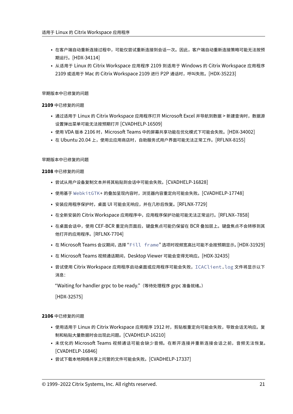- 在客户端自动重新连接过程中,可能仅尝试重新连接到会话一次。因此,客户端自动重新连接策略可能无法按预 期运行。[HDX‑34114]
- 从适用于 Linux 的 Citrix Workspace 应用程序 2109 到适用于 Windows 的 Citrix Workspace 应用程序 2109 或适用于 Mac 的 Citrix Workspace 2109 进行 P2P 通话时,呼叫失败。[HDX‑35223]

# 早期版本中已修复的问题

# **2109** 中已修复的问题

- 通过适用于 Linux 的 Citrix Workspace 应用程序打开 Microsoft Excel 并导航到数据 > 新建查询时,数据源 设置弹出菜单可能无法按预期打开 [CVADHELP‑16509]
- 使用 VDA 版本 2106 时,Microsoft Teams 中的屏幕共享功能在优化模式下可能会失败。[HDX-34002]
- 在 Ubuntu 20.04 上,使用云应用商店时,自助服务式用户界面可能无法正常工作。[RFLNX-8155]

# 早期版本中已修复的问题

# **2108** 中已修复的问题

- 尝试从用户设备复制文本并将其粘贴到会话中可能会失败。[CVADHELP-16828]
- 使用基于 WebkitGTK+ 的叠加呈现内容时,浏览器内容重定向可能会失败。[CVADHELP‑17748]
- 安装应用程序保护时,桌面 UI 可能会无响应,并在几秒后恢复。[RFLNX-7729]
- 在全新安装的 Citrix Workspace 应用程序中,应用程序保护功能可能无法正常运行。[RFLNX–7858]
- 在桌面会话中,使用 CEF‑BCR 重定向页面后,键盘焦点可能仍保留在 BCR 叠加层上。键盘焦点不会转移到其 他打开的应用程序。[RFLNX‑7704]
- 在 Microsoft Teams 会议期间,选择 "Fill frame" 选项时视频宽高比可能不会按预期显示。[HDX‑31929]
- 在 Microsoft Teams 视频通话期间,Desktop Viewer 可能会变得无响应。[HDX-32435]
- 尝试使用 Citrix Workspace 应用程序启动桌面或应用程序可能会失败, ICAClient.log 文件将显示以下 消息:

"Waiting for handler grpc to be ready."(等待处理程序 grpc 准备就绪。)

[HDX‑32575]

- 使用适用于 Linux 的 Citrix Workspace 应用程序 1912 时,剪贴板重定向可能会失败,导致会话无响应。复 制和粘贴大量数据时会出现此问题。[CVADHELP‑16210]
- 未优化的 Microsoft Teams 视频通话可能会缺少音频。在断开连接并重新连接会话之前,音频无法恢复。 [CVADHELP‑16846]
- 尝试下载本地网络共享上托管的文件可能会失败。[CVADHELP‑17337]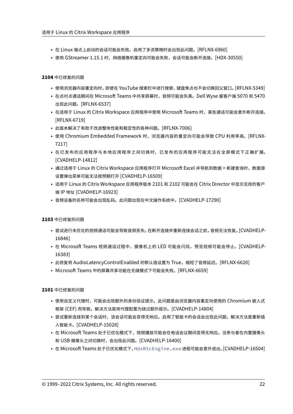- 在 Linux 端点上启动的会话可能会失败。启用了多流策略时会出现此问题。[RFLNX-6960]
- 使用 GStreamer 1.15.1 时,网络摄像机重定向可能会失败,会话可能会断开连接。[HDX‑30550]

- 使用浏览器内容重定向时,即使在 YouTube 搜索栏中进行搜索,键盘焦点也不会切换回父窗口。[RFLNX‑5349]
- 在点对点通话期间在 Microsoft Teams 中共享屏幕时,音频可能会失真。Dell Wyse 瘦客户端 5070 和 5470 出现此问题。[RFLNX‑6537]
- 在适用于 Linux 的 Citrix Workspace 应用程序中使用 Microsoft Teams 时,某些通话可能会意外断开连接。 [RFLNX‑6719]
- 此版本解决了有助于改进整体性能和稳定性的各种问题。[RFLNX‑7006]
- 使用 Chromium Embedded Framework 时, 浏览器内容的重定向可能会导致 CPU 利用率高。[RFLNX-7217]
- 在已发布的应用程序与本地应用程序之间切换时,已发布的应用程序可能无法在全屏模式下正确扩展。 [CVADHELP‑14812]
- 通过适用于 Linux 的 Citrix Workspace 应用程序打开 Microsoft Excel 并导航到数据 > 新建查询时,数据源 设置弹出菜单可能无法按预期打开 [CVADHELP‑16509]
- 适用于 Linux 的 Citrix Workspace 应用程序版本 2101 和 2102 可能会在 Citrix Director 中显示无效的客户 端 IP 地址 [CVADHELP‑16923]
- 音频设备的名称可能会出现乱码。此问题出现在中文操作系统中。[CVADHELP‑17290]

# **2103** 中已修复的问题

- 尝试进行未优化的视频通话可能会导致音频丢失。在断开连接并重新连接会话之前,音频无法恢复。[CVADHELP‑ 16846]
- 在 Microsoft Teams 视频通话过程中,摄像机上的 LED 可能会闪烁,预览视频可能会停止。[CVADHELP-16383]
- 此修复将 AudioLatencyControlEnabled 的默认值设置为 True,缩短了音频延迟。[RFLNX-6620]
- Microsoft Teams 中的屏幕共享功能在无缝模式下可能会失败。[RFLNX‑6659]

- 使用自定义代理时,可能会出现额外的身份验证提示。此问题是由浏览器内容重定向使用的 Chromium 嵌入式 框架 (CEF) 而导致。解决方法是将代理配置为绕过额外提示。[CVADHELP‑14804]
- 尝试重新连接到某个会话时,该会话可能会变得无响应。启用了智能卡的会话会出现此问题。解决方法是重新插 入智能卡。[CVADHELP‑15028]
- 在 Microsoft Teams 处于已优化模式下,视频播放可能会在电话会议期间变得无响应。当参与者在内置摄像头 和 USB 摄像头之间切换时,会出现此问题。[CVADHELP‑16400]
- 在 Microsoft Teams 处于已优化模式下,HdxRtcEngine.exe 进程可能会意外退出。[CVADHELP‑16504]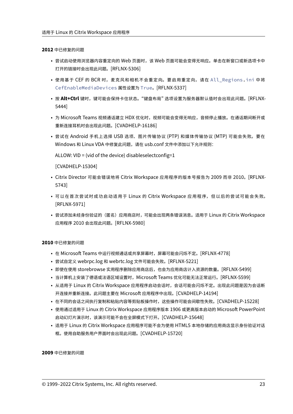- 尝试启动使用浏览器内容重定向的 Web 页面时,该 Web 页面可能会变得无响应。单击在新窗口或新选项卡中 打开的链接时会出现此问题。[RFLNX‑5306]
- 使用基于 CEF 的 BCR 时,麦克风和相机不会重定向。要启用重定向,请在 All\_Regions.ini 中将 CefEnableMediaDevices 属性设置为 True。[RFLNX‑5337]
- 按 Alt+Ctrl 键时,键可能会保持卡住状态。"键盘布局" 选项设置为服务器默认值时会出现此问题。[RFLNX-5444]
- 为 Microsoft Teams 视频通话建立 HDX 优化时,视频可能会变得无响应,音频停止播放。在通话期间断开或 重新连接耳机时会出现此问题。[CVADHELP‑16186]
- 尝试在 Android 手机上选择 USB 选项、图片传输协议 (PTP) 和媒体传输协议 (MTP) 可能会失败。要在 Windows 和 Linux VDA 中修复此问题,请在 usb.conf 文件中添加以下允许规则:

ALLOW: VID = (vid of the device) disableselectconfig=1

[CVADHELP‑15304]

- Citrix Director 可能会错误地将 Citrix Workspace 应用程序的版本号报告为 2009 而非 2010。[RFLNX‑ 5743]
- 可以在首次尝试时成功启动适用于 Linux 的 Citrix Workspace 应用程序, 但以后的尝试可能会失败。 [RFLNX‑5971]
- 尝试添加未经身份验证的(匿名)应用商店时,可能会出现两条错误消息。适用于 Linux 的 Citrix Workspace 应用程序 2010 会出现此问题。[RFLNX‑5980]

**2010** 中已修复的问题

- 在 Microsoft Teams 中运行视频通话或共享屏幕时,屏幕可能会闪烁不定。[RFLNX-4778]
- 尝试自定义 webrpc.log 和 webrtc.log 文件可能会失败。[RFLNX‑5221]
- 即使在使用 storebrowse 实用程序删除应用商店后, 也会为应用商店计入资源的数量。[RFLNX-5499]
- 当计算机上安装了德语或法语区域设置时,Microsoft Teams 优化可能无法正常运行。[RFLNX-5599]
- 从适用于 Linux 的 Citrix Workspace 应用程序启动会话时,会话可能会闪烁不定。出现此问题是因为会话断 开连接并重新连接。此问题主要在 Microsoft 应用程序中出现。[CVADHELP‑14194]
- 在不同的会话之间执行复制和粘贴内容等剪贴板操作时,这些操作可能会间歇性失败。[CVADHELP‑15228]
- 使用通过适用于 Linux 的 Citrix Workspace 应用程序版本 1906 或更高版本启动的 Microsoft PowerPoint 启动幻灯片演示时,该演示可能不会在全屏模式下打开。[CVADHELP‑15648]
- 适用于 Linux 的 Citrix Workspace 应用程序可能不会为使用 HTML5 本地存储的应用商店显示身份验证对话 框。使用自助服务用户界面时会出现此问题。[CVADHELP‑15720]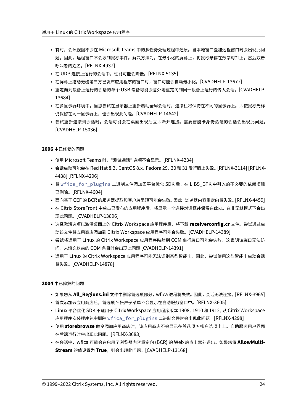- 有时,会议视图不会在 Microsoft Teams 中的多任务处理过程中还原。当本地窗口叠加远程窗口时会出现此问 题。因此,远程窗口不会收到鼠标事件。解决方法为,在最小化的屏幕上,将鼠标悬停在数字时钟上,然后双击 呼叫者的姓名。[RFLNX‑4937]
- 在 UDP 连接上运行的会话中,性能可能会降低。[RFLNX‑5135]
- 在屏幕上拖动无缝第三方已发布应用程序的窗口时,窗口可能会自动最小化。[CVADHELP-13677]
- 重定向到设备上运行的会话的单个 USB 设备可能会意外地重定向到同一设备上运行的传入会话。[CVADHELP‑ 13684]
- 在多显示器环境中,当您尝试在显示器上重新启动全屏会话时,连接栏将保持在不同的显示器上。即使鼠标光标 仍保留在同一显示器上,也会出现此问题。[CVADHELP‑14642]
- 尝试重新连接到会话时,会话可能会在桌面出现后立即断开连接。需要智能卡身份验证的会话会出现此问题。 [CVADHELP‑15036]

- 使用 Microsoft Teams 时, "测试通话" 选项不会显示。[RFLNX-4234]
- 会话启动可能会在 Red Hat 8.2、CentOS 8.x、Fedora 29、30 和 31 发行版上失败。[RFLNX‑3114] [RFLNX‑ 4438] [RFLNX‑4296]
- 将 wfica\_for\_plugins 二进制文件添加回平台优化 SDK 后, 在 LIBS\_GTK 中引入的不必要的依赖项现 已删除。[RFLNX‑4604]
- 面向基于 CEF 的 BCR 的服务器提取和客户端呈现可能会失败。 因此,浏览器内容重定向将失败。 [RFLNX-4459]
- 在 Citrix StoreFront 中单击已发布的应用程序后,将显示一个连接对话框并保留在此处。在非无缝模式下会出 现此问题。[CVADHELP‑13896]
- 选择激活选项以激活桌面上的 Citrix Workspace 应用程序后,将下载 **receiverconfig.cr** 文件。尝试通过启 动该文件将应用商店添加到 Citrix Workspace 应用程序可能会失败。[CVADHELP‑14389]
- 尝试将适用于 Linux 的 Citrix Workspace 应用程序映射到 COM 串行端口可能会失败,这表明该端口无法访 问。未填充以前的 COM 条目时会出现此问题 [CVADHELP‑14391]
- 适用于 Linux 的 Citrix Workspace 应用程序可能无法识别某些智能卡。因此,尝试使用这些智能卡启动会话 将失败。[CVADHELP‑14878]

- 如果您从 **All\_Regions.ini** 文件中删除首选项部分,wfica 进程将失败。因此,会话无法连接。[RFLNX‑3965]
- 首次添加云应用商店后,首选项 > 帐户子菜单不会显示在自助服务窗口中。[RFLNX‑3605]
- Linux 平台优化 SDK 不适用于 Citrix Workspace 应用程序版本 1908、1910 和 1912。从 Citrix Workspace 应用程序安装程序包中删除 wfica\_for\_plugins 二进制文件时会出现此问题。[RFLNX‑4298]
- 使用 **storebrowse** 命令添加应用商店时,该应用商店不会显示在首选项 > 帐户选项卡上。自助服务用户界面 在后端运行时会出现此问题。[RFLNX‑3683]
- 在会话中,wfica 可能会在启用了浏览器内容重定向 (BCR) 的 Web 站点上意外退出。如果您将 AllowMulti-**Stream** 的值设置为 True, 则会出现此问题。[CVADHELP-13168]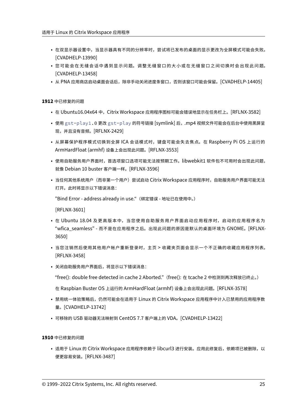- 在双显示器设置中,当显示器具有不同的分辨率时,尝试将已发布的桌面的显示更改为全屏模式可能会失败。 [CVADHELP‑13990]
- 您可能会在无缝会话中遇到显示问题。调整无缝窗口的大小或在无缝窗口之间切换时会出现此问题。 [CVADHELP‑13458]
- 从 PNA 应用商店启动桌面会话后,除非手动关闭进度条窗口,否则该窗口可能会保留。[CVADHELP-14405]

- 在 Ubuntu16.04x64 中, Citrix Workspace 应用程序图标可能会错误地显示在任务栏上。[RFLNX-3582]
- 使用 gst-play1.0 更改 gst-play 的符号链接 [symlink] 后,.mp4 视频文件可能会在后台中使用黑屏呈 现,并且没有音频。[RFLNX‑2429]
- 从屏幕保护程序模式切换到全屏 ICA 会话模式时,键盘可能会失去焦点。在 Raspberry Pi OS 上运行的 ArmHardFloat (armhf) 设备上会出现此问题。[RFLNX‑3553]
- 使用自助服务用户界面时,首选项窗口选项可能无法按预期工作。libwebkit1 软件包不可用时会出现此问题, 就像 Debian 10 buster 客户端一样。[RFLNX‑3596]
- 当任何其他系统用户(而非第一个用户)尝试启动 Citrix Workspace 应用程序时,自助服务用户界面可能无法 打开。此时将显示以下错误消息:

"Bind Error ‑ address already in use."(绑定错误 ‑ 地址已在使用中。)

[RFLNX‑3601]

- 在 Ubuntu 18.04 及更高版本中,当您使用自助服务用户界面启动应用程序时,启动的应用程序名为 "wfica\_seamless" ‑ 而不是在应用程序之后。出现此问题的原因是默认的桌面环境为 GNOME。[RFLNX‑ 3650]
- 当您注销然后使用其他用户帐户重新登录时,主页 > 收藏夹页面会显示一个不正确的收藏应用程序列表。 [RFLNX‑3458]
- 关闭自助服务用户界面后,将显示以下错误消息:

"free(): double free detected in cache 2 Aborted."(free(): 在 tcache 2 中检测到两次释放已终止。)

在 Raspbian Buster OS 上运行的 ArmHardFloat (armhf) 设备上会出现此问题。[RFLNX‑3578]

- 禁用统一体验策略后,仍然可能会在适用于 Linux 的 Citrix Workspace 应用程序中计入已禁用的应用程序数 量。[CVADHELP‑13742]
- 可移除的 USB 驱动器无法映射到 CentOS 7.7 客户端上的 VDA。 [CVADHELP-13422]

**1910** 中已修复的问题

• 适用于 Linux 的 Citrix Workspace 应用程序依赖于 libcurl3 进行安装。应用此修复后,依赖项已被删除,以 便更容易安装。[RFLNX‑3487]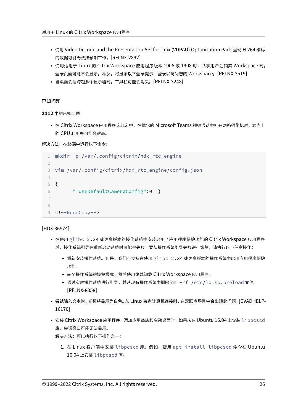- 使用 Video Decode and the Presentation API for Unix (VDPAU) Optimization Pack 呈现 H.264 编码 的数据可能无法按预期工作。[RFLNX‑2892]
- 使用适用于 Linux 的 Citrix Workspace 应用程序版本 1906 或 1908 时,共享用户注销其 Workspace 时, 登录页面可能不会显示。相反,将显示以下登录提示:登录以访问您的 Workspace。[RFLNX-3519]
- 当桌面会话跨越多个显示器时,工具栏可能会消失。[RFLNX‑3248]

已知问题

**2112** 中的已知问题

• 在 Citrix Workspace 应用程序 2112 中,在优化的 Microsoft Teams 视频通话中打开网络摄像机时,端点上 的 CPU 利用率可能会很高。

解决方法: 在终端中运行以下命令:

```
1 mkdir -p /var/.config/citrix/hdx_rtc_engine
2
3 vim /var/.config/citrix/hdx_rtc_engine/config.json
4
5 {
6 " UseDefaultCameraConfig":0 }
\overline{7}8
9 <!--NeedCopy-->
```
[HDX‑36574]

- 在使用 glibc 2.34 或更高版本的操作系统中安装启用了应用程序保护功能的 Citrix Workspace 应用程序 后,操作系统引导在重新启动系统时可能会失败。要从操作系统引导失败进行恢复,请执行以下任意操作:
	- **–** 重新安装操作系统。但是,我们不支持在使用 glibc 2.34 或更高版本的操作系统中启用应用程序保护 功能。
	- **–** 转至操作系统的恢复模式,然后使用终端卸载 Citrix Workspace 应用程序。
	- **–** 通过实时操作系统进行引导,并从现有操作系统中删除 rm -rf /etc/ld.so.preload 文件。 [RFLNX‑8358]
- 尝试输入文本时,光标将显示为白色。 从 Linux 端点计算机连接时,在双跃点场景中会出现此问题。 [CVADHELP-16170]
- 安装 Citrix Workspace 应用程序、添加应用商店和启动桌面时,如果未在 Ubuntu 16.04 上安装 libpcscd 库,会话窗口可能无法显示。

解决方法:可以执行以下操作之一:

1. 在 Linux 客户端中安装 libpcscd 库。例如,使用 apt install libpcscd 命令在 Ubuntu 16.04 上安装 libpcscd 库。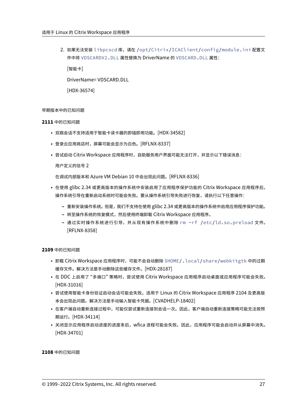2. 如果无法安装 libpcscd 库,请在 /opt/Citrix/ICAClient/config/module.ini 配置文 件中将 VDSCARDV2.DLL 属性替换为 DriverName 的 VDSCARD.DLL 属性:

[智能卡]

DriverName= VDSCARD.DLL

[HDX‑36574]

# 早期版本中的已知问题

# **2111** 中的已知问题

- 双跳会话不支持适用于智能卡读卡器的即插即用功能。[HDX‑34582]
- 登录云应用商店时,屏幕可能会显示为白色。[RFLNX‑8337]
- 尝试启动 Citrix Workspace 应用程序时,自助服务用户界面可能无法打开,并显示以下错误消息:

用户定义的信号 2

在调试内部版本和 Azure VM Debian 10 中会出现此问题。[RFLNX‑8336]

- 在使用 glibc 2.34 或更高版本的操作系统中安装启用了应用程序保护功能的 Citrix Workspace 应用程序后, 操作系统引导在重新启动系统时可能会失败。要从操作系统引导失败进行恢复,请执行以下任意操作:
	- **–** 重新安装操作系统。但是,我们不支持在使用 glibc 2.34 或更高版本的操作系统中启用应用程序保护功能。
	- **–** 转至操作系统的恢复模式,然后使用终端卸载 Citrix Workspace 应用程序。
	- **–** 通过实时操作系统进行引导,并从现有操作系统中删除 rm -rf /etc/ld.so.preload 文件。 [RFLNX‑8358]

# **2109** 中的已知问题

- 卸载 Citrix Workspace 应用程序时,可能不会自动删除 \$HOME/.local/share/webkitgtk 中的过期 缓存文件。解决方法是手动删除这些缓存文件。[HDX‑28187]
- 在 DDC 上启用了"多端口"策略时,尝试使用 Citrix Workspace 应用程序启动桌面或应用程序可能会失败。 [HDX‑31016]
- 尝试使用智能卡身份验证启动会话可能会失败。适用于 Linux 的 Citrix Workspace 应用程序 2104 及更高版 本会出现此问题。解决方法是手动输入智能卡凭据。[CVADHELP‑18402]
- 在客户端自动重新连接过程中,可能仅尝试重新连接到会话一次。因此,客户端自动重新连接策略可能无法按预 期运行。[HDX‑34114]
- 关闭显示应用程序启动进度的进度条后,wfica 进程可能会失败。因此,应用程序可能会启动并从屏幕中消失。 [HDX‑34701]

**2108** 中的已知问题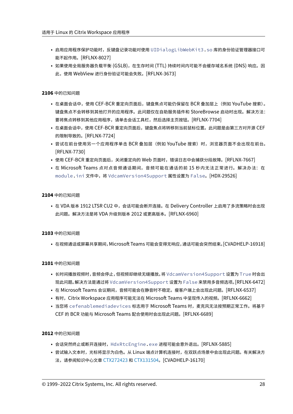- 启用应用程序保护功能时,反键盘记录功能对使用 UIDialogLibWebKit3.so 库的身份验证管理器接口可 能不起作用。[RFLNX‑8027]
- 如果使用全局服务器负载平衡 (GSLB),在生存时间 (TTL) 持续时间内可能不会缓存域名系统 (DNS) 响应。因 此,使用 WebView 进行身份验证可能会失败。[RFLNX‑3673]

# **2106** 中的已知问题

- 在桌面会话中,使用 CEF‑BCR 重定向页面后,键盘焦点可能仍保留在 BCR 叠加层上(例如 YouTube 搜索)。 键盘焦点不会转移到其他打开的应用程序。此问题仅在自助服务插件和 StoreBrowse 启动时出现。解决方法: 要将焦点转移到其他应用程序,请单击会话工具栏,然后选择主页按钮。[RFLNX‑7704]
- 在桌面会话中,使用 CEF‑BCR 重定向页面后,键盘焦点将转移到当前鼠标位置。此问题是由第三方对开源 CEF 的限制导致的。[RFLNX‑7724]
- 尝试在前台使用另一个应用程序单击 BCR 叠加层(例如 YouTube 搜索)时,浏览器页面不会出现在前台。 [RFLNX‑7730]
- 使用 CEF-BCR 重定向页面后,关闭重定向的 Web 页面时,错误日志中会捕获分段故障。[RFLNX-7667]
- 在 Microsoft Teams 点对点音频通话期间,音频可能在通话的前 15 秒内无法正常进行。解决办法:在 module.ini 文件中,将 VdcamVersion4Support 属性设置为 False。[HDX‑29526]

# **2104** 中的已知问题

• 在 VDA 版本 1912 LTSR CU2 中,会话可能会断开连接。在 Delivery Controller 上启用了多流策略时会出现 此问题。解决方法是将 VDA 升级到版本 2012 或更高版本。[RFLNX‑6960]

# **2103** 中的已知问题

• 在视频通话或屏幕共享期间,Microsoft Teams 可能会变得无响应,通话可能会突然结束。[CVADHELP‑16918]

# **2101** 中的已知问题

- 长时间播放视频时,音频会停止,但视频却继续无缝播放。将 VdcamVersion4Support 设置为 True 时会出 现此问题。解决方法是通过将 VdcamVersion4Support 设置为 False 来禁用多音频选项。[RFLNX‑6472]
- 在 Microsoft Teams 会议期间,音频可能会在静音时不稳定。瘦客户端上会出现此问题。[RFLNX‑6537]
- 有时,Citrix Workspace 应用程序可能无法在 Microsoft Teams 中呈现传入的视频。[RFLNX-6662]
- 当您将 cefenablemediadevices 标志用于 Microsoft Teams 时,麦克风无法按预期正常工作。将基于 CEF 的 BCR 功能与 Microsoft Teams 配合使用时会出现此问题。[RFLNX‑6689]

# **2012** 中的已知问题

- 会话突然终止或断开连接时,HdxRtcEngine.exe 进程可能会意外退出。[RFLNX-5885]
- 尝试输入文本时,光标将显示为白色。从 Linux 端点计算机连接时,在双跃点场景中会出现此问题。有关解决方 法, 请参阅知识中心文章 CTX272423 和 CTX131504。[CVADHELP-16170]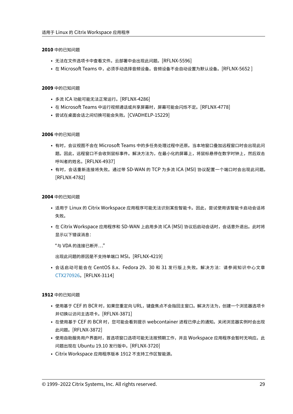#### **2010** 中的已知问题

- 无法在文件选项卡中查看文件。云部署中会出现此问题。[RFLNX‑5596]
- 在 Microsoft Teams 中,必须手动选择音频设备。音频设备不会自动设置为默认设备。[RFLNX-5652 ]

#### **2009** 中的已知问题

- 多流 ICA 功能可能无法正常运行。[RFLNX‑4286]
- 在 Microsoft Teams 中运行视频通话或共享屏幕时,屏幕可能会闪烁不定。[RFLNX-4778]
- 尝试在桌面会话之间切换可能会失败。[CVADHELP‑15229]

#### **2006** 中的已知问题

- 有时,会议视图不会在 Microsoft Teams 中的多任务处理过程中还原。当本地窗口叠加远程窗口时会出现此问 题。因此,远程窗口不会收到鼠标事件。解决方法为,在最小化的屏幕上,将鼠标悬停在数字时钟上,然后双击 呼叫者的姓名。[RFLNX‑4937]
- 有时,会话重新连接将失败。通过带 SD-WAN 的 TCP 为多流 ICA (MSI) 协议配置一个端口时会出现此问题。 [RFLNX‑4782]

#### **2004** 中的已知问题

- 适用于 Linux 的 Citrix Workspace 应用程序可能无法识别某些智能卡。因此,尝试使用该智能卡启动会话将 失败。
- 在 Citrix Workspace 应用程序和 SD-WAN 上启用多流 ICA (MSI) 协议后启动会话时,会话意外退出。此时将 显示以下错误消息:

"与 VDA 的连接已断开…"

出现此问题的原因是不支持单端口 MSI。[RFLNX‑4219]

• 会话启动可能会在 CentOS 8.x、Fedora 29、30 和 31 发行版上失败。解决方法:请参阅知识中心文章 CTX270926。[RFLNX‑3114]

# **1912** [中的已知问题](https://support.citrix.com/article/CTX270926)

- 使用基于 CEF 的 BCR 时,如果您重定向 URL,键盘焦点不会指回主窗口。解决方法为,创建一个浏览器选项卡 并切换以访问主选项卡。[RFLNX‑3871]
- 在使用基于 CEF 的 BCR 时,您可能会看到提示 webcontainer 进程已停止的通知。关闭浏览器实例时会出现 此问题。[RFLNX‑3872]
- 使用自助服务用户界面时,首选项窗口选项可能无法按预期工作,并且 Workspace 应用程序会暂时无响应。此 问题出现在 Ubuntu 19.10 发行版中。[RFLNX‑3720]
- Citrix Workspace 应用程序版本 1912 不支持工作区智能源。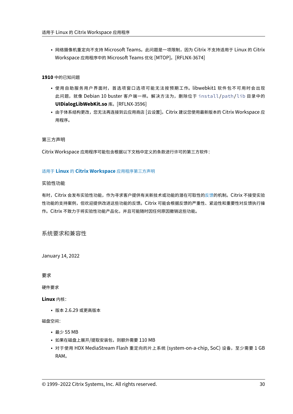• 网络摄像机重定向不支持 Microsoft Teams。此问题是一项限制,因为 Citrix 不支持适用于 Linux 的 Citrix Workspace 应用程序中的 Microsoft Teams 优化 [MTOP]。[RFLNX‑3674]

# **1910** 中的已知问题

- 使用自助服务用户界面时,首选项窗口选项可能无法按预期工作。libwebkit1 软件包不可用时会出现 此问题,就像 Debian 10 buster 客户端一样。解决方法为,删除位于 install/path/lib 目录中的 **UIDialogLibWebKit.so** 库。[RFLNX‑3596]
- 由于体系结构更改,您无法再连接到云应用商店 [云设置]。Citrix 建议您使用最新版本的 Citrix Workspace 应 用程序。

第三方声明

Citrix Workspace 应用程序可能包含根据以下文档中定义的条款进行许可的第三方软件:

# 适用于 **Linux** 的 **Citrix Workspace** 应用程序第三方声明

# 实验性功能

有时,Citrix [会发布实验性功能,作为寻求客户提供有关新技](https://docs.citrix.com/en-us/citrix-workspace-app-for-linux/downloads/third-party-notices-linux.pdf)术或功能的潜在可取性的反馈的机制。Citrix 不接受实验 性功能的支持案例,但欢迎提供改进这些功能的反馈。Citrix 可能会根据反馈的严重性、紧迫性和重要性对反馈执行操 作。Citrix 不致力于将实验性功能产品化,并且可能随时因任何原因撤销这些功能。

系统要求和兼容性

<span id="page-29-0"></span>January 14, 2022

要求

硬件要求

**Linux** 内核:

• 版本 2.6.29 或更高版本

磁盘空间:

- 最少 55 MB
- 如果在磁盘上展开/提取安装包,则额外需要 110 MB
- 对于使用 HDX MediaStream Flash 重定向的片上系统 (system-on-a-chip, SoC) 设备,至少需要 1 GB RAM。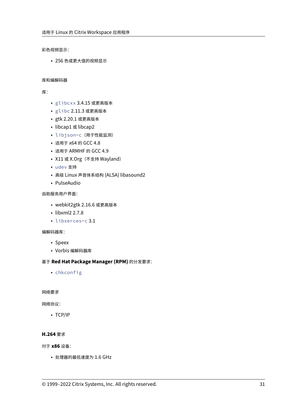彩色视频显示:

• 256 色或更大值的视频显示

# 库和编解码器

库:

- glibcxx 3.4.15 或更高版本
- glibc 2.11.3 或更高版本
- gtk 2.20.1 或更高版本
- libcap1 或 libcap2
- libjson-c(用于性能监测)
- 适用于 x64 的 GCC 4.8
- 适用于 ARMHF 的 GCC 4.9
- X11 或 X.Org (不支持 Wayland)
- udev 支持
- 高级 Linux 声音体系结构 (ALSA) libasound2
- PulseAudio

自助服务用户界面:

- webkit2gtk 2.16.6 或更高版本
- libxml2 2.7.8
- libxerces-c 3.1

编解码器库:

- Speex
- Vorbis 编解码器库

# 基于 **Red Hat Package Manager (RPM)** 的分发要求:

• chkconfig

网络要求

网络协议:

• TCP/IP

# **H.264** 要求

对于 **x86** 设备:

• 处理器的最低速度为 1.6 GHz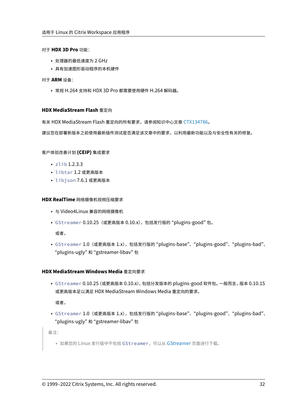#### 对于 **HDX 3D Pro** 功能:

- 处理器的最低速度为 2 GHz
- 具有加速图形驱动程序的本机硬件

# 对于 **ARM** 设备:

• 常规 H.264 支持和 HDX 3D Pro 都需要使用硬件 H.264 解码器。

#### **HDX MediaStream Flash** 重定向

有关 HDX MediaStream Flash 重定向的所有要求,请参阅知识中心文章 CTX134786。

建议您在部署新版本之前使用最新插件测试是否满足该文章中的要求,以利用最新功能以及与安全性有关的修复。

#### 客户体验改善计划 **(CEIP)** 集成要求

- zlib 1.2.3.3
- libtar 1.2 或更高版本
- libjson 7.6.1 或更高版本

#### **HDX RealTime** 网络摄像机视频压缩要求

- 与 Video4Linux 兼容的网络摄像机
- GStreamer 0.10.25(或更高版本 0.10.x),包括发行版的 "plugins‑good" 包。

或者,

• GStreamer 1.0 (或更高版本 1.x), 包括发行版的 "plugins-base"、 "plugins-good"、 "plugins-bad"、 "plugins‑ugly" 和 "gstreamer‑libav" 包

# **HDX MediaStream Windows Media** 重定向要求

• GStreamer 0.10.25 (或更高版本 0.10.x), 包括分发版本的 plugins-good 软件包。一般而言, 版本 0.10.15 或更高版本足以满足 HDX MediaStream Windows Media 重定向的要求。

或者,

• GStreamer 1.0 (或更高版本 1.x), 包括发行版的 "plugins-base"、 "plugins-good"、 "plugins-bad"、 "plugins‑ugly" 和 "gstreamer‑libav" 包

备注:

• 如果您的 Linux 发行版中不包括 GStreamer, 可以从 GStreamer 页面进行下载。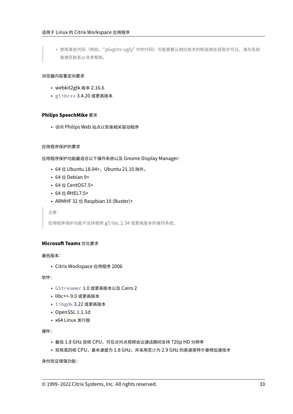• 使用某些代码(例如,"plugins-ugly" 中的代码)可能需要从相应技术的制造商处获取许可证。请与系统 管理员联系以寻求帮助。

# 浏览器内容重定向要求

- webkit2gtk 版本 2.16.6
- glibcxx 3.4.20 或更高版本

# **Philips SpeechMike** 要求

• 访问 Philips Web 站点以安装相关驱动程序

# 应用程序保护的要求

应用程序保护功能最适合以下操作系统以及 Gnome Display Manager:

- 64 位 Ubuntu 18.04+, Ubuntu 21.10 除外。
- 64 位 Debian 9+
- 64 位 CentOS7.5+
- 64 位 RHEL7.5+
- ARMHF 32 位 Raspbian 10 (Buster)+

注意:

应用程序保护功能不支持使用 glibc 2.34 或更高版本的操作系统。

# **Microsoft Teams** 优化要求

最低版本:

• Citrix Workspace 应用程序 2006

软件:

- GStreamer 1.0 或更高版本以及 Cairo 2
- libc++‑9.0 或更高版本
- libgdk 3.22 或更高版本
- OpenSSL 1.1.1d
- x64 Linux 发行版

硬件:

- 最低 1.8 GHz 双核 CPU,可在点对点视频会议通话期间支持 720p HD 分辨率
- 双核或四核 CPU,基本速度为 1.8 GHz,并采用至少为 2.9 GHz 的高速英特尔睿频加速技术

身份验证增强功能: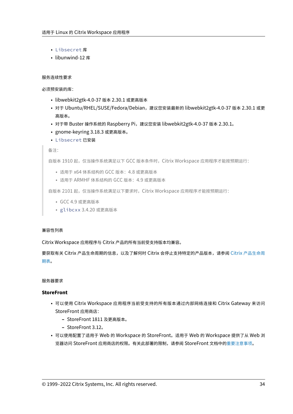- Libsecret 库
- libunwind-12 库

# 服务连续性要求

必须预安装的库:

- libwebkit2gtk‑4.0‑37 版本 2.30.1 或更高版本
- 对于 Ubuntu/RHEL/SUSE/Fedora/Debian, 建议您安装最新的 libwebkit2gtk-4.0-37 版本 2.30.1 或更 高版本。
- 对于带 Buster 操作系统的 Raspberry Pi, 建议您安装 libwebkit2gtk-4.0-37 版本 2.30.1。
- gnome‑keyring 3.18.3 或更高版本。
- Libsecret 已安装

#### 备注:

自版本 1910 起,仅当操作系统满足以下 GCC 版本条件时,Citrix Workspace 应用程序才能按预期运行:

- 适用于 x64 体系结构的 GCC 版本: 4.8 或更高版本
- 适用于 ARMHF 体系结构的 GCC 版本:4.9 或更高版本

自版本 2101 起, 仅当操作系统满足以下要求时, Citrix Workspace 应用程序才能按预期运行:

- GCC 4.9 或更高版本
- glibcxx 3.4.20 或更高版本

# 兼容性列表

Citrix Workspace 应用程序与 Citrix 产品的所有当前受支持版本均兼容。

要获取有关 Citrix 产品生命周期的信息,以及了解何时 Citrix 会停止支持特定的产品版本,请参阅 Citrix 产品生命周 期表。

# [服务](https://www.citrix.com/support/product-lifecycle/product-matrix.html)器要求

# **StoreFront**

- 可以使用 Citrix Workspace 应用程序当前受支持的所有版本通过内部网络连接和 Citrix Gateway 来访问 StoreFront 应用商店:
	- **–** StoreFront 1811 及更高版本。
	- **–** StoreFront 3.12。
- 可以使用配置了适用于 Web 的 Workspace 的 StoreFront。适用于 Web 的 Workspace 提供了从 Web 浏 览器访问 StoreFront 应用商店的权限。有关此部署的限制,请参阅 StoreFront 文档中的重要注意事项。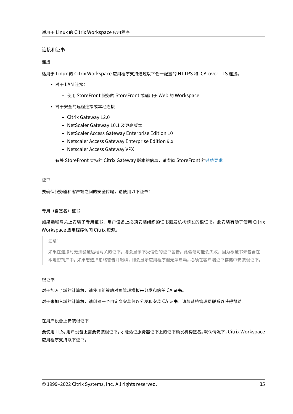#### 连接和证书

#### 连接

适用于 Linux 的 Citrix Workspace 应用程序支持通过以下任一配置的 HTTPS 和 ICA‑over‑TLS 连接。

- 对于 LAN 连接:
	- **–** 使用 StoreFront 服务的 StoreFront 或适用于 Web 的 Workspace
- 对于安全的远程连接或本地连接:
	- **–** Citrix Gateway 12.0
	- **–** NetScaler Gateway 10.1 及更高版本
	- **–** NetScaler Access Gateway Enterprise Edition 10
	- **–** Netscaler Access Gateway Enterprise Edition 9.x
	- **–** Netscaler Access Gateway VPX

有关 StoreFront 支持的 Citrix Gateway 版本的信息,请参阅 StoreFront 的系统要求。

#### 证书

要确保服务器和客户端之间的安全传输,请使用以下证书:

#### 专用(自签名)证书

# 如果远程网关上安装了专用证书,用户设备上必须安装组织的证书颁发机构颁发的根证书。此安装有助于使用 Citrix Workspace 应用程序访问 Citrix 资源。

注意:

如果在连接时无法验证远程网关的证书,则会显示不受信任的证书警告。此验证可能会失败,因为根证书未包含在 本地密钥库中。如果您选择忽略警告并继续,则会显示应用程序但无法启动。必须在客户端证书存储中安装根证书。

#### 根证书

对于加入了域的计算机,请使用组策略对象管理模板来分发和信任 CA 证书。

对于未加入域的计算机,请创建一个自定义安装包以分发和安装 CA 证书。请与系统管理员联系以获得帮助。

#### 在用户设备上安装根证书

要使用 TLS,用户设备上需要安装根证书,才能验证服务器证书上的证书颁发机构签名。默认情况下,Citrix Workspace 应用程序支持以下证书。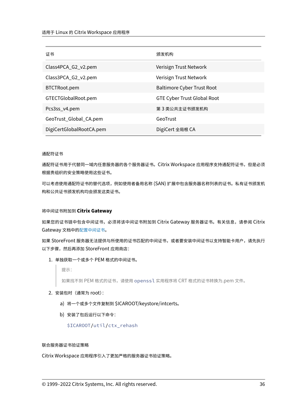| 证书                       | 颁发机构                               |
|--------------------------|------------------------------------|
| Class4PCA_G2_v2.pem      | Verisign Trust Network             |
| Class3PCA_G2_v2.pem      | Verisign Trust Network             |
| BTCTRoot.pem             | <b>Baltimore Cyber Trust Root</b>  |
| GTECTGlobalRoot.pem      | <b>GTE Cyber Trust Global Root</b> |
| Pcs3ss_v4.pem            | 第 3 类公共主证书颁发机构                     |
| GeoTrust_Global_CA.pem   | GeoTrust                           |
| DigiCertGlobalRootCA.pem | DigiCert 全局根 CA                    |

#### 通配符证书

通配符证书用于代替同一域内任意服务器的各个服务器证书。Citrix Workspace 应用程序支持通配符证书,但是必须 根据贵组织的安全策略使用这些证书。

可以考虑使用通配符证书的替代选项,例如使用者备用名称 (SAN) 扩展中包含服务器名称列表的证书。私有证书颁发机 构和公共证书颁发机构均会颁发这类证书。

# 将中间证书附加到 **Citrix Gateway**

如果您的证书链中包含中间证书,必须将该中间证书附加到 Citrix Gateway 服务器证书。有关信息,请参阅 Citrix Gateway 文档中的配置中间证书。

如果 StoreFront 服务器无法提供与所使用的证书匹配的中间证书,或者要安装中间证书以支持智能卡用户,请先执行 以下步骤,然后再添加 [StoreFron](https://docs.citrix.com/en-us/citrix-gateway/12-1/install/certificate-management/configure-intermediate-cert.html)t 应用商店:

# 1. 单独获取一个或多个 PEM 格式的中间证书。

提示:

如果找不到 PEM 格式的证书,请使用 openssl 实用程序将 CRT 格式的证书转换为.pem 文件。

- 2. 安装包时(通常为 root):
	- a) 将一个或多个文件复制到 \$ICAROOT/keystore/intcerts。
	- b) 安装了包后运行以下命令:

\$ICAROOT/util/ctx\_rehash

#### 联合服务器证书验证策略

Citrix Workspace 应用程序引入了更加严格的服务器证书验证策略。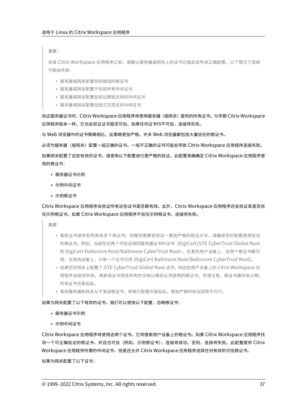重要:

安装 Citrix Workspace 应用程序之前,请确认服务器或网关上的证书已按此处所述正确配置。以下情况下连接 可能会失败:

- 服务器或网关配置包括错误的根证书
- 服务器或网关配置不包括所有中间证书
- 服务器或网关配置包括过期或无效的中间证书
- 服务器或网关配置包括交叉签名的中间证书

验证服务器证书时,Citrix Workspace 应用程序将使用服务器(或网关)提供的所有证书。与早期 Citrix Workspace 应用程序版本一样,它也会验证证书是否可信。如果任何证书均不可信,连接将失败。

与 Web 浏览器中的证书策略相比,此策略更加严格。许多 Web 浏览器都包括大量信任的根证书。

必须为服务器(或网关)配置一组正确的证书。一组不正确的证书可能会导致 Citrix Workspace 应用程序连接失败。

如果网关配置了这些有效的证书,请使用以下配置进行更严格的验证。此配置准确确定 Citrix Workspace 应用程序使 用的根证书:

- 服务器证书示例
- 示例中间证书
- 示例根证书

Citrix Workspace 应用程序会验证所有这些证书是否都有效。此外,Citrix Workspace 应用程序还会验证其是否信 任示例根证书。如果 Citrix Workspace 应用程序不信任示例根证书,连接将失败。

重要:

- 某些证书颁发机构具有多个根证书。如果您需要使用这一更加严格的验证方法,请确保您的配置使用恰当 的根证书。例如,当前存在两个可验证相同服务器证书的证书(DigiCert/GTE CyberTrust Global Root 和 DigiCert Baltimore Root/Baltimore CyberTrust Root)。在某些用户设备上,这两个根证书都可 用。在其他设备上,只有一个证书可用 (DigiCert Baltimore Root/Baltimore CyberTrust Root)。
- 如果您在网关上配置了 GTE CyberTrust Global Root 证书,则这些用户设备上的 Citrix Workspace 应 用程序连接将失败。请参阅证书颁发机构的文档以确定必须使用的根证书。另请注意,根证书最终会过期, 所有证书也是如此。
- 某些服务器和网关从不发送根证书,即使已配置也是如此。更加严格的验证因而不可行。

如果为网关配置了以下有效的证书,我们可以使用以下配置,忽略根证书:

- 服务器证书示例
- 示例中间证书

Citrix Workspace 应用程序将使用这两个证书。它将搜索用户设备上的根证书。如果 Citrix Workspace 应用程序找 到一个可正确验证的根证书,并且也可信(例如,示例根证书),连接将成功。否则,连接将失败。此配置提供 Citrix Workspace 应用程序所需的中间证书,但是还允许 Citrix Workspace 应用程序选择任何有效的可信根证书。

如果为网关配置了以下证书: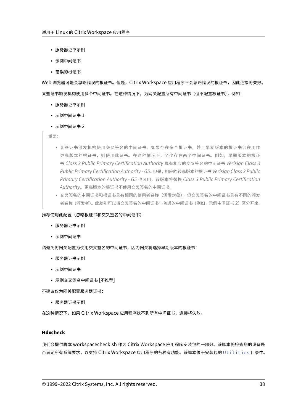- 服务器证书示例
- 示例中间证书
- 错误的根证书

Web 浏览器可能会忽略错误的根证书。但是,Citrix Workspace 应用程序不会忽略错误的根证书,因此连接将失败。 某些证书颁发机构使用多个中间证书。在这种情况下,为网关配置所有中间证书(但不配置根证书),例如:

- 服务器证书示例
- 示例中间证书 1
- 示例中间证书 2

重要:

- 某些证书颁发机构使用交叉签名的中间证书。如果存在多个根证书,并且早期版本的根证书仍在用作 更高版本的根证书,则使用此证书。在这种情况下,至少存在两个中间证书。例如,早期版本的根证 书 *Class 3 Public Primary Certification Authority* 具有相应的交叉签名的中间证书 *Verisign Class 3 Public Primary Certification Authority ‑ G5*。但是,相应的较高版本的根证书 *Verisign Class 3 Public Primary Certification Authority ‑ G5* 也可用,该版本将替换 *Class 3 Public Primary Certification Authority*。更高版本的根证书不使用交叉签名的中间证书。
- 交叉签名的中间证书和根证书具有相同的使用者名称(颁发对象)。但交叉签名的中间证书具有不同的颁发 者名称(颁发者)。此差别可以将交叉签名的中间证书与普通的中间证书(例如,示例中间证书 2)区分开来。

## 推荐使用此配置(忽略根证书和交叉签名的中间证书):

- 服务器证书示例
- 示例中间证书

请避免将网关配置为使用交叉签名的中间证书,因为网关将选择早期版本的根证书:

- 服务器证书示例
- 示例中间证书
- 示例交叉签名中间证书 [不推荐]

不建议仅为网关配置服务器证书:

• 服务器证书示例

在这种情况下,如果 Citrix Workspace 应用程序找不到所有中间证书,连接将失败。

## **Hdxcheck**

我们会提供脚本 workspacecheck.sh 作为 Citrix Workspace 应用程序安装包的一部分。该脚本将检查您的设备是 否满足所有系统要求,以支持 Citrix Workspace 应用程序的各种有功能。该脚本位于安装包的 Utilities 目录中。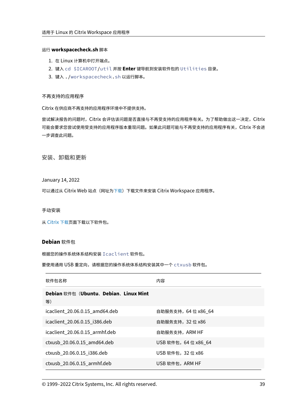## 运行 **workspacecheck.sh** 脚本

- 1. 在 Linux 计算机中打开端点。
- 2. 键入 cd \$ICAROOT/util 并按 **Enter** 键导航到安装软件包的 Utilities 目录。
- 3. 键入 ./workspacecheck.sh 以运行脚本。

## 不再支持的应用程序

Citrix 在供应商不再支持的应用程序环境中不提供支持。

尝试解决报告的问题时,Citrix 会评估该问题是否直接与不再受支持的应用程序有关。为了帮助做出这一决定,Citrix 可能会要求您尝试使用受支持的应用程序版本重现问题。如果此问题可能与不再受支持的应用程序有关,Citrix 不会进 一步调查此问题。

安装、卸载和更新

January 14, 2022

可以通过从 Citrix Web 站点 (网址为下载) 下载文件来安装 Citrix Workspace 应用程序。

手动安装

从 Citrix 下载页面下载以下软件包。

## **D[ebian](https://www.citrix.com/downloads/workspace-app/linux/workspace-app-for-linux-latest.html)** 软件包

根据您的操作系统体系结构安装 Icaclient 软件包。

要使用通用 USB 重定向,请根据您的操作系统体系结构安装其中一个 ctxusb 软件包。

| 软件包名称                                      | 内容                   |
|--------------------------------------------|----------------------|
| Debian 软件包 (Ubuntu、Debian、Linux Mint<br>等) |                      |
| icaclient 20.06.0.15 amd64.deb             | 自助服务支持,64 位 x86 64   |
| icaclient 20.06.0.15 i386.deb              | 自助服务支持, 32 位 x86     |
| icaclient 20.06.0.15 armhf.deb             | 自助服务支持,ARM HF        |
| ctxusb 20.06.0.15 amd64.deb                | USB 软件包, 64 位 x86 64 |
| ctxusb 20.06.0.15 i386.deb                 | USB 软件包, 32 位 x86    |
| ctxusb 20.06.0.15 armhf.deb                | USB 软件包,ARM HF       |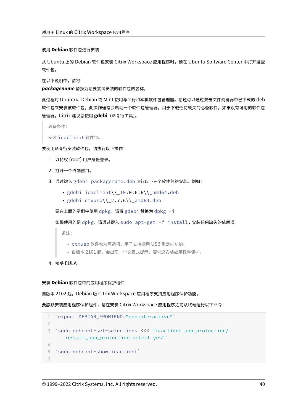## 使用 **Debian** 软件包进行安装

从 Ubuntu 上的 Debian 软件包安装 Citrix Workspace 应用程序时,请在 Ubuntu Software Center 中打开这些 软件包。

在以下说明中,请将

*packagename* 替换为您要尝试安装的软件包的名称。

此过程对 Ubuntu、Debian 或 Mint 使用命令行和本机软件包管理器。您还可以通过双击文件浏览器中已下载的.deb 软件包来安装该软件包。此操作通常会启动一个软件包管理器,用于下载任何缺失的必备软件。如果没有可用的软件包 管理器,Citrix 建议您使用 **gdebi**(命令行工具)。

必备条件:

安装 icaclient 软件包。

要使用命令行安装软件包,请执行以下操作:

- 1. 以特权 (root) 用户身份登录。
- 2. 打开一个终端窗口。
- 3. 通过键入 gdebi packagename.deb 运行以下三个软件包的安装。例如:
	- gdebi icaclient\\\_19.0.6.6\\\_amd64.deb
	- gdebi  $ctxush \12.7.6 \1 amd64.deb$

要在上面的示例中使用 dpkg,请将 gdebi 替换为 dpkg -i。

如果使用的是 dpkg,请通过键入 sudo apt-get -f install. 安装任何缺失的依赖项。

备注:

- ctxusb 软件包为可选项,用于支持通用 USB 重定向功能。
- 自版本 2101 起, 会出现一个交互式提示, 要求您安装应用程序保护。
- 4. 接受 EULA。

## 安装 **Debian** 软件包中的应用程序保护组件

自版本 2102 起, Debian 版 Citrix Workspace 应用程序支持应用程序保护功能。

要静默安装应用程序保护组件,请在安装 Citrix Workspace 应用程序之前从终端运行以下命令:

```
1 `export DEBIAN_FRONTEND="noninteractive"`
\mathcal{L}3 `sudo debconf-set-selections <<< "icaclient app_protection/
      install_app_protection select yes"`
4
5 `sudo debconf-show icaclient`
6
```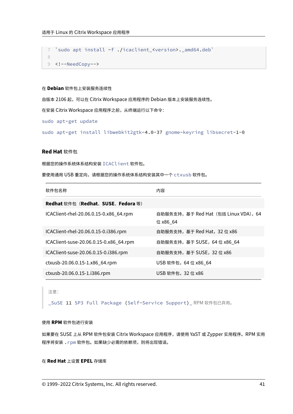```
7 `sudo apt install -f ./icaclient_<version>._amd64.deb`
8
9 <!--NeedCopy-->
```
## 在 **Debian** 软件包上安装服务连续性

自版本 2106 起,可以在 Citrix Workspace 应用程序的 Debian 版本上安装服务连续性。

在安装 Citrix Workspace 应用程序之前,从终端运行以下命令:

sudo apt-get update

sudo apt-get install libwebkit2gtk-4.0-37 gnome-keyring libsecret-1-0

## **Red Hat** 软件包

根据您的操作系统体系结构安装 ICAClient 软件包。

要使用通用 USB 重定向,请根据您的操作系统体系结构安装其中一个 ctxusb 软件包。

| 软件包名称                                   | 内容                                                |
|-----------------------------------------|---------------------------------------------------|
| <b>Redhat</b> 软件包(Redhat、SUSE、Fedora 等) |                                                   |
| ICAClient-rhel-20.06.0.15-0.x86 64.rpm  | 自助服务支持, 基于 Red Hat (包括 Linux VDA), 64<br>位 x86 64 |
| ICAClient-rhel-20.06.0.15-0.i386.rpm    | 自助服务支持, 基于 Red Hat, 32 位 x86                      |
| ICAClient-suse-20.06.0.15-0.x86_64.rpm  | 自助服务支持,基于 SUSE,64 位 x86 64                        |
| ICAClient-suse-20.06.0.15-0.i386.rpm    | 自助服务支持,基于 SUSE,32 位 x86                           |
| ctxusb-20.06.0.15-1.x86_64.rpm          | USB 软件包,64 位 x86 64                               |
| ctxusb-20.06.0.15-1.i386.rpm            | USB 软件包, 32 位 x86                                 |

#### 注意:

\_SuSE 11 SP3 Full Package (Self-Service Support)\_ RPM 软件包已弃用。

## 使用 **RPM** 软件包进行安装

如果要在 SUSE 上从 RPM 软件包安装 Citrix Workspace 应用程序,请使用 YaST 或 Zypper 实用程序。RPM 实用 程序将安装 .rpm 软件包。如果缺少必需的依赖项,则将出现错误。

## 在 **Red Hat** 上设置 **EPEL** 存储库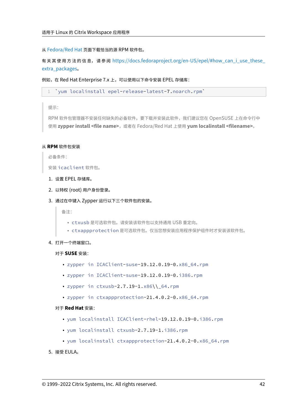从 Fedora/Red Hat 页面下载恰当的源 RPM 软件包。

有关其使用方法的信息,请参阅 https://docs.fedoraproject.org/en-US/epel/#how\_can\_i\_use\_these ex[tra\\_packages](https://docs.fedoraproject.org/en-US/epel/#what_packages_and_versions_are_available_in_epel)。

例如, 在 Red Hat Enterprise 7.x 上, 可以使用以下命令安装 EPEL 存储库:

1 'yum localinstall epel-release-latest-7.noarch.rpm'

提示:

RPM 软件包管理器不安装任何缺失的必备软件。要下载并安装此软件,我们建议您在 OpenSUSE 上在命令行中 使用 **zypper install <file name>**,或者在 Fedora/Red Hat 上使用 **yum localinstall <filename>**。

### 从 **RPM** 软件包安装

必备条件:

安装 icaclient 软件包。

- 1. 设置 EPEL 存储库。
- 2. 以特权 (root) 用户身份登录。
- 3. 通过在中键入 Zypper 运行以下三个软件包的安装。

备注:

- ctxusb 是可选软件包。请安装该软件包以支持通用 USB 重定向。
- ctxappprotection 是可选软件包。仅当您想安装应用程序保护组件时才安装该软件包。
- 4. 打开一个终端窗口。

#### 对于 **SUSE** 安装:

- zypper in ICAClient-suse-19.12.0.19-0.x86\_64.rpm
- zypper in ICAClient-suse-19.12.0.19-0.i386.rpm
- zypper in ctxusb-2.7.19-1.x86\\\_64.rpm
- zypper in ctxappprotection-21.4.0.2-0.x86\_64.rpm

## 对于 **Red Hat** 安装:

- yum localinstall ICAClient-rhel-19.12.0.19-0.i386.rpm
- yum localinstall ctxusb-2.7.19-1.i386.rpm
- yum localinstall ctxappprotection-21.4.0.2-0.x86\_64.rpm
- 5. 接受 EULA。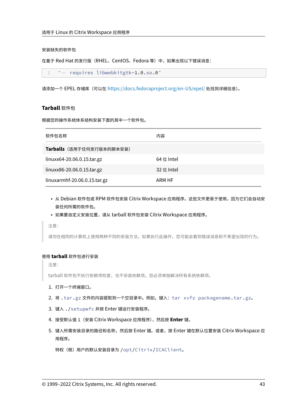## 安装缺失的软件包

在基于 Red Hat 的发行版 (RHEL、CentOS、Fedora 等) 中, 如果出现以下错误消息:

1 " … requires libwebkitgtk-1.0.so.0"

请添加一个 EPEL 存储库(可以在 https://docs.fedoraproject.org/en‑US/epel/ 处找到详细信息)。

# **Tarball** 软件包

根据您的操作系统体系结构安装下面的其中一个软件包。

| 软件包名称                        | 内容         |
|------------------------------|------------|
| Tarballs (适用于任何发行版本的脚本安装)    |            |
| linuxx64-20.06.0.15.tar.gz   | 64 位 Intel |
| linuxx86-20.06.0.15.tar.gz   | 32位 Intel  |
| linuxarmhf-20.06.0.15.tar.gz | ARM HF     |

- 从 Debian 软件包或 RPM 软件包安装 Citrix Workspace 应用程序。这些文件更易于使用,因为它们会自动安 装任何所需的软件包。
- 如果要自定义安装位置,请从 tarball 软件包安装 Citrix Workspace 应用程序。

注意:

请勿在相同的计算机上使用两种不同的安装方法。如果执行此操作,您可能会看到错误消息和不希望出现的行为。

### 使用 **tarball** 软件包进行安装

注意:

tarball 软件包不执行依赖项检查,也不安装依赖项。您必须单独解决所有系统依赖项。

- 1. 打开一个终端窗口。
- 2. 将 .tar.gz 文件的内容提取到一个空目录中。例如,键入:tar xvfz packagename.tar.gz。
- 3. 键入 ./setupwfc 并按 Enter 键运行安装程序。
- 4. 接受默认值 1(安装 Citrix Workspace 应用程序),然后按 **Enter** 键。
- 5. 键入所需安装目录的路径和名称,然后按 Enter 键。或者,按 Enter 键在默认位置安装 Citrix Workspace 应 用程序。

特权(根)用户的默认安装目录为 /opt/Citrix/ICAClient。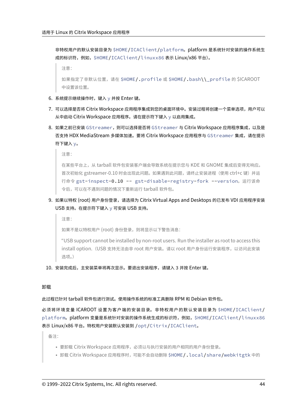非特权用户的默认安装目录为 \$HOME/ICAClient/platform。platform 是系统针对安装的操作系统生 成的标识符,例如,\$HOME/ICAClient/linuxx86 表示 Linux/x86 平台)。

```
注意:
```
如果指定了非默认位置,请在 \$HOME/.profile 或 \$HOME/.bash\\\_profile 的 \$ICAROOT 中设置该位置。

- 6. 系统提示继续操作时,键入 y 并按 Enter 键。
- 7. 可以选择是否将 Citrix Workspace 应用程序集成到您的桌面环境中。安装过程将创建一个菜单选项,用户可以 从中启动 Citrix Workspace 应用程序。请在提示符下键入 y 以启用集成。
- 8. 如果之前已安装 GStreamer, 则可以选择是否将 GStreamer 与 Citrix Workspace 应用程序集成, 以及是 否支持 HDX MediaStream 多媒体加速。要将 Citrix Workspace 应用程序与 GStreamer 集成,请在提示 符下键入 y。

注意:

在某些平台上,从 tarball 软件包安装客户端会导致系统在提示您与 KDE 和 GNOME 集成后变得无响应。 首次初始化 gstreamer‑0.10 时会出现此问题。如果遇到此问题,请终止安装进程(使用 ctrl+c 键)并运 行命令 gst-inspect-0.10 -- gst-disable-registry-fork --version。运行该命 令后,可以在不遇到问题的情况下重新运行 tarball 软件包。

9. 如果以特权 (root) 用户身份登录,请选择为 Citrix Virtual Apps and Desktops 的已发布 VDI 应用程序安装 USB 支持。在提示符下键入 y 可安装 USB 支持。

注意:

如果不是以特权用户 (root) 身份登录, 则将显示以下警告消息:

"USB support cannot be installed by non‑root users. Run the installer as root to access this install option.(USB 支持无法由非 root 用户安装。请以 root 用户身份运行安装程序,以访问此安装 选项。)

10. 安装完成后,主安装菜单将再次显示。要退出安装程序,请键入 3 并按 Enter 键。

# 卸载

此过程已针对 tarball 软件包进行测试。使用操作系统的标准工具删除 RPM 和 Debian 软件包。

必须将环境变量 ICAROOT 设置为客户端的安装目录。非特权用户的默认安装目录为 \$HOME/ICAClient/ platform。platform 变量是系统针对安装的操作系统生成的标识符,例如, \$HOME/ICAClient/linuxx86 表示 Linux/x86 平台。特权用户安装默认安装到 /opt/Citrix/ICAClient。

备注:

- 要卸载 Citrix Workspace 应用程序,必须以与执行安装的用户相同的用户身份登录。
- 卸载 Citrix Workspace 应用程序时,可能不会自动删除 \$HOME / . local / share /webkitgtk 中的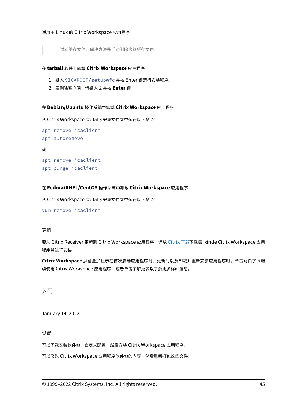过期缓存文件。解决方法是手动删除这些缓存文件。

## 在 **tarball** 软件上卸载 **Citrix Workspace** 应用程序

- 1. 键入 \$ICAROOT/setupwfc 并按 Enter 键运行安装程序。
- 2. 要删除客户端,请键入 2 并按 **Enter** 键。

### 在 **Debian/Ubuntu** 操作系统中卸载 **Citrix Workspace** 应用程序

从 Citrix Workspace 应用程序安装文件夹中运行以下命令:

```
apt remove icaclient
apt autoremove
```
或

```
apt remove icaclient
apt purge icaclient
```
## 在 **Fedora/RHEL/CentOS** 操作系统中卸载 **Citrix Workspace** 应用程序

从 Citrix Workspace 应用程序安装文件夹中运行以下命令:

```
yum remove icaclient
```
# 更新

要从 Citrix Receiver 更新到 Citrix Workspace 应用程序,请从 Citrix 下载下载需 ixinde Citrix Workspace 应用 程序并进行安装。

**Citrix Workspace** 屏幕叠加显示在首次启动应用程序时、更新时以及卸载并重新安装应用程序时。单击明白了以继 续使用 Citrix Workspace 应用程序, 或者单击了解更多以了解更[多详细信息。](https://www.citrix.com/downloads/workspace-app/linux/workspace-app-for-linux-latest.html)

# 入门

January 14, 2022

设置

可以下载安装软件包,自定义配置,然后安装 Citrix Workspace 应用程序。

可以修改 Citrix Workspace 应用程序软件包的内容,然后重新打包这些文件。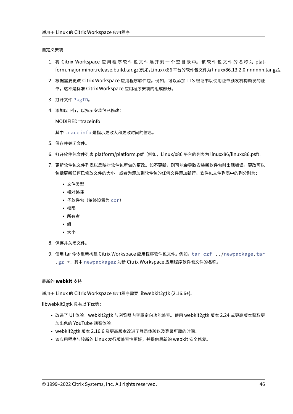## 自定义安装

- 1. 将 Citrix Workspace 应用程序软件包文件展开到一个空目录中。该软件包文件的名称为 platform.major.minor.release.build.tar.gz(例如,Linux/x86 平台的软件包文件为 linuxx86.13.2.0.nnnnnn.tar.gz)。
- 2. 根据需要更改 Citrix Workspace 应用程序软件包。例如,可以添加 TLS 根证书以使用证书颁发机构颁发的证 书,这不是标准 Citrix Workspace 应用程序安装的组成部分。
- 3. 打开文件 PkgID。
- 4. 添加以下行,以指示安装包已修改:

MODIFIED=traceinfo

其中 traceinfo 是指示更改人和更改时间的信息。

- 5. 保存并关闭文件。
- 6. 打开软件包文件列表 platform/platform.psf(例如,Linux/x86 平台的列表为 linuxx86/linuxx86.psf)。
- 7. 更新软件包文件列表以反映对软件包所做的更改。如不更新,则可能会导致安装新软件包时出现错误。更改可以 包括更新任何已修改文件的大小,或者为添加到软件包的任何文件添加新行。软件包文件列表中的列分别为:
	- 文件类型
	- 相对路径
	- 子软件包(始终设置为 cor)
	- 权限
	- 所有者
	- 组
	- 大小
- 8. 保存并关闭文件。
- 9. 使用 tar 命令重新构建 Citrix Workspace 应用程序软件包文件。例如, tar czf ../newpackage.tar .gz \*, 其中 newpackagez 为新 Citrix Workspace 应用程序软件包文件的名称。

## 最新的 **webkit** 支持

适用于 Linux 的 Citrix Workspace 应用程序需要 libwebkit2gtk (2.16.6+)。

libwebkit2gtk 具有以下优势:

- 改进了 UI 体验。webkit2gtk 与浏览器内容重定向功能兼容。使用 webkit2gtk 版本 2.24 或更高版本获取更 加出色的 YouTube 观看体验。
- webkit2gtk 版本 2.16.6 及更高版本改进了登录体验以及登录所需的时间。
- 该应用程序与较新的 Linux 发行版兼容性更好,并提供最新的 webkit 安全修复。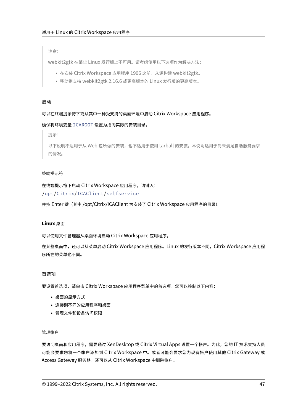注意:

webkit2gtk 在某些 Linux 发行版上不可用。请考虑使用以下选项作为解决方法:

- 在安装 Citrix Workspace 应用程序 1906 之前,从源构建 webkit2gtk。
- 移动到支持 webkit2gtk 2.16.6 或更高版本的 Linux 发行版的更高版本。

# 启动

# 可以在终端提示符下或从其中一种受支持的桌面环境中启动 Citrix Workspace 应用程序。

# 确保将环境变量 ICAROOT 设置为指向实际的安装目录。

提示:

以下说明不适用于从 Web 包所做的安装,也不适用于使用 tarball 的安装。本说明适用于尚未满足自助服务要求 的情况。

# 终端提示符

在终端提示符下启动 Citrix Workspace 应用程序,请键入: /opt/Citrix/ICAClient/selfservice

并按 Enter 键(其中 /opt/Citrix/ICAClient 为安装了 Citrix Workspace 应用程序的目录)。

# **Linux** 桌面

可以使用文件管理器从桌面环境启动 Citrix Workspace 应用程序。

在某些桌面中,还可以从菜单启动 Citrix Workspace 应用程序。Linux 的发行版本不同,Citrix Workspace 应用程 序所在的菜单也不同。

# 首选项

要设置首选项,请单击 Citrix Workspace 应用程序菜单中的首选项。您可以控制以下内容:

- 桌面的显示方式
- 连接到不同的应用程序和桌面
- 管理文件和设备访问权限

## 管理帐户

要访问桌面和应用程序,需要通过 XenDesktop 或 Citrix Virtual Apps 设置一个帐户。为此,您的 IT 技术支持人员 可能会要求您将一个帐户添加到 Citrix Workspace 中。或者可能会要求您为现有帐户使用其他 Citrix Gateway 或 Access Gateway 服务器。还可以从 Citrix Workspace 中删除帐户。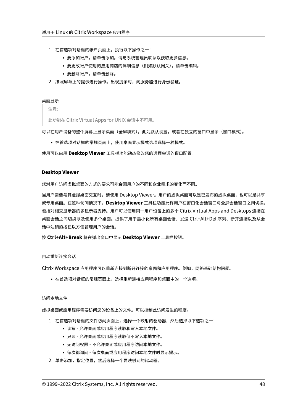- 1. 在首选项对话框的帐户页面上,执行以下操作之一:
	- 要添加帐户,请单击添加。请与系统管理员联系以获取更多信息。
	- 要更改帐户使用的应用商店的详细信息(例如默认网关),请单击编辑。
	- 要删除帐户,请单击删除。
- 2. 按照屏幕上的提示进行操作。出现提示时,向服务器进行身份验证。

## 桌面显示

注意:

此功能在 Citrix Virtual Apps for UNIX 会话中不可用。

可以在用户设备的整个屏幕上显示桌面(全屏模式),此为默认设置,或者在独立的窗口中显示(窗口模式)。

• 在首选项对话框的常规页面上,使用桌面显示模式选项选择一种模式。

使用可以启用 **Desktop Viewer** 工具栏功能动态修改您的远程会话的窗口配置。

## **Desktop Viewer**

您对用户访问虚拟桌面的方式的要求可能会因用户的不同和企业需求的变化而不同。

当用户需要与其虚拟桌面交互时,请使用 Desktop Viewer。用户的虚拟桌面可以是已发布的虚拟桌面,也可以是共享 或专用桌面。在这种访问情况下,**Desktop Viewer** 工具栏功能允许用户在窗口化会话窗口与全屏会话窗口之间切换, 包括对相交显示器的多显示器支持。用户可以使用同一用户设备上的多个 Citrix Virtual Apps and Desktops 连接在 桌面会话之间切换以及使用多个桌面。提供了用于最小化所有桌面会话、发送 Ctrl+Alt+Del 序列、断开连接以及从会 话中注销的按钮以方便管理用户的会话。

按 **Ctrl+Alt+Break** 将在弹出窗口中显示 **Desktop Viewer** 工具栏按钮。

## 自动重新连接会话

Citrix Workspace 应用程序可以重新连接到断开连接的桌面和应用程序。例如,网络基础结构问题。

• 在首选项对话框的常规页面上,选择重新连接应用程序和桌面中的一个选项。

## 访问本地文件

虚拟桌面或应用程序需要访问您的设备上的文件。可以控制此访问发生的程度。

- 1. 在首选项对话框的文件访问页面上,选择一个映射的驱动器,然后选择以下选项之一:
	- 读写 ‑ 允许桌面或应用程序读取和写入本地文件。
	- 只读 允许桌面或应用程序读取但不写入本地文件。
	- 无访问权限 ‑ 不允许桌面或应用程序访问本地文件。
	- 每次都询问 每次桌面或应用程序访问本地文件时显示提示。
- 2. 单击添加,指定位置,然后选择一个要映射到的驱动器。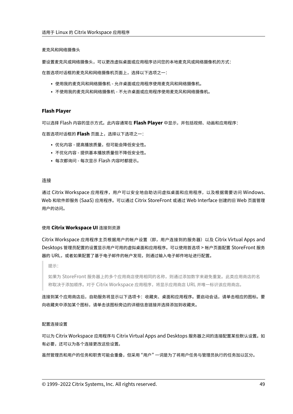麦克风和网络摄像头

要设置麦克风或网络摄像头,可以更改虚拟桌面或应用程序访问您的本地麦克风或网络摄像机的方式:

在首选项对话框的麦克风和网络摄像机页面上,选择以下选项之一:

- 使用我的麦克风和网络摄像机 允许桌面或应用程序使用麦克风和网络摄像机。
- 不使用我的麦克风和网络摄像机 不允许桌面或应用程序使用麦克风和网络摄像机。

## **Flash Player**

可以选择 Flash 内容的显示方式。此内容通常在 **Flash Player** 中显示,并包括视频、动画和应用程序: 在首选项对话框的 **Flash** 页面上,选择以下选项之一:

- 优化内容 提高播放质量,但可能会降低安全性。
- 不优化内容 提供基本播放质量但不降低安全性。
- 每次都询问 ‑ 每次显示 Flash 内容时都提示。

## 连接

通过 Citrix Workspace 应用程序, 用户可以安全地自助访问虚拟桌面和应用程序, 以及根据需要访问 Windows、 Web 和软件即服务 (SaaS) 应用程序。可以通过 Citrix StoreFront 或通过 Web Interface 创建的旧 Web 页面管理 用户的访问。

#### 使用 **Citrix Workspace UI** 连接到资源

Citrix Workspace 应用程序主页根据用户的帐户设置(即,用户连接到的服务器)以及 Citrix Virtual Apps and Desktops 管理员配置的设置显示用户可用的虚拟桌面和应用程序。可以使用首选项 > 帐户页面配置 StoreFront 服务 器的 URL,或者如果配置了基于电子邮件的帐户发现,则通过输入电子邮件地址进行配置。

提示:

如果为 StoreFront 服务器上的多个应用商店使用相同的名称,则通过添加数字来避免重复。此类应用商店的名 称取决于添加顺序。对于 Citrix Workspace 应用程序,将显示应用商店 URL 并唯一标识该应用商店。

连接到某个应用商店后,自助服务将显示以下选项卡:收藏夹、桌面和应用程序。要启动会话,请单击相应的图标。要 向收藏夹中添加某个图标,请单击该图标旁边的详细信息链接并选择添加到收藏夹。

#### 配置连接设置

可以为 Citrix Workspace 应用程序与 Citrix Virtual Apps and Desktops 服务器之间的连接配置某些默认设置。如 有必要,还可以为各个连接更改这些设置。

虽然管理员和用户的任务和职责可能会重叠,但采用 "用户" 一词是为了将用户任务与管理员执行的任务加以区分。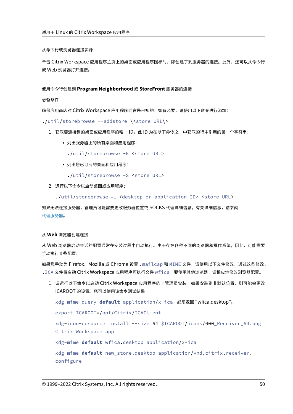从命令行或浏览器连接资源

单击 Citrix Workspace 应用程序主页上的桌面或应用程序图标时,即创建了到服务器的连接。此外,还可以从命令行 或 Web 浏览器打开连接。

使用命令行创建到 **Program Neighborhood** 或 **StoreFront** 服务器的连接

必备条件:

确保应用商店对 Citrix Workspace 应用程序而言是已知的。如有必要,请使用以下命令进行添加:

./util/storebrowse --addstore \<store URL\>

- 1. 获取要连接到的桌面或应用程序的唯一 ID。此 ID 为在以下命令之一中获取的行中引用的第一个字符串:
	- 列出服务器上的所有桌面和应用程序:
		- ./util/storebrowse -E <store URL>
	- 列出您已订阅的桌面和应用程序:
		- ./util/storebrowse -S <store URL>
- 2. 运行以下命令以启动桌面或应用程序:

./util/storebrowse -L <desktop or application ID> <store URL>

如果无法连接服务器,管理员可能需要更改服务器位置或 SOCKS 代理详细信息。有关详细信息,请参阅 代理服务器。

## 从 **[Web](https://docs.citrix.com/zh-cn/citrix-workspace-app-for-linux/secure.html#proxy-server)** 浏览器创建连接

从 Web 浏览器启动会话的配置通常在安装过程中自动执行。由于存在各种不同的浏览器和操作系统,因此,可能需要 手动执行某些配置。

如果您手动为 Firefox、Mozilla 或 Chrome 设置 .mailcap 和 MIME 文件,请使用以下文件修改。通过这些修改, .ICA 文件将启动 Citrix Workspace 应用程序可执行文件 wfica。要使用其他浏览器,请相应地修改浏览器配置。

1. 请运行以下命令以启动 Citrix Workspace 应用程序的非管理员安装。如果安装到非默认位置, 则可能会更改 ICAROOT 的设置。您可以使用该命令测试结果

xdg-mime query **default** application/x-ica,必须返回 "wfica.desktop"。

export ICAROOT=/opt/Citrix/ICAClient

xdg-icon-resource install --size 64 \$ICAROOT/icons/000\_Receiver\_64.png Citrix Workspace app

xdg-mime **default** wfica.desktop application/x-ica

xdg-mime **default** new\_store.desktop application/vnd.citrix.receiver. configure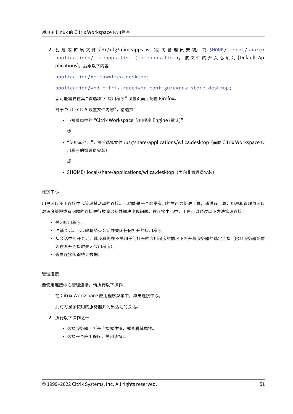2. 创 建 或 扩 展 文 件 /etc/xdg/mimeapps.list (面 向 管 理 员 安 装) 或 \$HOME/.local/share/ applications/mimeapps.list (mimeapps.list)。 该文件的开头必须为 [Default Applications],后跟以下内容:

application/x-ica=wfica.desktop;

application/vnd.citrix.receiver.configure=new\_store.desktop;

您可能需要在其 "首选项"/"应用程序" 设置页面上配置 Firefox。

对于"Citrix ICA 设置文件内容",请选择:

• 下拉菜单中的 "Citrix Workspace 应用程序 Engine (默认)"

或

• "使用其他...",然后选择文件 /usr/share/applications/wfica.desktop (面向 Citrix Workspace 应 用程序的管理员安装)

或

• \$HOME/.local/share/applications/wfica.desktop(面向非管理员安装)。

连接中心

用户可以使用连接中心管理其活动的连接。此功能是一个非常有用的生产力促进工具,通过该工具,用户和管理员可以 对速度缓慢或有问题的连接进行故障诊断并解决出现问题。在连接中心中,用户可以通过以下方法管理连接:

- 关闭应用程序。
- 注销会话。此步骤将结束会话并关闭任何打开的应用程序。
- 从会话中断开会话。此步骤将在不关闭任何打开的应用程序的情况下断开与服务器的选定连接(除非服务器配置 为在断开连接时关闭应用程序)。
- 查看连接传输统计数据。

管理连接

要使用连接中心管理连接,请执行以下操作:

1. 在 Citrix Workspace 应用程序菜单中,单击连接中心。

此时将显示使用的服务器并列出活动的会话。

- 2. 执行以下操作之一:
	- 选择服务器、断开连接或注销,或查看其属性。
	- 选择一个应用程序,关闭该窗口。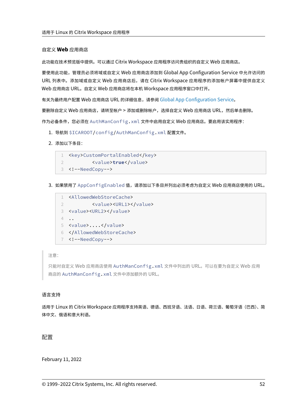## 自定义 **Web** 应用商店

此功能在技术预览版中提供。可以通过 Citrix Workspace 应用程序访问贵组织的自定义 Web 应用商店。

要使用此功能,管理员必须将域或自定义 Web 应用商店添加到 Global App Configuration Service 中允许访问的 URL 列表中。添加域或自定义 Web 应用商店后,请在 Citrix Workspace 应用程序的添加帐户屏幕中提供自定义 Web 应用商店 URL。自定义 Web 应用商店将在本机 Workspace 应用程序窗口中打开。

有关为最终用户配置 Web 应用商店 URL 的详细信息,请参阅 Global App Configuration Service。

要删除自定义 Web 应用商店,请转至帐户 > 添加或删除帐户,选择自定义 Web 应用商店 URL,然后单击删除。

作为必备条件,您必须在 AuthManConfig.xml 文件中启用自定义 Web [应用商店。要启用该实用](https://developer.cloud.com/citrixworkspace/server-integration/global-app-configuration-service/docs/getting-started)程序:

- 1. 导航到 \$ICAROOT/config/AuthManConfig.xml 配置文件。
- 2. 添加以下条目:

```
1 <key>CustomPortalEnabled</key>
2 <value>true</value>
3 <!--NeedCopy-->
```
3. 如果禁用了 AppConfigEnabled 值,请添加以下条目并列出必须考虑为自定义 Web 应用商店使用的 URL。

```
1 <AllowedWebStoreCache>
2 <value><URL1></value>
3 <value><URL2></value>
4 ..
5 <value>....</value>
6 </AllowedWebStoreCache>
7 <!--NeedCopy-->
```
## 注意:

只能对自定义 Web 应用商店使用 AuthManConfig.xml 文件中列出的 URL。可以在要为自定义 Web 应用 商店的 AuthManConfig.xml 文件中添加额外的 URL。

## 语言支持

适用于 Linux 的 Citrix Workspace 应用程序支持英语、德语、西班牙语、法语、日语、荷兰语、葡萄牙语(巴西)、简 体中文、俄语和意大利语。

# 配置

February 11, 2022

```
© 1999–2022 Citrix Systems, Inc. All rights reserved. 52
```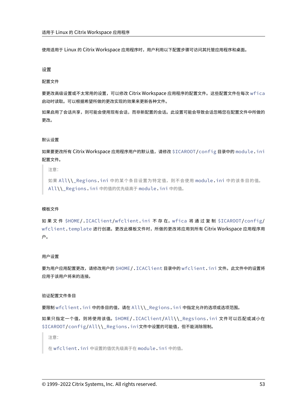使用适用于 Linux 的 Citrix Workspace 应用程序时, 用户利用以下配置步骤可访问其托管应用程序和桌面。

## 设置

## 配置文件

要更改高级设置或不太常用的设置,可以修改 Citrix Workspace 应用程序的配置文件。这些配置文件在每次 wfica 启动时读取。可以根据希望所做的更改实现的效果来更新各种文件。

如果启用了会话共享,则可能会使用现有会话,而非新配置的会话。此设置可能会导致会话忽略您在配置文件中所做的 更改。

## 默认设置

如果要更改所有 Citrix Workspace 应用程序用户的默认值,请修改 \$ICAROOT/config 目录中的 module.ini 配置文件。

注意:

如果 All\\\_Regions.ini 中的某个条目设置为特定值,则不会使用 module.ini 中的该条目的值。 All\\\_Regions.ini 中的值的优先级高于 module.ini 中的值。

#### 模板文件

如果文件 \$HOME/.ICAClient/wfclient.ini 不存在, wfica 将通过复制 \$ICAROOT/config/ wfclient.template 进行创建。更改此模板文件时,所做的更改将应用到所有 Citrix Workspace 应用程序用 户。

## 用户设置

要为用户应用配置更改,请修改用户的 \$HOME/.ICAClient 目录中的 wfclient.ini 文件。此文件中的设置将 应用于该用户将来的连接。

# 验证配置文件条目

要限制 wfclient.ini 中的条目的值,请在 All\\\_Regions.ini 中指定允许的选项或选项范围。

如果只指定一个值,则将使用该值。\$HOME/.ICAClient/All\\\_Regsions.ini 文件可以匹配或减小在 \$ICAROOT/config/All\\\_Regions.ini文件中设置的可能值,但不能消除限制。

注意:

在 wfclient.ini 中设置的值优先级高于在 module.ini 中的值。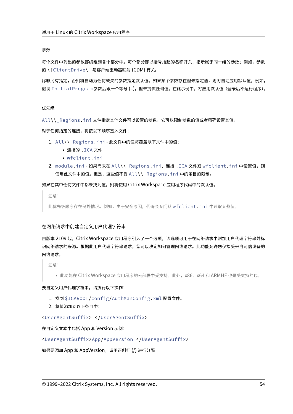## 参数

每个文件中列出的参数都编组到各个部分中。每个部分都以括号括起的名称开头,指示属于同一组的参数;例如,参数 的 \[ClientDrive\] 与客户端驱动器映射 (CDM) 有关。

除非另有指定,否则将自动为任何缺失的参数指定默认值。如果某个参数存在但未指定值,则将自动应用默认值。例如, 假设 InitialProgram 参数后跟一个等号 (=),但未提供任何值。在此示例中,将应用默认值(登录后不运行程序)。

## 优先级

All\\\_Regions.ini 文件指定其他文件可以设置的参数。它可以限制参数的值或者精确设置其值。

对于任何指定的连接,将按以下顺序签入文件:

- 1. All\\\_Regions.ini ‑ 此文件中的值将覆盖以下文件中的值:
	- 连接的 .ICA 文件
	- wfclient.ini
- 2. module.ini 如果尚未在 All\\\_Regions.ini、连接.ICA 文件或 wfclient.ini 中设置值, 则 使用此文件中的值。但是,这些值不受 All\\\_Regions.ini 中的条目的限制。

如果在其中任何文件中都未找到值,则将使用 Citrix Workspace 应用程序代码中的默认值。

注意:

此优先级顺序存在例外情况。例如,由于安全原因,代码会专门从 wfclient.ini 中读取某些值。

#### 在网络请求中创建自定义用户代理字符串

自版本 2109 起,Citrix Workspace 应用程序引入了一个选项,该选项可用于在网络请求中附加用户代理字符串并标 识网络请求的来源。根据此用户代理字符串请求,您可以决定如何管理网络请求。此功能允许您仅接受来自可信设备的 网络请求。

注意:

• 此功能在 Citrix Workspace 应用程序的云部署中受支持。此外,x86、x64 和 ARMHF 也是受支持的包。

#### 要自定义用户代理字符串,请执行以下操作:

- 1. 找到 \$ICAROOT/config/AuthManConfig.xml 配置文件。
- 2. 将值添加到以下条目中:

<UserAgentSuffix> </UserAgentSuffix>

在自定义文本中包括 App 和 Version 示例:

<UserAgentSuffix>App/AppVersion </UserAgentSuffix>

如果要添加 App 和 AppVersion,请用正斜杠 (/) 进行分隔。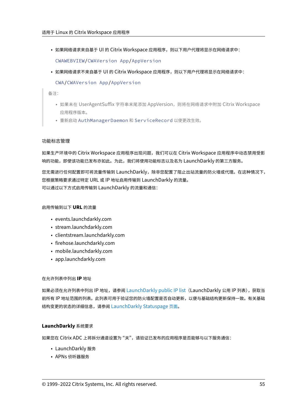• 如果网络请求来自基于 UI 的 Citrix Workspace 应用程序,则以下用户代理将显示在网络请求中:

CWAWEBVIEW/CWAVersion App/AppVersion

• 如果网络请求不来自基于 UI 的 Citrix Workspace 应用程序,则以下用户代理将显示在网络请求中:

CWA/CWAVersion App/AppVersion

备注:

- 如果未在 UserAgentSuffix 字符串末尾添加 AppVersion,则将在网络请求中附加 Citrix Workspace 应用程序版本。
- 重新启动 AuthManagerDaemon 和 ServiceRecord 以使更改生效。

## 功能标志管理

如果生产环境中的 Citrix Workspace 应用程序出现问题,我们可以在 Citrix Workspace 应用程序中动态禁用受影 响的功能,即使该功能已发布亦如此。为此,我们将使用功能标志以及名为 LaunchDarkly 的第三方服务。

您无需进行任何配置即可将流量传输到 LaunchDarkly,除非您配置了阻止出站流量的防火墙或代理。在这种情况下, 您根据策略要求通过特定 URL 或 IP 地址启用传输到 LaunchDarkly 的流量。 可以通过以下方式启用传输到 LaunchDarkly 的流量和通信:

## 启用传输到以下 **URL** 的流量

- events.launchdarkly.com
- stream.launchdarkly.com
- clientstream.launchdarkly.com
- firehose.launchdarkly.com
- mobile.launchdarkly.com
- app.launchdarkly.com

#### 在允许列表中列出 **IP** 地址

如果必须在允许列表中列出 IP 地址,请参阅 LaunchDarkly public IP list (LaunchDarkly 公用 IP 列表),获取当 前所有 IP 地址范围的列表。此列表可用于验证您的防火墙配置是否自动更新,以便与基础结构更新保持一致。有关基础 结构变更的状态的详细信息,请参阅 LaunchDarkly Statuspage 页面。

## **LaunchDarkly** 系统要求

如果您在 Citrix ADC 上将拆分通道设置为"关",请验证已发布的应用程序是否能够与以下服务通信:

- LaunchDarkly 服务
- APNs 侦听器服务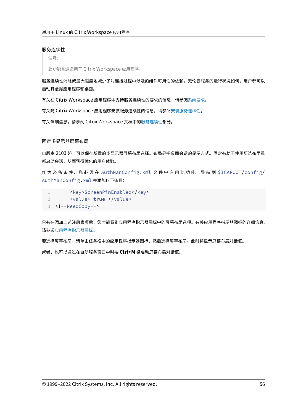## 服务连续性

注意:

此功能普遍适用于 Citrix Workspace 应用程序。

服务连续性消除或最大限度地减少了对连接过程中涉及的组件可用性的依赖。无论云服务的运行状况如何,用户都可以 启动其虚拟应用程序和桌面。

有关在 Citrix Workspace 应用程序中支持服务连续性的要求的信息,请参阅系统要求。

有关随 Citrix Workspace 应用程序安装服务连续性的信息,请参阅安装服务连续性。

有关详细信息,请参阅 Citrix Workspace 文档中的服务连续性部分。

固定多显示器屏幕布局

自版本 2103 起,可以保存所做的多显示器屏幕布局选择。布局是指桌面会话的显示方式。固定有助于使用所选布局重 新启动会话,从而获得优化的用户体验。

作 为 必 备 条 件, 您 必 须 在 AuthManConfig.xml 文 件 中 启 用 此 功 能。 导 航 到 \$ICAROOT/config/ AuthManConfig.xml 并添加以下条目:

1 <key>ScreenPinEnabled</key> 2 <value> **true** </value> 3 <!--NeedCopy-->

只有在添加上述注册表项后,您才能看到应用程序指示器图标中的屏幕布局选项。有关应用程序指示器图标的详细信息, 请参阅应用程序指示器图标。

要选择屏幕布局,请单击任务栏中的应用程序指示器图标,然后选择屏幕布局。此时将显示屏幕布局对话框。

或者[,也可以通过在自助服务](https://docs.citrix.com/zh-cn/citrix-workspace-app-for-linux/configure-xenapp.html#app-indicator-icon)窗口中时按 **Ctrl+M** 键启动屏幕布局对话框。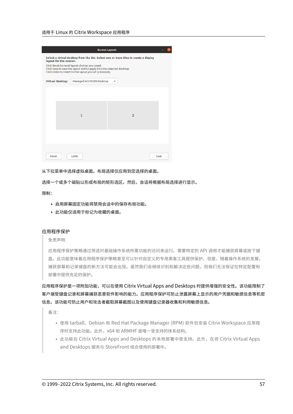## 适用于 Linux 的 Citrix Workspace 应用程序

|                                                                                                                 |                         |                                                                                                                                                                                    | <b>Screen Layout</b> |      |
|-----------------------------------------------------------------------------------------------------------------|-------------------------|------------------------------------------------------------------------------------------------------------------------------------------------------------------------------------|----------------------|------|
| Select a virtual desktop from the list. Select one or more tiles to create a display<br>layout for the session. |                         |                                                                                                                                                                                    |                      |      |
|                                                                                                                 |                         | Click Reset to reset layout choices you saved.<br>Click Save to save the layout and to apply it to the selected desktop.<br>Click Undo to revert to the layout you set previously. |                      |      |
|                                                                                                                 | <b>Virtual Desktop:</b> | Managed Win10 SIN Desktop                                                                                                                                                          | $\checkmark$         |      |
|                                                                                                                 |                         |                                                                                                                                                                                    |                      |      |
|                                                                                                                 |                         |                                                                                                                                                                                    |                      |      |
|                                                                                                                 |                         |                                                                                                                                                                                    |                      |      |
|                                                                                                                 |                         | $\mathbf{1}$                                                                                                                                                                       | $\overline{2}$       |      |
|                                                                                                                 |                         |                                                                                                                                                                                    |                      |      |
|                                                                                                                 |                         |                                                                                                                                                                                    |                      |      |
|                                                                                                                 |                         |                                                                                                                                                                                    |                      |      |
|                                                                                                                 |                         |                                                                                                                                                                                    |                      |      |
| Reset                                                                                                           |                         | Undo                                                                                                                                                                               |                      | Save |

从下拉菜单中选择虚拟桌面。布局选择仅应用到您选择的桌面。

选择一个或多个磁贴以形成布局的矩形选区。然后,会话将根据布局选择进行显示。

限制:

- 启用屏幕固定功能将禁用会话中的保存布局功能。
- 此功能仅适用于标记为收藏的桌面。

#### 应用程序保护

免责声明

应用程序保护策略通过筛选对基础操作系统所需功能的访问来运行。需要特定的 API 调用才能捕获屏幕或按下键 盘。此功能意味着应用程序保护策略甚至可以针对自定义的专用黑客工具提供保护。但是,随着操作系统的发展, 捕获屏幕和记录键盘的新方法可能会出现。虽然我们会继续识别和解决这些问题,但我们无法保证在特定配置和 部署中提供充足的保护。

应用程序保护是一项附加功能,可以在使用 Citrix Virtual Apps and Desktops 时提供增强的安全性。该功能限制了 客户端受键盘记录和屏幕捕获恶意软件影响的能力。应用程序保护可防止泄露屏幕上显示的用户凭据和敏感信息等机密 信息。该功能可防止用户和攻击者截取屏幕截图以及使用键盘记录器收集和利用敏感信息。

备注:

- 使用 tarball、Debian 和 Red Hat Package Manager (RPM) 软件包安装 Citrix Workspace 应用程 序时支持此功能。此外,x64 和 ARMHF 是唯一受支持的体系结构。
- 此功能在 Citrix Virtual Apps and Desktops 的本地部署中受支持。此外,在将 Citrix Virtual Apps and Desktops 服务与 StoreFront 结合使用的部署中。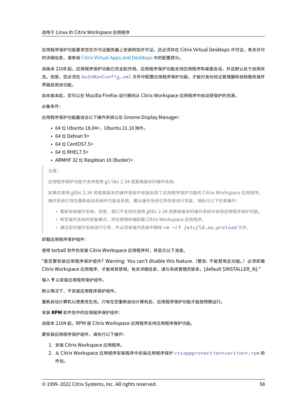应用程序保护功能要求您在许可证服务器上安装附加许可证。还必须存在 Citrix Virtual Desktops 许可证。有关许可 的详细信息,请参阅 Citrix Virtual Apps and Desktops 中的配置部分。

自版本 2108 起,应用程序保护功能已完全起作用。应用程序保护功能支持应用程序和桌面会话,并且默认处于启用状 态。但是,您必须在 [AuthManConfig.xml](https://docs.citrix.com/zh-cn/citrix-virtual-apps-desktops.html) 文件中配置应用程序保护功能,才能对身份验证管理器和自助服务插件 界面启用该功能。

自本版本起,您可以在 Mozilla Firefox 运行期间从 Citrix Workspace 应用程序中启动受保护的资源。

必备条件:

应用程序保护功能最适合以下操作系统以及 Gnome Display Manager:

- 64 位 Ubuntu 18.04+, Ubuntu 21.10 除外。
- 64 位 Debian 9+
- 64 位 CentOS7.5+
- 64 位 RHEL7.5+
- ARMHF 32 位 Raspbian 10 (Buster)+

注意:

应用程序保护功能不支持使用 glibc 2.34 或更高版本的操作系统。

如果在使用 glibc 2.34 或更高版本的操作系统中安装启用了应用程序保护功能的 Citrix Workspace 应用程序, 操作系统引导在重新启动系统时可能会失败。要从操作系统引导失败进行恢复,请执行以下任意操作:

- 重新安装操作系统。但是,我们不支持在使用 glibc 2.34 或更高版本的操作系统中启用应用程序保护功能。
- 转至操作系统的恢复模式,然后使用终端卸载 Citrix Workspace 应用程序。
- 通过实时操作系统进行引导,并从现有操作系统中删除 rm -rf /etc/ld.so.preload 文件。

## 卸载应用程序保护组件:

使用 tarball 软件包安装 Citrix Workspace 应用程序时,将显示以下消息。

"是否要安装应用程序保护组件? Warning: You can't disable this feature. (警告: 不能禁用此功能。) 必须卸载 Citrix Workspace 应用程序,才能将其禁用。有关详细信息,请与系统管理员联系。[default \$INSTALLER\_N]:"

输入 **Y** 以安装应用程序保护组件。

默认情况下,不安装应用程序保护组件。

重新启动计算机以使更改生效。只有在您重新启动计算机后,应用程序保护功能才能按预期运行。

安装 **RPM** 软件包中的应用程序保护组件:

自版本 2104 起,RPM 版 Citrix Workspace 应用程序支持应用程序保护功能。

要安装应用程序保护组件,请执行以下操作:

- 1. 安装 Citrix Workspace 应用程序。
- 2. 从 Citrix Workspace 应用程序安装程序中安装应用程序保护 ctxappprotection<version>.rpm 软 件包。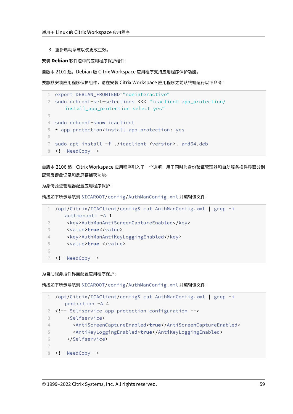3. 重新启动系统以使更改生效。

安装 **Debian** 软件包中的应用程序保护组件:

自版本 2101 起, Debian 版 Citrix Workspace 应用程序支持应用程序保护功能。

要静默安装应用程序保护组件,请在安装 Citrix Workspace 应用程序之前从终端运行以下命令:

```
1 export DEBIAN_FRONTEND="noninteractive"
2 sudo debconf-set-selections <<< "icaclient app_protection/
      install_app_protection select yes"
3
4 sudo debconf-show icaclient
5 * app_protection/install_app_protection: yes
6
7 sudo apt install -f ./icaclient_<version>._amd64.deb
8 <!--NeedCopy-->
```
自版本 2106 起,Citrix Workspace 应用程序引入了一个选项,用于同时为身份验证管理器和自助服务插件界面分别 配置反键盘记录和反屏幕捕获功能。

为身份验证管理器配置应用程序保护:

请按如下所示导航到 \$ICAROOT/config/AuthManConfig.xml 并编辑该文件:

|            | /opt/Citrix/ICAClient/config\$ cat AuthManConfig.xml   grep -i |
|------------|----------------------------------------------------------------|
|            | $authmananti -A 1$                                             |
|            | <key>AuthManAntiScreenCaptureEnabled</key>                     |
|            | <value>true</value>                                            |
| 4          | <key>AuthManAntiKeyLoggingEnabled</key>                        |
| 5          | <value>true </value>                                           |
| $\sqrt{ }$ |                                                                |
|            | 7 NeedCopy                                                     |

## 为自助服务插件界面配置应用程序保护:

请按如下所示导航到 \$ICAROOT/config/AuthManConfig.xml 并编辑该文件:

```
1 /opt/Citrix/ICAClient/config$ cat AuthManConfig.xml | grep -i
     protection -A 4
2 <!-- Selfservice app protection configuration -->
3 <Selfservice>
4 <AntiScreenCaptureEnabled>true</AntiScreenCaptureEnabled>
5 <AntiKeyLoggingEnabled>true</AntiKeyLoggingEnabled>
6 </Selfservice>
7
8 <!--NeedCopy-->
```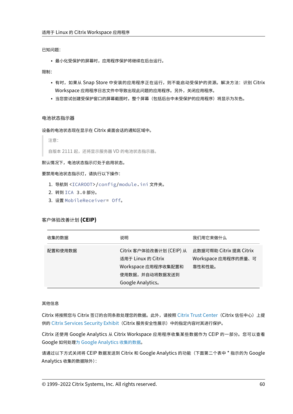已知问题:

• 最小化受保护的屏幕时,应用程序保护将继续在后台运行。

限制:

- 有时,如果从 Snap Store 中安装的应用程序正在运行,则不能启动受保护的资源。解决方法:识别 Citrix Workspace 应用程序日志文件中导致出现此问题的应用程序。另外,关闭应用程序。
- 当您尝试创建受保护窗口的屏幕截图时,整个屏幕(包括后台中未受保护的应用程序)将显示为灰色。

#### 电池状态指示器

设备的电池状态现在显示在 Citrix 桌面会话的通知区域中。

注意:

自版本 2111 起,还将显示服务器 VD 的电池状态指示器。

## 默认情况下,电池状态指示灯处于启用状态。

要禁用电池状态指示灯,请执行以下操作:

- 1. 导航到 <ICAROOT>/config/module.ini 文件夹。
- 2. 转到 ICA 3.0 部分。
- 3. 设置 MobileReceiver= Off。

# 客户体验改善计划 **(CEIP)**

| 收集的数据   | 说明                                                                                                           | 我们用它来做什么                                                 |
|---------|--------------------------------------------------------------------------------------------------------------|----------------------------------------------------------|
| 配置和使用数据 | Citrix 客户体验改善计划 (CEIP) 从<br>适用于 Linux 的 Citrix<br>Workspace 应用程序收集配置和<br>使用数据,并自动将数据发送到<br>Google Analytics. | 此数据可帮助 Citrix 提高 Citrix<br>Workspace 应用程序的质量、可<br>靠性和性能。 |

## 其他信息

Citrix 将按照您与 Citrix 签订的合同条款处理您的数据。此外,请按照 Citrix Trust Center (Citrix 信任中心) 上提 供的 Citrix Services Security Exhibit (Citrix 服务安全性展示)中的指定内容对其进行保护。

Citrix 还使用 Google Analytics 从 Citrix Workspace 应用程序收集某些数据作为 [CEIP](https://www.citrix.com/about/trust-center/privacy-compliance.html) 的一部分。您可以查看 Google 如何处理为 [Google Analytics](https://www.citrix.com/buy/licensing/citrix-services-security-exhibit.html) 收集的数据。

请通过以下方式关闭将 CEIP 数据发送到 Citrix 和 Google Analytics 的功能(下面第二个表中 \* 指示的为 Google Analytics 收集[的数据除外\):](https://support.google.com/analytics/answer/6004245)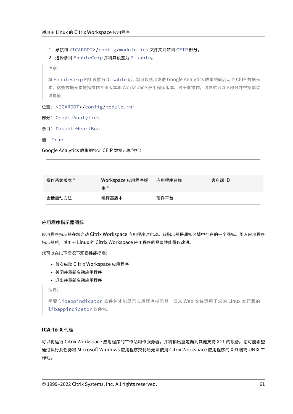1. 导航到 <ICAROOT>/config/module.ini 文件夹并转到 CEIP 部分。

```
2. 选择条目 EnableCeip 并将其设置为 Disable。
```
注意:

将 EnableCeip 密钥设置为 Disable 后,您可以禁用发送 Google Analytics 收集的最后两个 CEIP 数据元 素。这些数据元素是指操作系统版本和 Workspace 应用程序版本。对于此操作,请导航到以下部分并根据建议 设置值:

# 位置: <ICAROOT>/config/module.ini

- 部分: GoogleAnalytics
- 条目: DisableHeartBeat
- 值: True

Google Analytics 收集的特定 CEIP 数据元素包括:

| 操作系统版本 * | Workspace 应用程序版<br>本 * | 应用程序名称 | 客户端 ID |
|----------|------------------------|--------|--------|
| 会话启动方法   | 编译器版本                  | 硬件平台   |        |

# 应用程序指示器图标

应用程序指示器在您启动 Citrix Workspace 应用程序时启动。该指示器是通知区域中存在的一个图标。引入应用程序 指示器后,适用于 Linux 的 Citrix Workspace 应用程序的登录性能得以改进。

您可以在以下情况下观察性能提高:

- 首次启动 Citrix Workspace 应用程序
- 关闭并重新启动应用程序
- 退出并重新启动应用程序

注意:

需要 libappindicator 软件包才能显示应用程序指示器。请从 Web 安装适用于您的 Linux 发行版的 libappindicator 软件包。

# **ICA‑to‑X** 代理

可以将运行 Citrix Workspace 应用程序的工作站用作服务器,并将输出重定向到其他支持 X11 的设备。您可能希望 通过执行此任务将 Microsoft Windows 应用程序交付给无法使用 Citrix Workspace 应用程序的 X 终端或 UNIX 工 作站。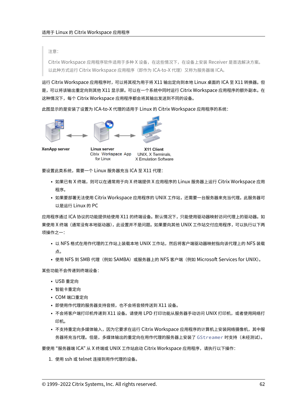注意:

Citrix Workspace 应用程序软件适用于多种 X 设备,在这些情况下,在设备上安装 Receiver 是首选解决方案。 以此种方式运行 Citrix Workspace 应用程序 (即作为 ICA-to-X 代理) 又称为服务器端 ICA。

运行 Citrix Workspace 应用程序时,可以将其视为用于将 X11 输出定向到本地 Linux 桌面的 ICA 至 X11 转换器。但 是,可以将该输出重定向到其他 X11 显示屏。可以在一个系统中同时运行 Citrix Workspace 应用程序的额外副本。在 这种情况下,每个 Citrix Workspace 应用程序都会将其输出发送到不同的设备。

此图显示的是安装了设置为 ICA‑to‑X 代理的适用于 Linux 的 Citrix Workspace 应用程序的系统:



Linux server X11 Client UNIX, X Terminals. Citrix Workspace App for Linux X Emulation Software

要设置此类系统,需要一个 Linux 服务器充当 ICA 至 X11 代理:

- 如果已有 X 终端,则可以在通常用于向 X 终端提供 X 应用程序的 Linux 服务器上运行 Citrix Workspace 应用 程序。
- 如果要部署无法使用 Citrix Workspace 应用程序的 UNIX 工作站,还需要一台服务器来充当代理。此服务器可 以是运行 Linux 的 PC

应用程序通过 ICA 协议的功能提供给使用 X11 的终端设备。默认情况下,只能使用驱动器映射访问代理上的驱动器。如 果使用 X 终端(通常没有本地驱动器),此设置并不是问题。如果要向其他 UNIX 工作站交付应用程序,可以执行以下两 项操作之一:

- 以 NFS 格式在用作代理的工作站上装载本地 UNIX 工作站,然后将客户端驱动器映射指向该代理上的 NFS 装载 点。
- 使用 NFS 到 SMB 代理(例如 SAMBA)或服务器上的 NFS 客户端(例如 Microsoft Services for UNIX)。

某些功能不会传递到终端设备:

- USB 重定向
- 智能卡重定向
- COM 端口重定向
- 即使用作代理的服务器支持音频,也不会将音频传送到 X11 设备。
- 不会将客户端打印机传递到 X11 设备。请使用 LPD 打印功能从服务器手动访问 UNIX 打印机,或者使用网络打 印机。
- 不支持重定向多媒体输入,因为它要求在运行 Citrix Workspace 应用程序的计算机上安装网络摄像机,其中服 务器将充当代理。但是,多媒体输出的重定向在用作代理的服务器上安装了 GStreamer 时支持(未经测试)。

要使用 "服务器端 ICA" 从 X 终端或 UNIX 工作站启动 Citrix Workspace 应用程序,请执行以下操作:

1. 使用 ssh 或 telnet 连接到用作代理的设备。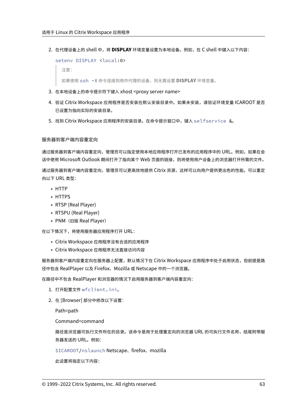2. 在代理设备上的 shell 中,将 **DISPLAY** 环境变量设置为本地设备。例如,在 C shell 中键入以下内容:

```
setenv DISPLAY <local:0>
```

```
注意:
```
如果使用 ssh -X 命令连接到用作代理的设备,则无需设置 **DISPLAY** 环境变量。

- 3. 在本地设备上的命令提示符下键入 xhost <proxy server name>
- 4. 验证 Citrix Workspace 应用程序是否安装在默认安装目录中。如果未安装,请验证环境变量 ICAROOT 是否 已设置为指向实际的安装目录。
- 5. 找到 Citrix Workspace 应用程序的安装目录。在命令提示窗口中,键入 selfservice &。

# 服务器到客户端内容重定向

通过服务器到客户端内容重定向,管理员可以指定使用本地应用程序打开已发布的应用程序中的 URL。例如,如果在会 话中使用 Microsoft Outlook 期间打开了指向某个 Web 页面的链接,则将使用用户设备上的浏览器打开所需的文件。 通过服务器到客户端内容重定向,管理员可以更高效地提供 Citrix 资源,这样可以向用户提供更出色的性能。可以重定 向以下 URL 类型:

- HTTP
- HTTPS
- RTSP (Real Player)
- RTSPU (Real Player)
- PNM (旧版 Real Player)

在以下情况下,将使用服务器应用程序打开 URL:

- Citrix Workspace 应用程序没有合适的应用程序
- Citrix Workspace 应用程序无法直接访问内容

服务器到客户端内容重定向在服务器上配置,默认情况下在 Citrix Workspace 应用程序中处于启用状态,但前提是路 径中包含 RealPlayer 以及 Firefox、Mozilla 或 Netscape 中的一个浏览器。

在路径中不包含 RealPlayer 和浏览器的情况下启用服务器到客户端内容重定向:

- 1. 打开配置文件 wfclient.ini。
- 2. 在 [Browser] 部分中修改以下设置:

Path=path

Command=command

路径是浏览器可执行文件所在的目录。该命令是用于处理重定向的浏览器 URL 的可执行文件名称,结尾附带服 务器发送的 URL。例如:

\$ICAROOT/nslaunch Netscape、firefox、mozilla

此设置将指定以下内容: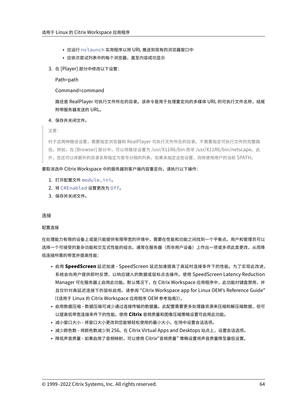- 应运行 nslaunch 实用程序以将 URL 推送到现有的浏览器窗口中
- 应依次尝试列表中的每个浏览器,直至内容成功显示
- 3. 在 [Player] 部分中修改以下设置:

Path=path

Command=command

路径是 RealPlayer 可执行文件所在的目录。该命令是用于处理重定向的多媒体 URL 的可执行文件名称,结尾 附带服务器发送的 URL。

# 4. 保存并关闭文件。

注意:

对于这两种路径设置,需要指定浏览器和 RealPlayer 可执行文件所在的目录。不需要指定可执行文件的完整路 径。例如,在 [Browser] 部分中,可以将路径设置为 /usr/X11R6/bin 而非 /usr/X11R6/bin/netscape。此 外,您还可以将额外的目录名称指定为冒号分隔的列表。如果未指定这些设置,则将使用用户的当前 \$PATH。

## 要取消选中 Citrix Workspace 中的服务器到客户端内容重定向,请执行以下操作:

- 1. 打开配置文件 module.ini。
- 2. 将 CREnabled 设置更改为 Off。
- 3. 保存并关闭文件。

#### 连接

#### 配置连接

在处理能力有限的设备上或是只能提供有限带宽的环境中,需要在性能和功能之间找到一个平衡点。用户和管理员可以 选择一个可接受的复杂功能和交互式性能的组合。通常在服务器(而非用户设备)上作出一项或多项此类更改,从而降 低连接所需的带宽并提高性能:

- 启用 **SpeedScreen** 延迟加速 ‑ SpeedScreen 延迟加速提高了高延时连接条件下的性能。为了实现此改进, 系统会向用户提供即时反馈,以响应键入的数据或鼠标点击操作。使用 SpeedScreen Latency Reduction Manager 可在服务器上启用此功能。默认情况下, 在 Citrix Workspace 应用程序中, 此功能对键盘禁用, 并 且仅针对高延迟连接下的鼠标启用。请参阅 "Citrix Workspace app for Linux OEM's Reference Guide" (《适用于 Linux 的 Citrix Workspace 应用程序 OEM 参考指南》)。
- 启用数据压缩 数据压缩可减少通过连接传输的数据量。此配置需要更多处理器资源来压缩和解压缩数据,但可 以提高低带宽连接条件下的性能。使用 **Citrix** 音频质量和图像压缩策略设置可启用此功能。
- 减小窗口大小 将窗口大小更改到您能够轻松使用的最小大小。在场中设置会话选项。
- 减少颜色数 将颜色数减少到 256。在 Citrix Virtual Apps and Desktops 站点上, 设置会话选项。
- 降低声音质量 如果启用了音频映射,可以使用 Citrix"音频质量" 策略设置将声音质量降至最低设置。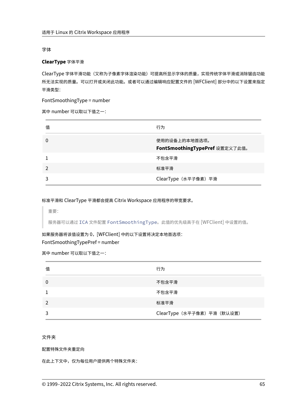# 字体

# **ClearType** 字体平滑

ClearType 字体平滑功能(又称为子像素字体渲染功能)可提高所显示字体的质量,实现传统字体平滑或消除锯齿功能 所无法实现的质量。可以打开或关闭此功能。或者可以通过编辑响应配置文件的 [WFClient] 部分中的以下设置来指定 平滑类型:

FontSmoothingType = number

其中 number 可以取以下值之一:

| 值 | 行为                                              |
|---|-------------------------------------------------|
| 0 | 使用的设备上的本地首选项。<br>FontSmoothingTypePref 设置定义了此值。 |
|   | 不包含平滑                                           |
|   | 标准平滑                                            |
|   | ClearType (水平子像素) 平滑                            |

标准平滑和 ClearType 平滑都会提高 Citrix Workspace 应用程序的带宽要求。

重要:

服务器可以通过 ICA 文件配置 FontSmoothingType。此值的优先级高于在 [WFClient] 中设置的值。

如果服务器将该值设置为 0,[WFClient] 中的以下设置将决定本地首选项:

FontSmoothingTypePref = number

其中 number 可以取以下值之一:

| 值             | 行为                          |
|---------------|-----------------------------|
| 0             | 不包含平滑                       |
|               | 不包含平滑                       |
| $\mathcal{P}$ | 标准平滑                        |
|               | ClearType (水平子像素) 平滑 (默认设置) |

# 文件夹

# 配置特殊文件夹重定向

在此上下文中,仅为每位用户提供两个特殊文件夹: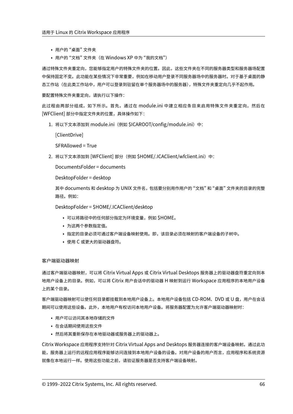- 用户的 "桌面" 文件夹
- 用户的"文档"文件夹(在 Windows XP 中为"我的文档")

通过特殊文件夹重定向,您能够指定用户的特殊文件夹的位置。因此,这些文件夹在不同的服务器类型和服务器场配置 中保持固定不变。此功能在某些情况下非常重要,例如在移动用户登录不同服务器场中的服务器时。对于基于桌面的静 态工作站(在此类工作站中,用户可以登录到驻留在单个服务器场中的服务器),特殊文件夹重定向几乎不起作用。

要配置特殊文件夹重定向,请执行以下操作:

此过程由两部分组成,如下所示。首先,通过在 module.ini 中建立相应条目来启用特殊文件夹重定向,然后在 [WFClient] 部分中指定文件夹的位置,具体操作如下:

1. 将以下文本添加到 module.ini(例如 \$ICAROOT/config/module.ini)中:

[ClientDrive]

SFRAllowed = True

2. 将以下文本添加到 [WFClient] 部分(例如 \$HOME/.ICAClient/wfclient.ini)中:

DocumentsFolder = documents

DesktopFolder = desktop

其中 documents 和 desktop 为 UNIX 文件名, 包括要分别用作用户的"文档"和"桌面"文件夹的目录的完整 路径。例如:

DesktopFolder = \$HOME/.ICAClient/desktop

- 可以将路径中的任何部分指定为环境变量,例如 \$HOME。
- 为这两个参数指定值。
- 指定的目录必须可通过客户端设备映射使用。即,该目录必须在映射的客户端设备的子树中。
- 使用 C 或更大的驱动器盘符。

客户端驱动器映射

通过客户端驱动器映射,可以将 Citrix Virtual Apps 或 Citrix Virtual Desktops 服务器上的驱动器盘符重定向到本 地用户设备上的目录。例如,可以将 Citrix 用户会话中的驱动器 H 映射到运行 Workspace 应用程序的本地用户设备 上的某个目录。

客户端驱动器映射可以使任何目录都挂载到本地用户设备上。本地用户设备包括 CD-ROM、DVD 或 U 盘,用户在会话 期间可以使用这些设备。此外,本地用户有权访问本地用户设备。将服务器配置为允许客户端驱动器映射时:

- 用户可以访问其本地存储的文件
- 在会话期间使用这些文件
- 然后将其重新保存在本地驱动器或服务器上的驱动器上。

Citrix Workspace 应用程序支持针对 Citrix Virtual Apps and Desktops 服务器连接的客户端设备映射。通过此功 能,服务器上运行的远程应用程序能够访问连接到本地用户设备的设备。对用户设备的用户而言,应用程序和系统资源 就像在本地运行一样。使用这些功能之前,请验证服务器是否支持客户端设备映射。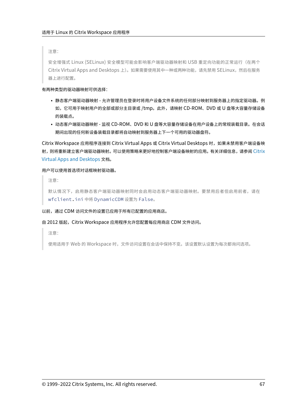注意:

安全增强式 Linux (SELinux) 安全模型可能会影响客户端驱动器映射和 USB 重定向功能的正常运行(在两个 Citrix Virtual Apps and Desktops 上)。如果需要使用其中一种或两种功能,请先禁用 SELinux, 然后在服务 器上进行配置。

## 有两种类型的驱动器映射可供选择:

- 静态客户端驱动器映射 允许管理员在登录时将用户设备文件系统的任何部分映射到服务器上的指定驱动器。例 如,它可用于映射用户的全部或部分主目录或 /tmp。此外,请映射 CD‑ROM、DVD 或 U 盘等大容量存储设备 的装载点。
- 动态客户端驱动器映射 ‑ 监视 CD‑ROM、DVD 和 U 盘等大容量存储设备在用户设备上的常规装载目录。在会话 期间出现的任何新设备装载目录都将自动映射到服务器上下一个可用的驱动器盘符。

Citrix Workspace 应用程序连接到 Citrix Virtual Apps 或 Citrix Virtual Desktops 时,如果未禁用客户端设备映 射,则将重新建立客户端驱动器映射。可以使用策略来更好地控制客户端设备映射的应用。有关详细信息,请参阅 Citrix Virtual Apps and Desktops 文档。

# 用户可以使用首选项对话框映射驱动器。

[注意:](https://docs.citrix.com/zh-cn/citrix-virtual-apps-desktops.html)

```
默认情况下,启用静态客户端驱动器映射同时会启用动态客户端驱动器映射。要禁用后者但启用前者,请在
wfclient.ini 中将 DynamicCDM 设置为 False。
```
# 以前,通过 CDM 访问文件的设置已应用于所有已配置的应用商店。

# 自 2012 版起,Citrix Workspace 应用程序允许您配置每应用商店 CDM 文件访问。

注意:

使用适用于 Web 的 Workspace 时,文件访问设置在会话中保持不变。该设置默认设置为每次都询问选项。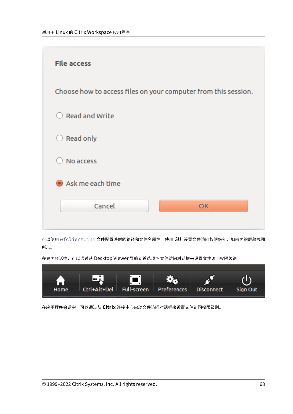

可以使用 wfclient.ini 文件配置映射的路径和文件名属性。使用 GUI 设置文件访问权限级别,如前面的屏幕截图 所示。

在桌面会话中,可以通过从 Desktop Viewer 导航到首选项 > 文件访问对话框来设置文件访问权限级别。



在应用程序会话中,可以通过从 **Citrix** 连接中心启动文件访问对话框来设置文件访问权限级别。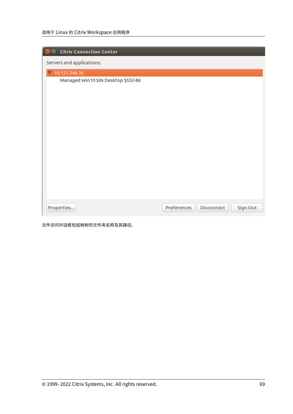| <b>Citrix Connection Center</b>    |             |            |          |
|------------------------------------|-------------|------------|----------|
| Servers and applications:          |             |            |          |
| $\sqrt{10.151.246.35}$             |             |            |          |
| Managed Win10 SIN Desktop \$552-86 |             |            |          |
|                                    |             |            |          |
| Properties                         | Preferences | Disconnect | Sign Out |

文件访问对话框包括映射的文件夹名称及其路径。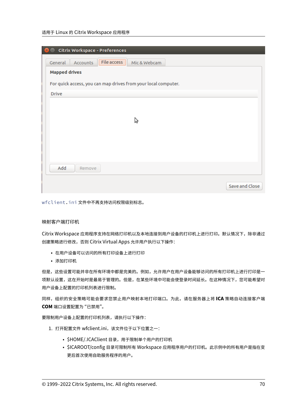# 适用于 Linux 的 Citrix Workspace 应用程序

| Citrix Workspace - Preferences                                 |                |
|----------------------------------------------------------------|----------------|
| File access<br>General<br>Accounts<br>Mic & Webcam             |                |
| <b>Mapped drives</b>                                           |                |
| For quick access, you can map drives from your local computer. |                |
| <b>Drive</b>                                                   |                |
|                                                                |                |
|                                                                |                |
| Ą                                                              |                |
|                                                                |                |
|                                                                |                |
|                                                                |                |
| Add<br>Remove                                                  |                |
|                                                                |                |
|                                                                | Save and Close |

wfclient.ini 文件中不再支持访问权限级别标志。

# 映射客户端打印机

Citrix Workspace 应用程序支持在网络打印机以及本地连接到用户设备的打印机上进行打印。默认情况下,除非通过 创建策略进行修改,否则 Citrix Virtual Apps 允许用户执行以下操作:

- 在用户设备可以访问的所有打印设备上进行打印
- 添加打印机

但是,这些设置可能并非在所有环境中都是完美的。例如,允许用户在用户设备能够访问的所有打印机上进行打印是一 项默认设置,这在开始时是最易于管理的。但是,在某些环境中可能会使登录时间延长。在这种情况下,您可能希望对 用户设备上配置的打印机列表进行限制。

同样,组织的安全策略可能会要求您禁止用户映射本地打印端口。为此,请在服务器上将 **ICA** 策略自动连接客户端 **COM** 端口设置配置为 "已禁用"。

要限制用户设备上配置的打印机列表,请执行以下操作:

- 1. 打开配置文件 wfclient.ini,该文件位于以下位置之一:
	- \$HOME/.ICAClient 目录,用于限制单个用户的打印机
	- \$ICAROOT/config 目录可限制所有 Workspace 应用程序用户的打印机。此示例中的所有用户是指在变 更后首次使用自助服务程序的用户。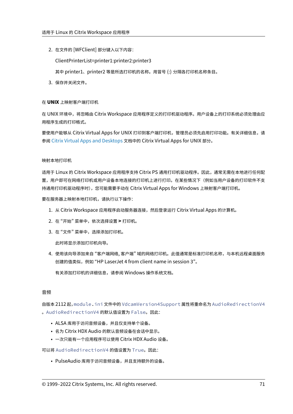2. 在文件的 [WFClient] 部分键入以下内容:

ClientPrinterList=printer1:printer2:printer3

其中 printer1、printer2 等是所选打印机的名称。用冒号 (:) 分隔各打印机名称条目。

3. 保存并关闭文件。

## 在 **UNIX** 上映射客户端打印机

在 UNIX 环境中,将忽略由 Citrix Workspace 应用程序定义的打印机驱动程序。用户设备上的打印系统必须处理由应 用程序生成的打印格式。

要使用户能够从 Citrix Virtual Apps for UNIX 打印到客户端打印机,管理员必须先启用打印功能。有关详细信息,请 参阅 Citrix Virtual Apps and Desktops 文档中的 Citrix Virtual Apps for UNIX 部分。

## 映射[本地打印机](https://docs.citrix.com/zh-cn/citrix-virtual-apps-desktops.html)

适用于 Linux 的 Citrix Workspace 应用程序支持 Citrix PS 通用打印机驱动程序。因此,通常无需在本地进行任何配 置,用户即可在网络打印机或用户设备本地连接的打印机上进行打印。在某些情况下(例如当用户设备的打印软件不支 持通用打印机驱动程序时),您可能需要手动在 Citrix Virtual Apps for Windows 上映射客户端打印机。

要在服务器上映射本地打印机,请执行以下操作:

- 1. 从 Citrix Workspace 应用程序启动服务器连接,然后登录运行 Citrix Virtual Apps 的计算机。
- 2. 在 "开始" 菜单中,依次选择设置 **>** 打印机。
- 3. 在 "文件" 菜单中,选择添加打印机。

此时将显示添加打印机向导。

4. 使用该向导添加来自 "客户端网络, 客户端" 域的网络打印机。此值通常是标准打印机名称,与本机远程桌面服务 创建的值类似,例如 "HP LaserJet 4 from client name in session 3"。

有关添加打印机的详细信息,请参阅 Windows 操作系统文档。

## 音频

自版本 2112 起,module.ini 文件中的 VdcamVersion4Support 属性将重命名为 AudioRedirectionV4 。AudioRedirectionV4 的默认值设置为 False。因此:

- ALSA 库用于访问音频设备,并且仅支持单个设备。
- 名为 Citrix HDX Audio 的默认音频设备在会话中显示。
- 一次只能有一个应用程序可以使用 Citrix HDX Audio 设备。

可以将 AudioRedirectionV4 的值设置为 True。因此:

• PulseAudio 库用于访问音频设备,并且支持额外的设备。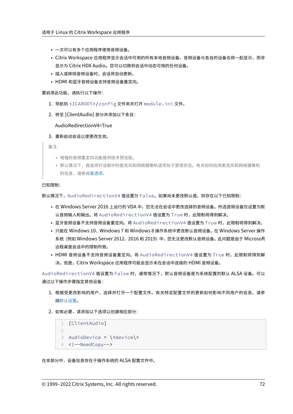- 一次可以有多个应用程序使用音频设备。
- Citrix Workspace 应用程序显示会话中可用的所有本地音频设备。音频设备与各自的设备名称一起显示,而非 显示为 Citrix HDX Audio。您可以切换到会话中动态可用的任何设备。
- 插入或移除音频设备时,会话将自动更新。
- HDMI 和蓝牙音频设备支持音频设备重定向。

#### 要启用此功能,请执行以下操作:

- 1. 导航到 <ICAROOT>/config 文件夹并打开 module.ini 文件。
- 2. 转至 [ClientAudio] 部分并添加以下条目:

AudioRedirectionV4=True

3. 重新启动会话以使更改生效。

备注:

- 增强的音频重定向功能提供技术预览版。
- 默认情况下,首选项对话框中的麦克风和网络摄像机选项处于禁用状态。有关如何启用麦克风和网络摄像机 的信息,请参阅首选项。

已知限制:

默认情况下,AudioRe[direct](https://docs.citrix.com/zh-cn/citrix-workspace-app-for-linux/get-started.html#preferences)ionV4 值设置为 False。如果尚未更改默认值,则存在以下已知限制:

- 在 Windows Server 2016 上运行的 VDA 中,您无法在会话中更改选择的音频设备。所选音频设备仅设置为默 认音频输入和输出。将 AudioRedirectionV4 值设置为 True 时,此限制将得到解决。
- 蓝牙音频设备不支持音频设备重定向。将 AudioRedirectionV4 值设置为 True 时,此限制将得到解决。
- 只能在 Windows 10、Windows 7 和 Windows 8 操作系统中更改默认音频设备。在 Windows Server 操作 系统(例如 Windows Server 2012、2016 和 2019)中,您无法更改默认音频设备。此问题是由于 Microsoft 远程桌面会话中的限制所致。
- HDMI 音频设备不支持音频设备重定向。将 AudioRedirectionV4 值设置为 True 时,此限制将得到解 决。但是,Citrix Workspace 应用程序可能会显示未在会话中连接的 HDMI 音频设备。

AudioRedirectionV4 值设置为 False 时,通常情况下,默认音频设备是为系统配置的默认 ALSA 设备。可以 通过以下操作步骤指定其他设备:

- 1. 根据受更改影响的用户,选择并打开一个配置文件。有关特定配置文件的更新如何影响不同用户的信息,请参 阅默认设置。
- 2. 如有必要,请添加以下选项以创建相应部分:

```
1 [ClientAudio]
2
3 AudioDevice = \<device\>
4 <!--NeedCopy-->
```
在本部分中,设备信息存在于操作系统的 ALSA 配置文件中。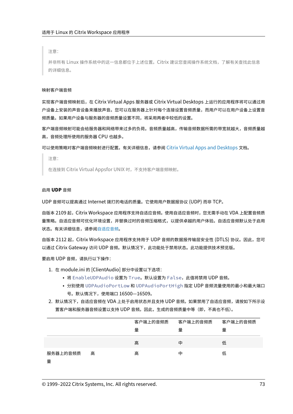注意:

并非所有 Linux 操作系统中的这一信息都位于上述位置。Citrix 建议您查阅操作系统文档,了解有关查找此信息 的详细信息。

#### 映射客户端音频

实现客户端音频映射后,在 Citrix Virtual Apps 服务器或 Citrix Virtual Desktops 上运行的应用程序将可以通过用 户设备上安装的声音设备来播放声音。您可以在服务器上针对每个连接设置音频质量,而用户可以在用户设备上设置音 频质量。如果用户设备与服务器的音频质量设置不同,将采用两者中较低的设置。

客户端音频映射可能会给服务器和网络带来过多的负荷。音频质量越高,传输音频数据所需的带宽就越大,音频质量越 高,音频处理所使用的服务器 CPU 也越多。

可以使用策略对客户端音频映射进行配置。有关详细信息,请参阅 Citrix Virtual Apps and Desktops 文档。

注意:

在连接到 Citrix Virtual Appsfor UNIX 时,不支持客户端音[频映射。](https://docs.citrix.com/zh-cn/citrix-virtual-apps-desktops.html)

#### 启用 **UDP** 音频

UDP 音频可以提高通过 Internet 拨打的电话的质量。它使用用户数据报协议 (UDP) 而非 TCP。

自版本 2109 起,Citrix Workspace 应用程序支持自适应音频。使用自适应音频时,您无需手动在 VDA 上配置音频质 量策略。自适应音频可优化环境设置,并替换过时的音频压缩格式,以提供卓越的用户体验。自适应音频默认处于启用 状态。有关详细信息,请参阅自适应音<u>频</u>。

自版本 2112 起,Citrix Workspace 应用程序支持用于 UDP 音频的数据报传输层安全性 (DTLS) 协议。因此,您可 以通过 Citrix Gateway 访问 [UDP](https://docs.citrix.com/zh-cn/citrix-virtual-apps-desktops/multimedia/audio.html#adaptive-audio) 音频。默认情况下,此功能处于禁用状态。此功能提供技术预览版。

要启用 UDP 音频,请执行以下操作:

- 1. 在 module.ini 的 [ClientAudio] 部分中设置以下选项:
	- 将 EnableUDPAudio 设置为 True。默认设置为 False, 此值将禁用 UDP 音频。
	- 分别使用 UDPAudioPortLow 和 UDPAudioPortHigh 指定 UDP 音频流量使用的最小和最大端口 号。默认情况下,使用端口 16500—16509。
- 2. 默认情况下,自适应音频在 VDA 上处于启用状态并且支持 UDP 音频。如果禁用了自适应音频,请按如下所示设 置客户端和服务器音频设置以支持 UDP 音频。因此,生成的音频质量中等(即,不高也不低)。

|          |   | 客户端上的音频质 | 客户端上的音频质 | 客户端上的音频质 |
|----------|---|----------|----------|----------|
|          |   | 量        | 量        | 量        |
|          |   | 高        | 中        | 低        |
|          |   |          |          |          |
| 服务器上的音频质 | 高 | 高        | 中        | 低        |
| 量        |   |          |          |          |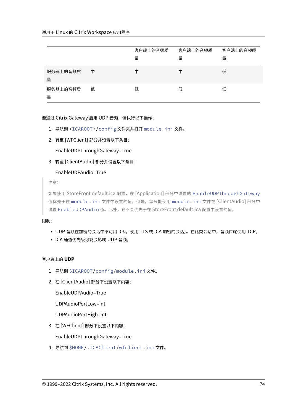|               |   | 客户端上的音频质<br>量 | 客户端上的音频质<br>量 | 客户端上的音频质<br>量 |
|---------------|---|---------------|---------------|---------------|
| 服务器上的音频质<br>量 | 中 | 中             | 中             | 低             |
| 服务器上的音频质<br>量 | 低 | 低             | 低             | 低             |

要通过 Citrix Gateway 启用 UDP 音频,请执行以下操作:

- 1. 导航到 <ICAROOT>/config 文件夹并打开 module.ini 文件。
- 2. 转至 [WFClient] 部分并设置以下条目:

EnableUDPThroughGateway=True

3. 转至 [ClientAudio] 部分并设置以下条目:

EnableUDPAudio=True

注意:

如果使用 StoreFront default.ica 配置,在 [Application] 部分中设置的 EnableUDPThroughGateway 值优先于在 module.ini 文件中设置的值。但是,您只能使用 module.ini 文件在 [ClientAudio] 部分中 设置 EnableUDPAudio 值。此外,它不会优先于在 StoreFront default.ica 配置中设置的值。

# 限制:

- UDP 音频在加密的会话中不可用(即,使用 TLS 或 ICA 加密的会话)。在此类会话中,音频传输使用 TCP。
- ICA 通道优先级可能会影响 UDP 音频。

# 客户端上的 **UDP**

- 1. 导航到 \$ICAROOT/config/module.ini 文件。
- 2. 在 [ClientAudio] 部分下设置以下内容:

EnableUDPAudio=True

UDPAudioPortLow=int

UDPAudioPortHigh=int

3. 在 [WFClient] 部分下设置以下内容:

EnableUDPThroughGateway=True

4. 导航到 \$HOME/.ICAClient/wfclient.ini 文件。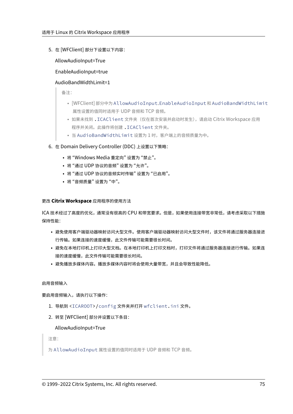5. 在 [WFClient] 部分下设置以下内容:

AllowAudioInput=True

# EnableAudioInput=true

# AudioBandWidthLimit=1

备注:

- [WFClient] 部分中为 AllowAudioInput、EnableAudioInput 和 AudioBandWidthLimit 属性设置的值同时适用于 UDP 音频和 TCP 音频。
- 如果未找到 .ICAClient 文件夹(仅在首次安装并启动时发生),请启动 Citrix Workspace 应用 程序并关闭。此操作将创建 .ICAClient 文件夹。
- 当 AudioBandWidthLimit 设置为 1 时,客户端上的音频质量为中。
- 6. 在 Domain Delivery Controller (DDC) 上设置以下策略:
	- 将 "Windows Media 重定向" 设置为 "禁止"。
	- 将 "通过 UDP 协议的音频" 设置为 "允许"。
	- 将 "通过 UDP 协议的音频实时传输" 设置为 "已启用"。
	- 将 "音频质量" 设置为 "中"。

## 更改 **Citrix Workspace** 应用程序的使用方法

ICA 技术经过了高度的优化,通常没有很高的 CPU 和带宽要求。但是,如果使用连接带宽非常低,请考虑采取以下措施 保持性能:

- 避免使用客户端驱动器映射访问大型文件。使用客户端驱动器映射访问大型文件时,该文件将通过服务器连接进 行传输。如果连接的速度缓慢,此文件传输可能需要很长时间。
- 避免在本地打印机上打印大型文档。在本地打印机上打印文档时,打印文件将通过服务器连接进行传输。如果连 接的速度缓慢,此文件传输可能需要很长时间。
- 避免播放多媒体内容。播放多媒体内容时将会使用大量带宽,并且会导致性能降低。

启用音频输入

要启用音频输入,请执行以下操作:

- 1. 导航到 <ICAROOT>/config 文件夹并打开 wfclient.ini 文件。
- 2. 转至 [WFClient] 部分并设置以下条目:

## AllowAudioInput=True

注意:

为 AllowAudioInput 属性设置的值同时适用于 UDP 音频和 TCP 音频。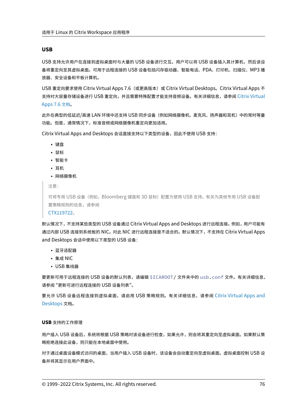### **USB**

USB 支持允许用户在连接到虚拟桌面时与大量的 USB 设备进行交互。用户可以将 USB 设备插入其计算机,然后该设 备将重定向至其虚拟桌面。可用于远程连接的 USB 设备包括闪存驱动器、智能电话、PDA、打印机、扫描仪、MP3 播 放器、安全设备和平板计算机。

USB 重定向要求使用 Citrix Virtual Apps 7.6 (或更高版本)或 Citrix Virtual Desktops。Citrix Virtual Apps 不 支持对大容量存储设备进行 USB 重定向,并且需要特殊配置才能支持音频设备。有关详细信息,请参阅 Citrix Virtual Apps 7.6 文档。

此外在典型的低延迟/高速 LAN 环境中还支持 USB 同步设备(例如网络摄像机、麦克风、扬声器和耳机[\)中的常时等量](https://docs.citrix.com/zh-cn/categories/legacy-archive/xenapp-and-xendesktop.html) 功能。但是,通常情况下,标准音频或网络摄像机重定向更加适用。

[Citrix Virtual](https://docs.citrix.com/zh-cn/categories/legacy-archive/xenapp-and-xendesktop.html) Apps and Desktops 会话直接支持以下类型的设备,因此不使用 USB 支持:

- 键盘
- 鼠标
- 智能卡
- 耳机
- 网络摄像机

注意:

可将专用 USB 设备(例如, Bloomberg 键盘和 3D 鼠标)配置为使用 USB 支持。有关为其他专用 USB 设备配 置策略规则的信息,请参阅

CTX119722。

默认情况下,不支持某些类型的 USB 设备通过 Citrix Virtual Apps and Desktops 进行远程连接。例如,用户可能有 通过内部 USB 连接到系统板的 NIC。对此 NIC 进行远程连接是不适合的。默认情况下,不支持在 Citrix Virtual Apps an[d Desktops](http://support.citrix.com/article/ctx119722) 会话中使用以下类型的 USB 设备:

- 蓝牙适配器
- 集成 NIC
- USB 集线器

要更新可用于远程连接的 USB 设备的默认列表,请编辑 \$ICAROOT/ 文件夹中的 usb.conf 文件。有关详细信息, 请参阅 "更新可进行远程连接的 USB 设备列表"。

要允许 USB 设备远程连接到虚拟桌面,请启用 USB 策略规则。有关详细信息,请参阅 Citrix Virtual Apps and Desktops 文档。

### **[USB](https://docs.citrix.com/zh-cn/citrix-virtual-apps-desktops.html)** 支持的工作原理

用户插入 USB 设备后,系统将根据 USB 策略对该设备进行检查,如果允许,则会将其重定向至虚拟桌面。如果默认策 略拒绝连接此设备,则只能在本地桌面中使用。

对于通过桌面设备模式访问的桌面,当用户插入 USB 设备时,该设备会自动重定向至虚拟桌面。虚拟桌面控制 USB 设 备并将其显示在用户界面中。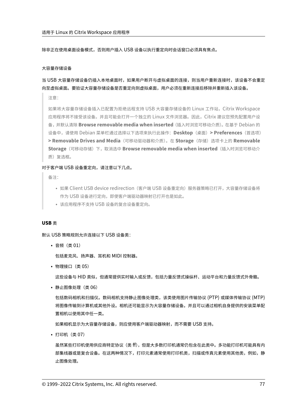除非正在使用桌面设备模式,否则用户插入 USB 设备以执行重定向时会话窗口必须具有焦点。

## 大容量存储设备

当 USB 大容量存储设备仍插入本地桌面时,如果用户断开与虚拟桌面的连接,则当用户重新连接时,该设备不会重定 向至虚拟桌面。要验证大容量存储设备是否重定向到虚拟桌面,用户必须在重新连接后移除并重新插入该设备。

注意:

如果将大容量存储设备插入已配置为拒绝远程支持 USB 大容量存储设备的 Linux 工作站,Citrix Workspace 应用程序将不接受该设备。并且可能会打开一个独立的 Linux 文件浏览器。因此,Citrix 建议您预先配置用户设 备,并默认清除 **Browse removable media when inserted**(插入时浏览可移动介质)。在基于 Debian 的 设备中,请使用 Debian 菜单栏通过选择以下选项来执行此操作:**Desktop**(桌面)**> Preferences**(首选项) **> Removable Drives and Media**(可移动驱动器和介质)。在 **Storage**(存储)选项卡上的 **Removable Storage**(可移动存储)下,取消选中 **Browse removable media when inserted**(插入时浏览可移动介 质)复选框。

### 对于客户端 USB 设备重定向,请注意以下几点。

备注:

- 如果 Client USB device redirection (客户端 USB 设备重定向)服务器策略已打开,大容量存储设备将 作为 USB 设备进行定向,即使客户端驱动器映射已打开也是如此。
- 该应用程序不支持 USB 设备的复合设备重定向。

#### **USB** 类

默认 USB 策略规则允许连接以下 USB 设备类:

• 音频(类 01)

包括麦克风、扬声器、耳机和 MIDI 控制器。

• 物理接口(类 05)

这些设备与 HID 类似,但通常提供实时输入或反馈,包括力量反馈式操纵杆、运动平台和力量反馈式外骨骼。

• 静止图像处理(类 06)

包括数码相机和扫描仪。数码相机支持静止图像处理类,该类使用图片传输协议 (PTP) 或媒体传输协议 (MTP) 将图像传输到计算机或其他外设。相机还可能显示为大容量存储设备。并且可以通过相机自身提供的安装菜单配 置相机以使用其中任一类。

如果相机显示为大容量存储设备,则应使用客户端驱动器映射,而不需要 USB 支持。

• 打印机(类 07)

虽然某些打印机使用供应商特定协议(类 ff),但是大多数打印机通常仍包含在此类中。多功能打印机可能具有内 部集线器或是复合设备。在这两种情况下,打印元素通常使用打印机类,扫描或传真元素使用其他类,例如,静 止图像处理。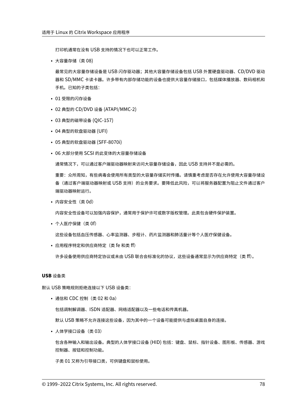打印机通常在没有 USB 支持的情况下也可以正常工作。

• 大容量存储(类 08)

最常见的大容量存储设备是 USB 闪存驱动器;其他大容量存储设备包括 USB 外置硬盘驱动器、CD/DVD 驱动 器和 SD/MMC 卡读卡器。许多带有内部存储功能的设备也提供大容量存储接口,包括媒体播放器、数码相机和 手机。已知的子类包括:

- 01 受限的闪存设备
- 02 典型的 CD/DVD 设备 (ATAPI/MMC-2)
- 03 典型的磁带设备 (QIC‑157)
- 04 典型的软盘驱动器 (UFI)
- 05 典型的软盘驱动器 (SFF‑8070i)
- 06 大部分使用 SCSI 的此变体的大容量存储设备

通常情况下,可以通过客户端驱动器映射来访问大容量存储设备,因此 USB 支持并不是必需的。

重要:众所周知,有些病毒会使用所有类型的大容量存储实时传播。请慎重考虑是否存在允许使用大容量存储设 备(通过客户端驱动器映射或 USB 支持)的业务要求。要降低此风险,可以将服务器配置为阻止文件通过客户 端驱动器映射运行。

• 内容安全性 (类 0d)

内容安全性设备可以加强内容保护,通常用于保护许可或数字版权管理。此类包含硬件保护装置。

• 个人医疗保健(类 0f)

这些设备包括血压传感器、心率监测器、步程计、药片监测器和肺活量计等个人医疗保健设备。

• 应用程序特定和供应商特定(类 fe 和类 ff)

许多设备使用供应商特定协议或未由 USB 联合会标准化的协议,这些设备通常显示为供应商特定(类 ff)。

#### **USB** 设备类

默认 USB 策略规则拒绝连接以下 USB 设备类:

• 通信和 CDC 控制 (类 02 和 0a)

包括调制解调器、ISDN 适配器、网络适配器以及一些电话和传真机器。

默认 USB 策略不允许连接这些设备,因为其中的一个设备可能提供与虚拟桌面自身的连接。

• 人体学接口设备(类 03)

包含各种输入和输出设备。典型的人体学接口设备 (HID) 包括:键盘、鼠标、指针设备、图形板、传感器、游戏 控制器、按钮和控制功能。

子类 01 又称为引导接口类,可供键盘和鼠标使用。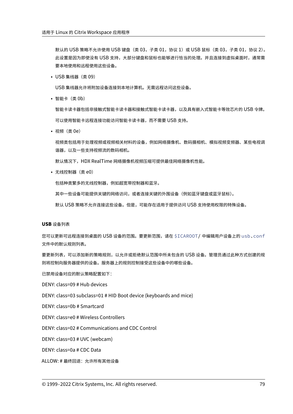默认的 USB 策略不允许使用 USB 键盘 (类 03, 子类 01, 协议 1)或 USB 鼠标 (类 03, 子类 01, 协议 2)。 此设置是因为即使没有 USB 支持,大部分键盘和鼠标也能够进行恰当的处理。并且连接到虚拟桌面时,通常需 要本地使用和远程使用这些设备。

• USB 集线器(类 09)

USB 集线器允许将附加设备连接到本地计算机。无需远程访问这些设备。

• 智能卡 (类 0b)

智能卡读卡器包括非接触式智能卡读卡器和接触式智能卡读卡器,以及具有嵌入式智能卡等效芯片的 USB 令牌。 可以使用智能卡远程连接功能访问智能卡读卡器,而不需要 USB 支持。

• 视频(类 0e)

视频类包括用于处理视频或视频相关材料的设备,例如网络摄像机、数码摄相机、模拟视频变频器、某些电视调 谐器,以及一些支持视频流的数码相机。

默认情况下, HDX RealTime 网络摄像机视频压缩可提供最佳网络摄像机性能。

• 无线控制器(类 e0)

包括种类繁多的无线控制器,例如超宽带控制器和蓝牙。

其中一些设备可能提供关键的网络访问,或者连接关键的外围设备(例如蓝牙键盘或蓝牙鼠标)。

默认 USB 策略不允许连接这些设备。但是,可能存在适用于提供访问 USB 支持使用权限的特殊设备。

## **USB** 设备列表

您可以更新可远程连接到桌面的 USB 设备的范围。要更新范围,请在 \$ICAROOT/ 中编辑用户设备上的 usb.conf 文件中的默认规则列表。

要更新列表,可以添加新的策略规则,以允许或拒绝默认范围中所未包含的 USB 设备。管理员通过此种方式创建的规 则将控制向服务器提供的设备。服务器上的规则控制接受这些设备中的哪些设备。

已禁用设备对应的默认策略配置如下:

DENY: class=09 # Hub devices

DENY: class=03 subclass=01 # HID Boot device (keyboards and mice)

DENY: class=0b # Smartcard

DENY: class=e0 # Wireless Controllers

DENY: class=02 # Communications and CDC Control

DENY: class=03 # UVC (webcam)

DENY: class=0a # CDC Data

ALLOW: # 最终回退: 允许所有其他设备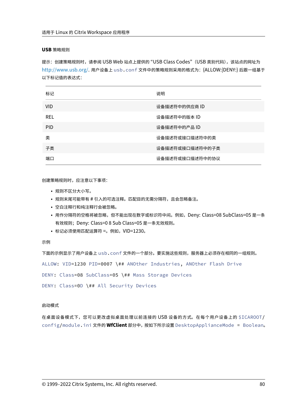### **USB** 策略规则

提示:创建策略规则时,请参阅 USB Web 站点上提供的 "USB Class Codes"(USB 类别代码),该站点的网址为 http://www.usb.org/. 用户设备上 usb.conf 文件中的策略规则采用的格式为:{ALLOW:|DENY:} 后跟一组基于 以下标记值的表达式:

| 标记         | 说明              |
|------------|-----------------|
| <b>VID</b> | 设备描述符中的供应商 ID   |
| REL        | 设备描述符中的版本 ID    |
| <b>PID</b> | 设备描述符中的产品ID     |
| 类          | 设备描述符或接口描述符中的类  |
| 子类         | 设备描述符或接口描述符中的子类 |
| 端口         | 设备描述符或接口描述符中的协议 |

创建策略规则时,应注意以下事项:

- 规则不区分大小写。
- 规则末尾可能带有 # 引入的可选注释。匹配目的无需分隔符,且会忽略备注。
- 空白注释行和纯注释行会被忽略。
- 用作分隔符的空格将被忽略,但不能出现在数字或标识符中间。例如,Deny: Class=08 SubClass=05 是一条 有效规则;Deny: Class=0 8 Sub Class=05 是一条无效规则。
- 标记必须使用匹配运算符 =。例如,VID=1230。

示例

下面的示例显示了用户设备上 usb.conf 文件的一个部分。要实施这些规则,服务器上必须存在相同的一组规则。 ALLOW: VID=1230 PID=0007 \## ANOther Industries, ANOther Flash Drive DENY: Class=08 SubClass=05 \## Mass Storage Devices DENY: Class=0D \## All Security Devices

## 启动模式

在桌面设备模式下,您可以更改虚拟桌面处理以前连接的 USB 设备的方式。在每个用户设备上的 \$ICAROOT/ config/module.ini 文件的 **WfClient** 部分中,按如下所示设置 DesktopApplianceMode = Boolean。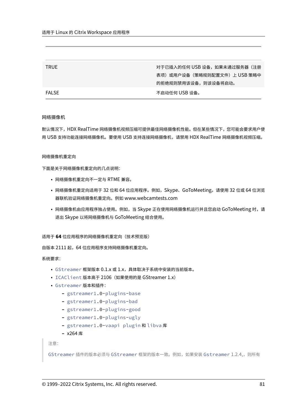| <b>TRUE</b>  | 对于已插入的任何 USB 设备,如果未通过服务器(注册 |
|--------------|-----------------------------|
|              | 表项)或用户设备(策略规则配置文件)上 USB 策略中 |
|              | 的拒绝规则禁用该设备,则该设备将启动。         |
| <b>FALSE</b> | 不启动任何 USB 设备。               |

### 网络摄像机

默认情况下,HDX RealTime 网络摄像机视频压缩可提供最佳网络摄像机性能。但在某些情况下,您可能会要求用户使 用 USB 支持功能连接网络摄像机。要使用 USB 支持连接网络摄像机,请禁用 HDX RealTime 网络摄像机视频压缩。

### 网络摄像机重定向

下面是关于网络摄像机重定向的几点说明:

- 网络摄像机重定向不一定与 RTME 兼容。
- 网络摄像机重定向适用于 32 位和 64 位应用程序。例如,Skype、GoToMeeting。请使用 32 位或 64 位浏览 器联机验证网络摄像机重定向。例如 www.webcamtests.com
- 网络摄像机由应用程序独占使用。例如,当 Skype 正在使用网络摄像机运行并且您启动 GoToMeeting 时,请 退出 Skype 以将网络摄像机与 GoToMeeting 结合使用。

适用于 **64** 位应用程序的网络摄像机重定向(技术预览版)

自版本 2111 起,64 位应用程序支持网络摄像机重定向。

系统要求:

- GStreamer 框架版本 0.1.x 或 1.x,具体取决于系统中安装的当前版本。
- ICAClient 版本高于 2106(如果使用的是 GStreamer 1.x)
- Gstreamer 版本和插件:
	- **–** gstreamer1.0-plugins-base
	- **–** gstreamer1.0-plugins-bad
	- **–** gstreamer1.0-plugins-good
	- **–** gstreamer1.0-plugins-ugly
	- **–** gstreamer1.0-vaapi plugin 和 libva 库
	- **–** x264 库

注意:

```
GStreamer 插件的版本必须与 GStreamer 框架的版本一致。例如,如果安装 Gstreamer 1.2.4,,则所有
```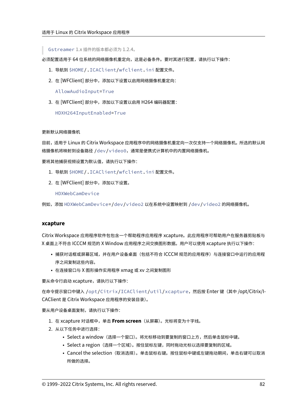Gstreamer 1.x 插件的版本都必须为 1.2.4。

必须配置适用于 64 位系统的网络摄像机重定向,这是必备条件。要对其进行配置,请执行以下操作:

- 1. 导航到 \$HOME/.ICAClient/wfclient.ini 配置文件。
- 2. 在 [WFClient] 部分中,添加以下设置以启用网络摄像机重定向:

AllowAudioInput=True

3. 在 [WFClient] 部分中,添加以下设置以启用 H264 编码器配置:

HDXH264InputEnabled=True

## 更新默认网络摄像机

目前,适用于 Linux 的 Citrix Workspace 应用程序中的网络摄像机重定向一次仅支持一个网络摄像机。所选的默认网 络摄像机将映射到设备路径 /dev/video0,通常是便携式计算机中的内置网络摄像机。

要将其他捕获视频设置为默认值,请执行以下操作:

- 1. 导航到 \$HOME/.ICAClient/wfclient.ini 配置文件。
- 2. 在 [WFClient] 部分中,添加以下设置。

HDXWebCamDevice

例如,添加 HDXWebCamDevice=/dev/video2 以在系统中设置映射到 /dev/video2 的网络摄像机。

# **xcapture**

Citrix Workspace 应用程序软件包包含一个帮助程序应用程序 xcapture。此应用程序可帮助用户在服务器剪贴板与 X 桌面上不符合 ICCCM 规范的 X Window 应用程序之间交换图形数据。用户可以使用 xcapture 执行以下操作:

- 捕获对话框或屏幕区域,并在用户设备桌面(包括不符合 ICCCM 规范的应用程序)与连接窗口中运行的应用程 序之间复制这些内容。
- 在连接窗口与 X 图形操作实用程序 xmag 或 xv 之间复制图形

要从命令行启动 xcapture,请执行以下操作:

在命令提示窗口中键入 /opt/Citrix/ICAClient/util/xcapture,然后按 Enter 键(其中 /opt/Citrix/I‑ CAClient 是 Citrix Workspace 应用程序的安装目录)。

要从用户设备桌面复制,请执行以下操作:

- 1. 在 xcapture 对话框中,单击 **From screen**(从屏幕)。光标将变为十字线。
- 2. 从以下任务中进行选择:
	- Select a window(选择一个窗口)。将光标移动到要复制的窗口上方,然后单击鼠标中键。
	- Select a region(选择一个区域)。按住鼠标左键,同时拖动光标以选择要复制的区域。
	- Cancel the selection(取消选择)。单击鼠标右键。按住鼠标中键或左键拖动期间,单击右键可以取消 所做的选择。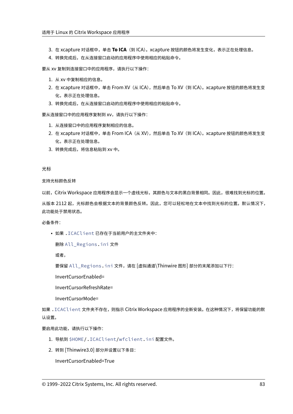- 3. 在 xcapture 对话框中,单击 To ICA (到 ICA)。xcapture 按钮的颜色将发生变化,表示正在处理信息。
- 4. 转换完成后, 在从连接窗口启动的应用程序中使用相应的粘贴命令。

要从 xv 复制到连接窗口中的应用程序,请执行以下操作:

- 1. 从 xv 中复制相应的信息。
- 2. 在 xcapture 对话框中,单击 From XV (从 ICA),然后单击 To XV (到 ICA)。xcapture 按钮的颜色将发生变 化,表示正在处理信息。
- 3. 转换完成后, 在从连接窗口启动的应用程序中使用相应的粘贴命令。

要从连接窗口中的应用程序复制到 xv,请执行以下操作:

- 1. 从连接窗口中的应用程序复制相应的信息。
- 2. 在 xcapture 对话框中,单击 From ICA (从 XV),然后单击 To XV (到 ICA)。xcapture 按钮的颜色将发生变 化,表示正在处理信息。
- 3. 转换完成后,将信息粘贴到 xv 中。

光标

支持光标颜色反转

以前,Citrix Workspace 应用程序会显示一个虚线光标,其颜色与文本的黑白背景相同。因此,很难找到光标的位置。

从版本 2112 起,光标颜色会根据文本的背景颜色反转。因此,您可以轻松地在文本中找到光标的位置。默认情况下, 此功能处于禁用状态。

必备条件:

• 如果 .ICAClient 已存在于当前用户的主文件夹中:

删除 All\_Regions.ini 文件

或者,

要保留 All\_Regions.ini 文件,请在 [虚拟通道\Thinwire 图形] 部分的末尾添加以下行:

InvertCursorEnabled=

InvertCursorRefreshRate=

InvertCursorMode=

如果 .ICAClient 文件夹不存在,则指示 Citrix Workspace 应用程序的全新安装。在这种情况下,将保留功能的默 认设置。

要启用此功能,请执行以下操作:

- 1. 导航到 \$HOME/.ICAClient/wfclient.ini 配置文件。
- 2. 转到 [Thinwire3.0] 部分并设置以下条目:

InvertCursorEnabled=True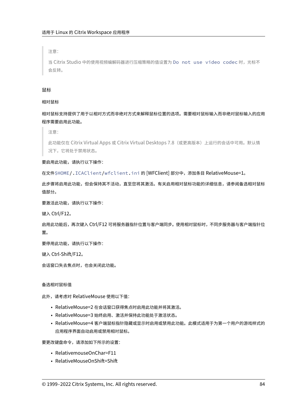注意:

当 Citrix Studio 中的使用视频编解码器进行压缩策略的值设置为 Do not use video codec 时,光标不 会反转。

## 鼠标

## 相对鼠标

相对鼠标支持提供了用于以相对方式而非绝对方式来解释鼠标位置的选项。需要相对鼠标输入而非绝对鼠标输入的应用 程序需要启用此功能。

注意:

此功能仅在 Citrix Virtual Apps 或 Citrix Virtual Desktops 7.8(或更高版本)上运行的会话中可用。默认情 况下,它将处于禁用状态。

要启用此功能,请执行以下操作:

在文件\$HOME/.ICAClient/wfclient.ini 的 [WFClient] 部分中,添加条目 RelativeMouse=1。

此步骤将启用此功能,但会保持其不活动,直至您将其激活。有关启用相对鼠标功能的详细信息,请参阅备选相对鼠标 值部分。

要激活此功能,请执行以下操作:

键入 Ctrl/F12。

启用此功能后,再次键入 Ctrl/F12 可将服务器指针位置与客户端同步。使用相对鼠标时,不同步服务器与客户端指针位 置。

要停用此功能,请执行以下操作:

键入 Ctrl‑Shift/F12。

会话窗口失去焦点时,也会关闭此功能。

## 备选相对鼠标值

此外,请考虑对 RelativeMouse 使用以下值:

- RelativeMouse=2 在会话窗口获得焦点时启用此功能并将其激活。
- RelativeMouse=3 始终启用、激活并保持此功能处于激活状态。
- RelativeMouse=4 客户端鼠标指针隐藏或显示时启用或禁用此功能。此模式适用于为第一个用户的游戏样式的 应用程序界面自动启用或禁用相对鼠标。

要更改键盘命令,请添加如下所示的设置:

- RelativemouseOnChar=F11
- RelativeMouseOnShift=Shift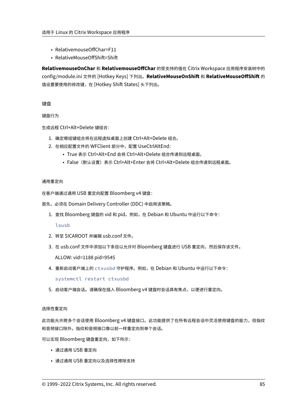- RelativemouseOffChar=F11
- RelativeMouseOffShift=Shift

**RelativemouseOnChar** 和 **RelativemouseOffChar** 的受支持的值在 Citrix Workspace 应用程序安装树中的 config/module.ini 文件的 [Hotkey Keys] 下列出。**RelativeMouseOnShift** 和 **RelativeMouseOffShift** 的 值设置要使用的修改键,在 [Hotkey Shift States] 头下列出。

键盘

键盘行为

生成远程 Ctrl+Alt+Delete 键组合:

- 1. 确定哪组键组合将在远程虚拟桌面上创建 Ctrl+Alt+Delete 组合。
- 2. 在相应配置文件的 WFClient 部分中,配置 UseCtrlAltEnd:
	- True 表示 Ctrl+Alt+End 会将 Ctrl+Alt+Delete 组合传递到远程桌面。
	- False(默认设置)表示 Ctrl+Alt+Enter 会将 Ctrl+Alt+Delete 组合传递到远程桌面。

## 通用重定向

在客户端通过通用 USB 重定向配置 Bloomberg v4 键盘:

- 首先,必须在 Domain Delivery Controller (DDC) 中启用该策略。
	- 1. 查找 Bloomberg 键盘的 vid 和 pid。例如,在 Debian 和 Ubuntu 中运行以下命令:

lsusb

- 2. 转至 \$ICAROOT 并编辑 usb.conf 文件。
- 3. 在 usb.conf 文件中添加以下条目以允许对 Bloomberg 键盘进行 USB 重定向, 然后保存该文件。 ALLOW: vid=1188 pid=9545
- 4. 重新启动客户端上的 ctxusbd 守护程序。例如,在 Debian 和 Ubuntu 中运行以下命令: systemctl restart ctxusbd
- 5. 启动客户端会话。请确保在插入 Bloomberg v4 键盘时会话具有焦点,以便进行重定向。

# 选择性重定向

此功能允许跨多个会话使用 Bloomberg v4 键盘接口。此功能提供了在所有远程会话中灵活使用键盘的能力,但指纹 和音频接口除外。指纹和音频接口像以前一样重定向到单个会话。

可以实现 Bloomberg 键盘重定向,如下所示:

- 通过通用 USB 重定向
- 通过通用 USB 重定向以及选择性擦除支持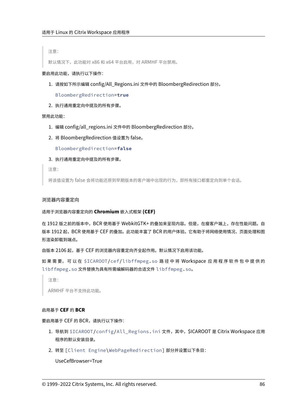注意:

默认情况下, 此功能对 x86 和 x64 平台启用, 对 ARMHF 平台禁用。

#### 要启用此功能,请执行以下操作:

1. 请按如下所示编辑 config/All\_Regions.ini 文件中的 BloombergRedirection 部分。

BloombergRedirection=**true**

2. 执行通用重定向中提及的所有步骤。

#### 禁用此功能:

- 1. 编辑 config/all\_regions.ini 文件中的 BloombergRedirection 部分。
- 2. 将 BloombergRedirection 值设置为 false。

BloombergRedirection=**false**

3. 执行通用重定向中提及的所有步骤。

注意:

将该值设置为 false 会将功能还原到早期版本的客户端中出现的行为,即所有接口都重定向到单个会话。

### 浏览器内容重定向

#### 适用于浏览器内容重定向的 **Chromium** 嵌入式框架 **(CEF)**

在 1912 版之前的版本中,BCR 使用基于 WebkitGTK+ 的叠加来呈现内容。但是,在瘦客户端上,存在性能问题。自 版本 1912 起,BCR 使用基于 CEF 的叠加。此功能丰富了 BCR 的用户体验。它有助于将网络使用情况、页面处理和图 形渲染卸载到端点。

自版本 2106 起,基于 CEF 的浏览器内容重定向齐全起作用。默认情况下启用该功能。

如 果 需 要, 可 以 在 \$ICAROOT/cef/libffmpeg.so 路 径 中 将 Workspace 应 用 程 序 软 件 包 中 提 供 的 libffmpeg.so 文件替换为具有所需编解码器的合适文件 libffmpeg.so。

注意:

ARMHF 平台不支持此功能。

#### 启用基于 **CEF** 的 **BCR**

要启用基于 CEF 的 BCR,请执行以下操作:

- 1. 导航到 \$ICAROOT/config/All\_Regions.ini 文件, 其中, \$ICAROOT 是 Citrix Workspace 应用 程序的默认安装目录。
- 2. 转至 [Client Engine\WebPageRedirection] 部分并设置以下条目:

UseCefBrowser=True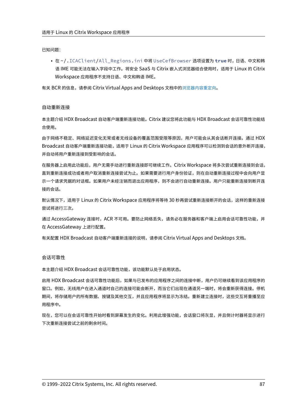已知问题:

• 在 ~/.ICAClient/All\_Regions.ini 中将 UseCefBrowser 选项设置为 **true** 时,日语、中文和韩 语 IME 可能无法在输入字段中工作。将安全 SaaS 与 Citrix 嵌入式浏览器结合使用时,适用于 Linux 的 Citrix Workspace 应用程序不支持日语、中文和韩语 IME。

有关 BCR 的信息,请参阅 Citrix Virtual Apps and Desktops 文档中的浏览器内容重定向。

### 自动重新连接

本主题介绍 HDX Broadcast 自动客户端重新连接功能。Citrix 建议您将此功能与 HDX Broadcast 会话可靠性功能结 合使用。

由于网络不稳定、网络延迟变化无常或者无线设备的覆盖范围受限等原因,用户可能会从其会话断开连接。通过 HDX Broadcast 自动客户端重新连接功能,适用于 Linux 的 Citrix Workspace 应用程序可以检测到会话的意外断开连接, 并自动将用户重新连接到受影响的会话。

在服务器上启用此功能后,用户无需手动进行重新连接即可继续工作。Citrix Workspace 将多次尝试重新连接到会话, 直到重新连接成功或者用户取消重新连接尝试为止。如果需要进行用户身份验证,则在自动重新连接过程中会向用户显 示一个请求凭据的对话框。如果用户未经注销而退出应用程序,则不会进行自动重新连接。用户只能重新连接到断开连 接的会话。

默认情况下,适用于 Linux 的 Citrix Workspace 应用程序将等待 30 秒再尝试重新连接断开的会话,这样的重新连接 尝试将进行三次。

通过 AccessGateway 连接时,ACR 不可用。要防止网络丢失,请务必在服务器和客户端上启用会话可靠性功能,并 在 AccessGateway 上进行配置。

有关配置 HDX Broadcast 自动客户端重新连接的说明,请参阅 Citrix Virtual Apps and Desktops 文档。

### 会话可靠性

本主题介绍 HDX Broadcast 会话可靠性功能,该功能默认处于启用状态。

启用 HDX Broadcast 会话可靠性功能后,如果与已发布的应用程序之间的连接中断,用户仍可继续看到该应用程序的 窗口。例如,无线用户在进入通道时自己的连接可能会断开,而当它们出现在通道另一端时,将会重新获得连接。停机 期间,将存储用户的所有数据、按键及其他交互,并且应用程序将显示为冻结。重新建立连接时,这些交互将重播至应 用程序中。

现在,您可以在会话可靠性开始时看到屏幕发生的变化。利用此增强功能,会话窗口将灰显,并且倒计时器将显示进行 下次重新连接尝试之前的剩余时间。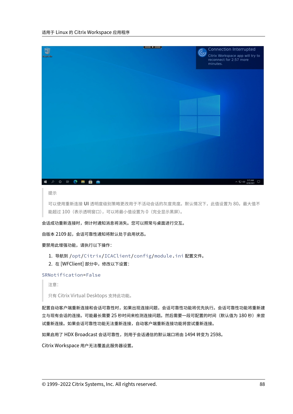

#### 提示

可以使用重新连接 **UI** 透明度级别策略更改用于不活动会话的灰度亮度。默认情况下,此值设置为 80。最大值不 能超过 100(表示透明窗口),可以将最小值设置为 0(完全显示黑屏)。

会话成功重新连接时,倒计时通知消息将消失。您可以照常与桌面进行交互。

自版本 2109 起,会话可靠性通知将默认处于启用状态。

要禁用此增强功能,请执行以下操作:

- 1. 导航到 /opt/Citrix/ICAClient/config/module.ini 配置文件。
- 2. 在 [WFClient] 部分中,修改以下设置:

SRNotification=False

注意:

只有 Citrix Virtual Desktops 支持此功能。

配置自动客户端重新连接和会话可靠性时,如果出现连接问题,会话可靠性功能将优先执行。会话可靠性功能将重新建 立与现有会话的连接。可能最长需要 25 秒时间来检测连接问题。然后需要一段可配置的时间(默认值为 180 秒)来尝 试重新连接。如果会话可靠性功能无法重新连接,自动客户端重新连接功能将尝试重新连接。

如果启用了 HDX Broadcast 会话可靠性,则用于会话通信的默认端口将由 1494 转变为 2598。

Citrix Workspace 用户无法覆盖此服务器设置。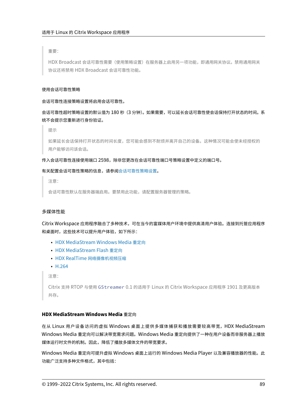重要:

HDX Broadcast 会话可靠性需要(使用策略设置)在服务器上启用另一项功能,即通用网关协议。禁用通用网关 协议还将禁用 HDX Broadcast 会话可靠性功能。

### 使用会话可靠性策略

会话可靠性连接策略设置将启用会话可靠性。

会话可靠性超时策略设置的默认值为 180 秒(3 分钟)。如果需要,可以延长会话可靠性使会话保持打开状态的时间。系 统不会提示您重新进行身份验证。

提示

如果延长会话保持打开状态的时间长度,您可能会感到不耐烦并离开自己的设备。这种情况可能会使未经授权的 用户能够访问该会话。

#### 传入会话可靠性连接使用端口 2598,除非您更改在会话可靠性端口号策略设置中定义的端口号。

#### 有关配置会话可靠性策略的信息,请参阅会话可靠性策略设置。

注意:

会话可靠性默认在服务器端启用。要[禁用此功能,请配置服](https://docs.citrix.com/zh-cn/citrix-virtual-apps-desktops/policies/reference/ica-policy-settings/session-reliability-policy-settings.html)务器管理的策略。

#### 多媒体性能

Citrix Workspace 应用程序融合了多种技术,可在当今的富媒体用户环境中提供高清用户体验。连接到托管应用程序 和桌面时,这些技术可以提升用户体验,如下所示:

- HDX MediaStream Windows Media 重定向
- HDX MediaStream Flash 重定向
- HDX RealTime 网络摄像机视频压缩
- [H.264](https://docs.citrix.com/zh-cn/citrix-workspace-app-for-linux/configure-xenapp.html#hdx-mediastream-windows-media-redirection)

注[意:](https://docs.citrix.com/zh-cn/citrix-workspace-app-for-linux/configure-xenapp.html#hdx-mediastream-flash-redirection)

Cit[rix](https://docs.citrix.com/zh-cn/citrix-workspace-app-for-linux/configure-xenapp.html#h264) 支持 RTOP 与使用 [GStreamer](https://docs.citrix.com/zh-cn/citrix-workspace-app-for-linux/configure-xenapp.html#hdx-realtime-webcam-video-compression) 0.1 的适用于 Linux 的 Citrix Workspace 应用程序 1901 及更高版本 共存。

## **HDX MediaStream Windows Media** 重定向

在从 Linux 用户设备访问的虚拟 Windows 桌面上提供多媒体捕获和播放需要较高带宽,HDX MediaStream Windows Media 重定向可以解决带宽需求问题。Windows Media 重定向提供了一种在用户设备而非服务器上播放 媒体运行时文件的机制。因此,降低了播放多媒体文件的带宽要求。

Windows Media 重定向可提升虚拟 Windows 桌面上运行的 Windows Media Player 以及兼容播放器的性能。此 功能广泛支持多种文件格式,其中包括: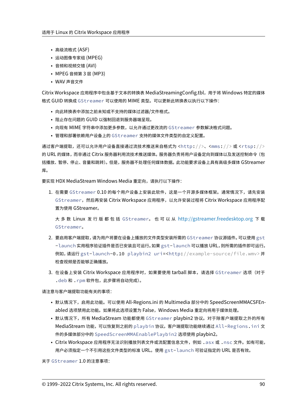- 高级流格式 (ASF)
- 运动图像专家组 (MPEG)
- 音频和视频交错 (AVI)
- MPEG 音频第 3 层 (MP3)
- WAV 声音文件

Citrix Workspace 应用程序中包含基于文本的转换表 MediaStreamingConfig.tbl,用于将 Windows 特定的媒体 格式 GUID 转换成 GStreamer 可以使用的 MIME 类型。可以更新此转换表以执行以下操作:

- 向此转换表中添加之前未知或不支持的媒体过滤器/文件格式。
- 阻止存在问题的 GUID 以强制回退到服务器端呈现。
- 向现有 MIME 字符串中添加更多参数,以允许通过更改流的 GStreamer 参数解决格式问题。
- 管理和部署依赖用户设备上的 GStreamer 支持的媒体文件类型的自定义配置。

通过客户端提取,还可以允许用户设备直接通过流技术推送来自格式为 <http://>、<mms://>或 <rtsp://> 的 URL 的媒体,而非通过 Citrix 服务器利用流技术推送媒体。服务器负责将用户设备定向到媒体以及发送控制命令(包 括播放、暂停、停止、音量和跳转)。但是,服务器不处理任何媒体数据。此功能要求设备上具有高级多媒体 GStreamer 库。

要实现 HDX MediaStream Windows Media 重定向,请执行以下操作:

1. 在需要 GStreamer 0.10 的每个用户设备上安装此软件,这是一个开源多媒体框架。通常情况下,请先安装 GStreamer,然后再安装 Citrix Workspace 应用程序,以允许安装过程将 Citrix Workspace 应用程序配 置为使用 GStreamer。

大 多 数 Linux 发 行 版 都 包 括 GStreamer。 也 可 以 从 http://gstreamer.freedesktop.org 下 载 GStreamer。

- 2. 要启用客户端提取,请为用户将要在设备上播放的文件类型安装所需的 GStreamer 协议源插件。可以使用 gst -launch 实用程序验证插件是否已安装且可运行。如果 gst-launch 可以播放 URL[,则所需的插件即可](http://gstreamer.freedesktop.org)运行。 例如,请运行 gst-launch-0.10 playbin2 uri=<http://example-source/file.wmv> 并 检查视频是否能够正确播放。
- 3. 在设备上安装 Citrix Workspace 应用程序时,如果要使用 tarball 脚本,请选择 GStreamer 选项(对于 .deb 和 .rpm 软件包,此步骤将自动完成)。

请注意与客户端提取功能有关的事项:

- 默认情况下,启用此功能。可以使用 All-Regions.ini 的 Multimedia 部分中的 SpeedScreenMMACSFEnabled 选项禁用此功能。如果将此选项设置为 False,Windows Media 重定向将用于媒体处理。
- 默认情况下,所有 MediaStream 功能都使用 GStreamer playbin2 协议。对于除客户端提取之外的所有 MediaStream 功能,可以恢复到之前的 playbin 协议。客户端提取功能继续通过 All-Regions.ini 文 件的多媒体部分中的 SpeedScreenMMAEnablePlaybin2 选项使用 playbin2。
- Citrix Workspace 应用程序无法识别播放列表文件或流配置信息文件,例如 .as x 或 .nsc 文件。如有可能, 用户必须指定一个不引用这些文件类型的标准 URL。使用 gst-launch 可验证指定的 URL 是否有效。

关于 GStreamer 1.0 的注意事项: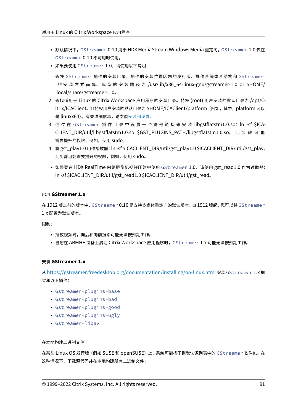- 默认情况下,GStreamer 0.10 用于 HDX MediaStream Windows Media 重定向。GStreamer 1.0 仅在 GStreamer 0.10 不可用时使用。
- 如果要使用 GStreamer 1.0,请使用以下说明:
- 1. 查找 GStreamer 插件的安装目录。插件的安装位置因您的发行版、操作系统体系结构和 GStreamer 的 安 装 方 式 而 异。 典 型 的 安 装 路 径 为 /usr/lib/x86\_64‑linux‑gnu/gstreamer‑1.0 or \$HOME/ .local/share/gstreamer‑1.0。
- 2. 查找适用于 Linux 的 Citrix Workspace 应用程序的安装目录。特权 (root) 用户安装的默认目录为 /opt/C‑ itrix/ICAClient。非特权用户安装的默认目录为 \$HOME/ICAClient/platform (例如, 其中, platform 可以 是 linuxx64)。有关详细信息,请参阅安装和设置。
- 3. 通过在 GStreamer 插件目录中设置一个符号链接来安装 libgstflatstm1.0.so: ln -sf \$ICA-CLIENT\_DIR/util/libgstflatstm1.0.so \$GST\_PLUGINS\_PATH/libgstflatstm1.0.so。 此 步 骤 可 能 需要提升的权限,例如,使用 sudo。
- 4. 将 gst\_play1.0 用作播放器:ln ‑sf \$ICACLIENT\_DIR/util/gst\_play1.0 \$ICACLIENT\_DIR/util/gst\_play。 此步骤可能需要提升的权限,例如,使用 sudo。
- 如果要在 HDX RealTime 网络摄像机视频压缩中使用 GStreamer 1.0, 请使用 gst\_read1.0 作为读取器: ln ‑sf \$ICACLIENT\_DIR/util/gst\_read1.0 \$ICACLIENT\_DIR/util/gst\_read。

## 启用 **GStreamer 1.x**

在 1912 版之前的版本中, GStreamer 0.10 是支持多媒体重定向的默认版本。自 1912 版起, 您可以将 GStreamer 1.x 配置为默认版本。

限制:

- 播放视频时,向后和向前搜索可能无法按预期工作。
- 当您在 ARMHF 设备上启动 Citrix Workspace 应用程序时,GStreamer 1.x 可能无法按预期工作。

## 安装 **GStreamer 1.x**

从https://gstreamer.freedesktop.org/documentation/installing/on-linux.html 安装 GStreamer 1.x 框 架和以下插件:

- Gstreamer-plugins-base
- [Gstreamer-plugins-bad](https://gstreamer.freedesktop.org/documentation/installing/on-linux.html)
- Gstreamer-plugins-good
- Gstreamer-plugins-ugly
- Gstreamer-libav

## 在本地构建二进制文件

在某些 Linux OS 发行版(例如 SUSE 和 openSUSE)上,系统可能找不到默认源列表中的 GStreamer 软件包。在 这种情况下,下载源代码并在本地构建所有二进制文件: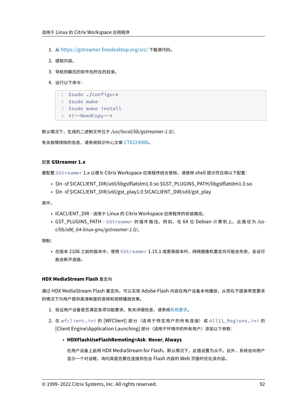- 1. 从 https://gstreamer.freedesktop.org/src/ 下载源代码。
- 2. 提取内容。
- 3. 导[航到解压的软件包所在的目录。](https://gstreamer.freedesktop.org/src/)
- 4. 运行以下命令:
	- 1 \$sudo ./configure 2 \$sudo make 3 \$sudo make install
	- 4 <!--NeedCopy-->

默认情况下,生成的二进制文件位于 */usr/local/lib/gstreamer‑1.0/*。

有关故障排除的信息,请参阅知识中心文章 CTX224988。

## 配置 **GStreamer 1.x**

要配置 GStreamer 1.x 以便与 Citrix W[orkspace](https://support.citrix.com/article/CTX224988) 应用程序结合使用,请使用 shell 提示符应用以下配置:

- \$ln ‑sf \$ICACLIENT\_DIR/util/libgstflatstm1.0.so \$GST\_PLUGINS\_PATH/libgstflatstm1.0.so.
- \$In-sf \$ICACLIENT\_DIR/util/gst\_play1.0 \$ICACLIENT\_DIR/util/gst\_play

其中,

- ICACLIENT\_DIR ‑ 适用于 Linux 的 Citrix Workspace 应用程序的安装路径。
- GST\_PLUGINS\_PATH GStreamer 的插件路径。例如, 在 64 位 Debian 计算机上, 此路径为 /us*r/lib/x86\_64‑linux‑gnu/gstreamer‑1.0/*。

限制:

• 在版本 2106 之前的版本中,使用 GStreamer 1.15.1 或更高版本时,网络摄像机重定向可能会失败,会话可 能会断开连接。

## **HDX MediaStream Flash** 重定向

通过 HDX MediaStream Flash 重定向,可以实现 Adobe Flash 内容在用户设备本地播放, 从而在不提高带宽要求 的情况下为用户提供高清晰度的音频和视频播放效果。

- 1. 验证用户设备是否满足各项功能要求。有关详细信息,请参阅系统要求。
- 2. 在 wfclient.ini 的 [WFClient] 部分(适用于特定用户的所有连接)或 All\\\_Regions.ini 的 [Client Engine\Application Launching] 部分(适用于环境中的所有用户)添加以下参数:

# • **HDXFlashUseFlashRemoting=Ask**: **Never**; **Always**

在用户设备上启用 HDX MediaStream for Flash。默认情况下,此值设置为从不。此外,系统会向用户 显示一个对话框,询问其是否要在连接到包含 Flash 内容的 Web 页面时优化该内容。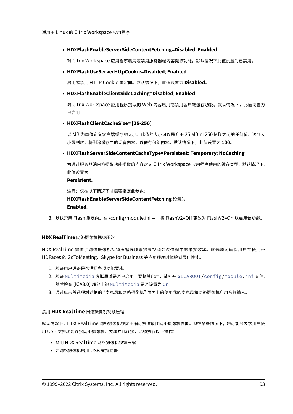# • **HDXFlashEnableServerSideContentFetching=Disabled**; **Enabled**

对 Citrix Workspace 应用程序启用或禁用服务器端内容提取功能。默认情况下此值设置为已禁用。

# • **HDXFlashUseServerHttpCookie=Disabled**; **Enabled**

启用或禁用 HTTP Cookie 重定向。默认情况下,此值设置为 **Disabled**。

# • **HDXFlashEnableClientSideCaching=Disabled**; **Enabled**

对 Citrix Workspace 应用程序提取的 Web 内容启用或禁用客户端缓存功能。默认情况下, 此值设置为 已启用。

## • **HDXFlashClientCacheSize= [25‑250]**

以 MB 为单位定义客户端缓存的大小。此值的大小可以是介于 25 MB 到 250 MB 之间的任何值。达到大 小限制时,将删除缓存中的现有内容,以便存储新内容。默认情况下,此值设置为 **100**。

# • **HDXFlashServerSideContentCacheType=Persistent**: **Temporary**; **NoCaching**

为通过服务器端内容提取功能提取的内容定义 Citrix Workspace 应用程序使用的缓存类型。默认情况下, 此值设置为

# **Persistent**。

注意:仅在以下情况下才需要指定此参数: **HDXFlashEnableServerSideContentFetching** 设置为 **Enabled**。

3. 默认禁用 Flash 重定向。在 /config/module.ini 中,将 FlashV2=Off 更改为 FlashV2=On 以启用该功能。

# **HDX RealTime** 网络摄像机视频压缩

HDX RealTime 提供了网络摄像机视频压缩选项来提高视频会议过程中的带宽效率。此选项可确保用户在使用带 HDFaces 的 GoToMeeting、Skype for Business 等应用程序时体验到最佳性能。

- 1. 验证用户设备是否满足各项功能要求。
- 2. 验证 Multimedia 虚拟通道是否已启用。要将其启用,请打开 \$ICAROOT/config/module.ini 文件, 然后检查 [ICA3.0] 部分中的 MultiMedia 是否设置为 On。
- 3. 通过单击首选项对话框的 "麦克风和网络摄像机" 页面上的使用我的麦克风和网络摄像机启用音频输入。

# 禁用 **HDX RealTime** 网络摄像机视频压缩

默认情况下,HDX RealTime 网络摄像机视频压缩可提供最佳网络摄像机性能。但在某些情况下,您可能会要求用户使 用 USB 支持功能连接网络摄像机。要建立此连接,必须执行以下操作:

- 禁用 HDX RealTime 网络摄像机视频压缩
- 为网络摄像机启用 USB 支持功能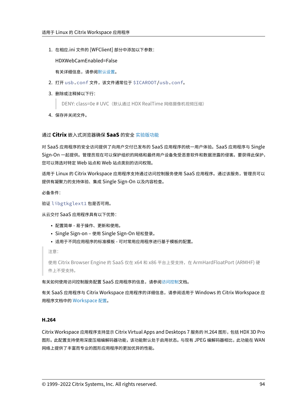1. 在相应.ini 文件的 [WFClient] 部分中添加以下参数:

HDXWebCamEnabled=False

有关详细信息,请参阅默认设置。

- 2. 打开 usb.conf 文件,该文件通常位于 \$ICAROOT/usb.conf。
- 3. 删除或注释掉以下行:

DENY: class=0e # UVC (默认通过 HDX RealTime 网络摄像机视频压缩)

4. 保存并关闭文件。

## 通过 **Citrix** 嵌入式浏览器确保 **SaaS** 的安全 实验版功能

对 SaaS 应用程序的安全访问提供了向用户交付已发布的 SaaS 应用程序的统一用户体验。SaaS 应用程序与 Single Sign-On 一起提供。管理员现在可以保护组织的网络和最终用户设备免受恶意软件和数据泄露的侵害。要获得此保护, 您可以筛选对特定 Web 站点和 Web 站点类别的[访问权限。](https://docs.citrix.com/zh-cn/citrix-workspace-app-for-linux/whats-new.html#experimental-features)

适用于 Linux 的 Citrix Workspace 应用程序支持通过访问控制服务使用 SaaS 应用程序。通过该服务,管理员可以 提供有凝聚力的支持体验、集成 Single Sign-On 以及内容检查。

必备条件:

验证 libgtkglext1 包是否可用。

从云交付 SaaS 应用程序具有以下优势:

- 配置简单 ‑ 易于操作、更新和使用。
- Single Sign‑on 使用 Single Sign‑On 轻松登录。
- 适用于不同应用程序的标准模板 可对常用应用程序进行基于模板的配置。

注意:

使用 Citrix Browser Engine 的 SaaS 仅在 x64 和 x86 平台上受支持,在 ArmHardFloatPort (ARMHF) 硬 件上不受支持。

有关如何使用访问控制服务配置 SaaS 应用程序的信息,请参阅访问控制文档。

有关 SaaS 应用程序与 Citrix Workspace 应用程序的详细信息,请参阅适用于 Windows 的 Citrix Workspace 应 用程序文档中的 Workspace 配置。

# **H.264**

Citrix Workspace 应用程序支持显示 Citrix Virtual Apps and Desktops 7 服务的 H.264 图形,包括 HDX 3D Pro 图形。 此配置支持使用深度压缩编解码器功能,该功能默认处于启用状态。与现有 JPEG 编解码器相比,此功能在 WAN 网络上提供了丰富而专业的图形应用程序的更加优异的性能。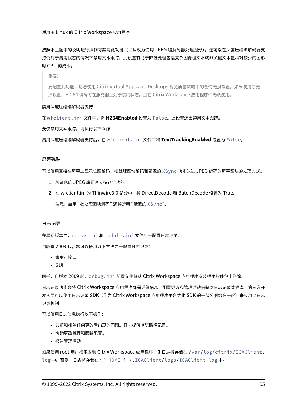按照本主题中的说明进行操作可禁用此功能(以及改为使用 JPEG 编解码器处理图形)。还可以在深度压缩编解码器支 持仍处于启用状态的情况下禁用文本跟踪。此设置有助于降低处理包括复杂图像但文本或非关键文本量相对较少的图形 时 CPU 的成本。

重要:

要配置此功能,请勿使用 Citrix Virtual Apps and Desktops 视觉质量策略中的任何无损设置。如果使用了无 损设置,H.264 编码将在服务器上处于禁用状态,且在 Citrix Workspace 应用程序中无法使用。

#### 禁用深度压缩编解码器支持:

在 wfclient.ini 文件中,将 **H264Enabled** 设置为 False。此设置还会禁用文本跟踪。

要仅禁用文本跟踪,请执行以下操作:

启用深度压缩编解码器支持后,在 wfclient.ini 文件中将 **TextTrackingEnabled** 设置为 False。

## 屏幕磁贴

可以使用直接在屏幕上显示位图解码、批处理图块解码和延迟的 XSync 功能改进 JPEG 编码的屏幕图块的处理方式。

- 1. 验证您的 JPEG 库是否支持这些功能。
- 2. 在 wfclient.ini 的 Thinwire3.0 部分中,将 DirectDecode 和 BatchDecode 设置为 True。
	- 注意:启用 "批处理图块解码" 还将禁用 "延迟的 XSync"。

#### 日志记录

在早期版本中,debug.ini 和 module.ini 文件用于配置日志记录。

自版本 2009 起,您可以使用以下方法之一配置日志记录:

- 命令行接口
- GUI

同样,自版本 2009 起,debug.ini 配置文件将从 Citrix Workspace 应用程序安装程序软件包中删除。

日志记录功能会将 Citrix Workspace 应用程序部署详细信息、配置更改和管理活动捕获到日志记录数据库。第三方开 发人员可以使用日志记录 SDK (作为 Citrix Workspace 应用程序平台优化 SDK 的一部分捆绑在一起) 来应用此日志 记录机制。

可以使用日志信息执行以下操作:

- 诊断和排除任何更改后出现的问题。日志提供浏览路径记录。
- 协助更改管理和跟踪配置。
- 报告管理活动。

如果使用 root 用户权限安装 Citrix Workspace 应用程序,则日志将存储在 /var/log/citrix/ICAClient. log 中。否则,日志将存储在 \${ HOME } /.ICAClient/logs/ICAClient.log 中。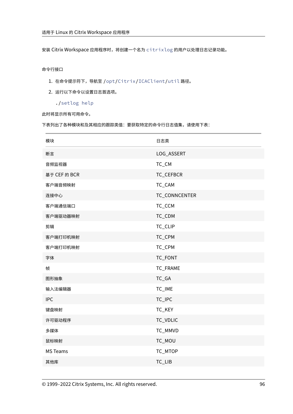安装 Citrix Workspace 应用程序时,将创建一个名为 citrixlog 的用户以处理日志记录功能。

# 命令行接口

- 1. 在命令提示符下,导航至 /opt/Citrix/ICAClient/util 路径。
- 2. 运行以下命令以设置日志首选项。

./setlog help

此时将显示所有可用命令。

下表列出了各种模块和及其相应的跟踪类值:要获取特定的命令行日志值集,请使用下表:

| 模块              | 日志类           |
|-----------------|---------------|
| 断言              | LOG_ASSERT    |
| 音频监视器           | TC_CM         |
| 基于 CEF 的 BCR    | TC_CEFBCR     |
| 客户端音频映射         | TC_CAM        |
| 连接中心            | TC_CONNCENTER |
| 客户端通信端口         | TC_CCM        |
| 客户端驱动器映射        | TC_CDM        |
| 剪辑              | TC_CLIP       |
| 客户端打印机映射        | TC_CPM        |
| 客户端打印机映射        | TC_CPM        |
| 字体              | TC_FONT       |
| 帧               | TC_FRAME      |
| 图形抽象            | $TC_GA$       |
| 输入法编辑器          | TC_IME        |
| <b>IPC</b>      | TC_IPC        |
| 键盘映射            | TC_KEY        |
| 许可驱动程序          | TC_VDLIC      |
| 多媒体             | TC_MMVD       |
| 鼠标映射            | TC_MOU        |
| <b>MS Teams</b> | TC_MTOP       |
| 其他库             | TC_LIB        |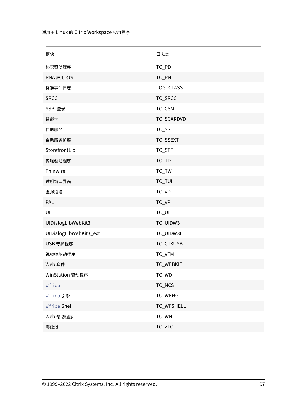| 模块                     | 日志类        |
|------------------------|------------|
| 协议驱动程序                 | TC_PD      |
| PNA 应用商店               | TC_PN      |
| 标准事件日志                 | LOG_CLASS  |
| <b>SRCC</b>            | TC_SRCC    |
| SSPI 登录                | TC_CSM     |
| 智能卡                    | TC_SCARDVD |
| 自助服务                   | TC_SS      |
| 自助服务扩展                 | TC_SSEXT   |
| StorefrontLib          | TC_STF     |
| 传输驱动程序                 | $TC_TD$    |
| Thinwire               | $TC_TW$    |
| 透明窗口界面                 | TC_TUI     |
| 虚拟通道                   | TC_VD      |
| PAL                    | TC_VP      |
| UI                     | $TC_U$     |
| UIDialogLibWebKit3     | TC_UIDW3   |
| UIDialogLibWebKit3_ext | TC_UIDW3E  |
| USB 守护程序               | TC_CTXUSB  |
| 视频帧驱动程序                | TC_VFM     |
| Web 套件                 | TC_WEBKIT  |
| WinStation 驱动程序        | TC_WD      |
| Wfica                  | TC_NCS     |
| Wfica 引擎               | TC_WENG    |
| Wfica Shell            | TC_WFSHELL |
| Web 帮助程序               | TC_WH      |
| 零延迟                    | $TC_ZLC$   |
|                        |            |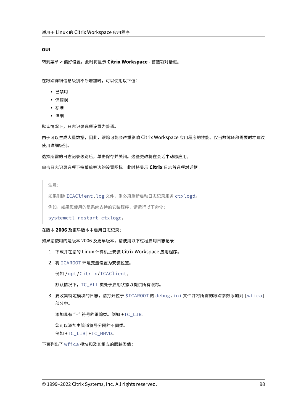### **GUI**

转到菜单 > 偏好设置。此时将显示 **Citrix Workspace ‑** 首选项对话框。

在跟踪详细信息级别不断增加时,可以使用以下值:

- 已禁用
- 仅错误
- 标准
- 详细

默认情况下,日志记录选项设置为普通。

由于可以生成大量数据,因此,跟踪可能会严重影响 Citrix Workspace 应用程序的性能。仅当故障转移需要时才建议 使用详细级别。

选择所需的日志记录级别后,单击保存并关闭。这些更改将在会话中动态应用。

单击日志记录选项下拉菜单旁边的设置图标。此时将显示 **Citrix** 日志首选项对话框。

注意:

如果删除 ICAClient.log 文件,则必须重新启动日志记录服务 ctxlogd。

例如,如果您使用的是系统支持的安装程序,请运行以下命令:

systemctl restart ctxlogd。

#### 在版本 **2006** 及更早版本中启用日志记录:

如果您使用的是版本 2006 及更早版本,请使用以下过程启用日志记录:

- 1. 下载并在您的 Linux 计算机上安装 Citrix Workspace 应用程序。
- 2. 将 ICAROOT 环境变量设置为安装位置。

例如 /opt/Citrix/ICAClient。

默认情况下,TC\_ALL 类处于启用状态以提供所有跟踪。

3. 要收集特定模块的日志,请打开位于 \$ICAROOT 的 debug.ini 文件并将所需的跟踪参数添加到 [wfica] 部分中。

添加具有 "+" 符号的跟踪类。例如 +TC\_LIB。

您可以添加由管道符号分隔的不同类。

例如 +TC\_LIB|+TC\_MMVD。

下表列出了 wfica 模块和及其相应的跟踪类值: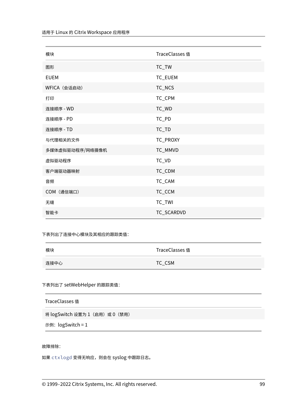| 模块              | <b>TraceClasses</b> 值 |
|-----------------|-----------------------|
| 图形              | TC_TW                 |
| <b>EUEM</b>     | TC_EUEM               |
| WFICA (会话启动)    | TC_NCS                |
| 打印              | TC_CPM                |
| 连接顺序 - WD       | TC_WD                 |
| 连接顺序 - PD       | TC_PD                 |
| 连接顺序 - TD       | $TC_TD$               |
| 与代理相关的文件        | TC_PROXY              |
| 多媒体虚拟驱动程序/网络摄像机 | TC_MMVD               |
| 虚拟驱动程序          | TC_VD                 |
| 客户端驱动器映射        | TC_CDM                |
| 音频              | TC_CAM                |
| COM (通信端口)      | TC_CCM                |
| 无缝              | TC_TWI                |
| 智能卡             | TC_SCARDVD            |
|                 |                       |

下表列出了连接中心模块及其相应的跟踪类值:

| 模块   | TraceClasses 值 |
|------|----------------|
| 连接中心 | TC_CSM         |

下表列出了 setWebHelper 的跟踪类值:

| TraceClasses 值                  |
|---------------------------------|
| 将 logSwitch 设置为 1 (启用) 或 0 (禁用) |
| 示例:logSwitch = 1                |

# 故障排除:

如果 ctxlogd 变得无响应,则会在 syslog 中跟踪日志。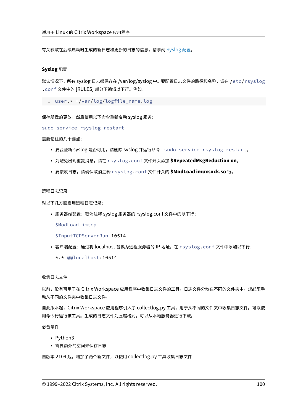有关获取在后续启动时生成的新日志和更新的日志的信息,请参阅 Syslog 配置。

### **Syslog** 配置

默认情况下,所有 syslog 日志都保存在 /var/log/syslog 中。要配置日志文件的路径和名称,请在 /etc/rsyslog .conf 文件中的 [RULES] 部分下编辑以下行。例如,

```
1 user.* -/var/log/logfile_name.log
```
保存所做的更改,然后使用以下命令重新启动 syslog 服务:

sudo service rsyslog restart

需要记住的几个要点:

- 要验证新 syslog 是否可用,请删除 syslog 并运行命令:sudo service rsyslog restart。
- 为避免出现重复消息,请在 rsyslog.conf 文件开头添加 **\$RepeatedMsgReduction on**。
- 要接收日志,请确保取消注释 rsyslog.conf 文件开头的 **\$ModLoad imuxsock.so** 行。

#### 远程日志记录

对以下几方面启用远程日志记录:

• 服务器端配置:取消注释 syslog 服务器的 rsyslog.conf 文件中的以下行:

\$ModLoad imtcp

\$InputTCPServerRun 10514

• 客户端配置: 通过将 localhost 替换为远程服务器的 IP 地址, 在 rsyslog.conf 文件中添加以下行:

\*.\* @@localhost:10514

收集日志文件

以前,没有可用于在 Citrix Workspace 应用程序中收集日志文件的工具。日志文件分散在不同的文件夹中。您必须手 动从不同的文件夹中收集日志文件。

自此版本起,Citrix Workspace 应用程序引入了 collectlog.py 工具,用于从不同的文件夹中收集日志文件。可以使 用命令行运行该工具。生成的日志文件为压缩格式。可以从本地服务器进行下载。

必备条件

- Python3
- 需要额外的空间来保存日志

自版本 2109 起,增加了两个新文件,以使用 collectlog.py 工具收集日志文件: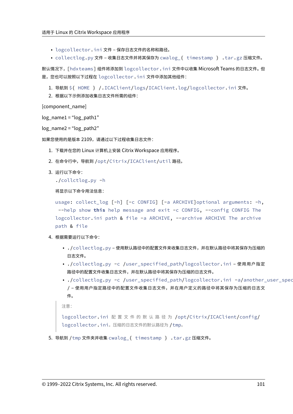- logcollector.ini 文件 保存日志文件的名称和路径。
- collectlog.py 文件 收集日志文件并将其保存为 cwalog\_{ timestamp } .tar.gz 压缩文件。

默认情况下,[hdxteams] 组件将添加到 logcollector.ini 文件中以收集 Microsoft Teams 的日志文件。但 是,您也可以按照以下过程在 logcollector.ini 文件中添加其他组件:

- 1. 导航到 \${ HOME } /.ICAClient/logs/ICAClient.log/logcollector.ini 文件。
- 2. 根据以下示例添加收集日志文件所需的组件:

[component\_name]

```
log\_name1 = "log\_path1"
```
 $log$  name2 = " $log$  path2"

如果您使用的是版本 2109,请通过以下过程收集日志文件:

- 1. 下载并在您的 Linux 计算机上安装 Citrix Workspace 应用程序。
- 2. 在命令行中,导航到 /opt/Citrix/ICAClient/util 路径。
- 3. 运行以下命令:

```
./collctlog.py -h
```
将显示以下命令用法信息:

```
usage: collect_log [-h] [-c CONFIG] [-a ARCHIVE]optional arguments: -h,
 --help show this help message and exit -c CONFIG, --config CONFIG The
logcollector.ini path & file -a ARCHIVE, --archive ARCHIVE The archive
path & file
```
- 4. 根据需要运行以下命令:
	- ./collectlog.py 使用默认路径中的配置文件来收集日志文件,并在默认路径中将其保存为压缩的 日志文件。
	- ./collectlog.py -c /user\_specified\_path/logcollector.ini 使用用户指定 路径中的配置文件收集日志文件,并在默认路径中将其保存为压缩的日志文件。
	- ./collectlog.py -c /user\_specified\_path/logcollector.ini -a/another\_user\_spec / – 使用用户指定路径中的配置文件收集日志文件,并在用户定义的路径中将其保存为压缩的日志文 件。

```
注意:
```

```
logcollector.ini 配 置 文 件 的 默 认 路 径 为 /opt/Citrix/ICAClient/config/
logcollector.ini。压缩的日志文件的默认路径为 /tmp。
```
5. 导航到 /tmp 文件夹并收集 cwalog\_{ timestamp } .tar.gz 压缩文件。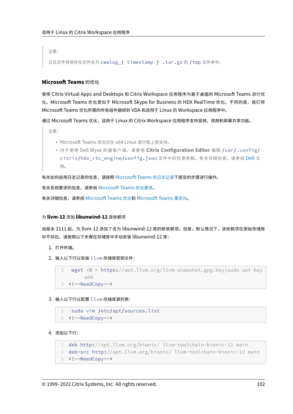注意:

日志文件将保存在文件名为 cwalog\_{ timestamp } .tar.gz 的 /tmp 文件夹中。

# **Microsoft Teams** 的优化

使用 Citrix Virtual Apps and Desktops 和 Citrix Workspace 应用程序为基于桌面的 Microsoft Teams 进行优 化。Microsoft Teams 优化类似于 Microsoft Skype for Business 的 HDX RealTime 优化。不同的是,我们将 Microsoft Teams 优化所需的所有组件捆绑到 VDA 和适用于 Linux 的 Workspace 应用程序中。

通过 Microsoft Teams 优化,适用于 Linux 的 Citrix Workspace 应用程序支持音频、视频和屏幕共享功能。

注意:

- Microsoft Teams 优化仅在 x64 Linux 发行版上受支持。
- 对于使用 Dell Wyse 的瘦客户端,请使用 **Citrix Configuration Editor** 编辑 /var/.config/ citrix/hdx\_rtc\_engine/config.json 文件中的任意参数。有关详细信息,请参阅 Dell 文 档。

有关如何启用日志记录的信息,请按照 Microsoft Teams 的日志记录下提及的步骤进行操作。

有关系统要求的信息,请参阅 Microsoft Teams 优化要求。

有关详细信息,请参阅 Microsoft Teams 优化和 [Microsoft Teams](https://docs.citrix.com/zh-cn/citrix-workspace-app-for-linux/configure-xenapp.html#logging-for-microsoft-teams) 重定向。

## 为 **llvm‑12** 添加 **libu[nwind‑12](https://docs.citrix.com/zh-cn/citrix-virtual-apps-desktops/multimedia/opt-ms-teams.html)** [库依赖项](https://docs.citrix.com/zh-cn/citrix-workspace-app-for-linux/system-requirements.html#requirements)

自版本 2111 起,为 llvm-12 添加了名为 libunwind-12 库的新依赖项。但是,默认情况下,该依赖项在原始存储库 中不存在。请按照以下步骤在存储库中手动安装 libunwind-12 库:

- 1. 打开终端。
- 2. 输入以下行以安装 llvm 存储库密钥文件:

```
1 wget -O - https://apt.llvm.org/llvm-snapshot.gpg.key|sudo apt-key
       add
2 <!--NeedCopy-->
```
3. 输入以下行以配置 llvm 存储库源列表:

```
1 sudo vim /etc/apt/sources.list
2 <!--NeedCopy-->
```
4. 添加以下行:

```
1 deb http://apt.llvm.org/bionic/ llvm-toolchain-bionic-12 main
```

```
2 deb-src http://apt.llvm.org/bionic/ llvm-toolchain-bionic-12 main
```

```
3 <!--NeedCopy-->
```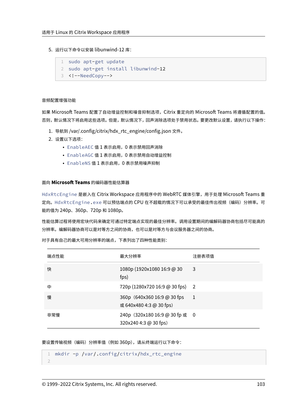5. 运行以下命令以安装 libunwind-12 库:

```
1 sudo apt-get update
2 sudo apt-get install libunwind-12
3 <!--NeedCopy-->
```
## 音频配置增强功能

如果 Microsoft Teams 配置了自动增益控制和噪音抑制选项,Citrix 重定向的 Microsoft Teams 将遵循配置的值。 否则,默认情况下将启用这些选项。但是,默认情况下,回声消除选项处于禁用状态。要更改默认设置,请执行以下操作:

- 1. 导航到 /var/.config/citrix/hdx\_rtc\_engine/config.json 文件。
- 2. 设置以下选项:
	- EnableAEC 值 1 表示启用,0 表示禁用回声消除
	- EnableAGC 值 1 表示启用,0 表示禁用自动增益控制
	- EnableNS 值 1 表示启用,0 表示禁用噪声抑制

## 面向 **Microsoft Teams** 的编码器性能估算器

HdxRtcEngine 是嵌入在 Citrix Workspace 应用程序中的 WebRTC 媒体引擎,用于处理 Microsoft Teams 重 定向。HdxRtcEngine.exe 可以预估端点的 CPU 在不超载的情况下可以承受的最佳传出视频(编码)分辨率。可 能的值为 240p、360p、720p 和 1080p。

性能估算过程将使用宏块代码来确定可通过特定端点实现的最佳分辨率。调用设置期间的编解码器协商包括尽可能高的 分辨率。编解码器协商可以是对等方之间的协商,也可以是对等方与会议服务器之间的协商。

对于具有自己的最大可用分辨率的端点,下表列出了四种性能类别:

| 端点性能 | 最大分辨率                                                   | 注册表项值 |
|------|---------------------------------------------------------|-------|
| 快    | 1080p (1920x1080 16:9 @ 30<br>fps)                      | 3     |
| 中    | 720p (1280x720 16:9 @ 30 fps) 2                         |       |
| 慢    | 360p (640x360 16:9 @ 30 fps)<br>或 640x480 4:3 @ 30 fps) | 1     |
| 非常慢  | 240p (320x180 16:9 @ 30 fp 或 0<br>320x240 4:3 @ 30 fps) |       |

要设置传输视频(编码)分辨率值(例如 360p),请从终端运行以下命令:

```
1 mkdir -p /var/.config/citrix/hdx_rtc_engine
```

```
2
```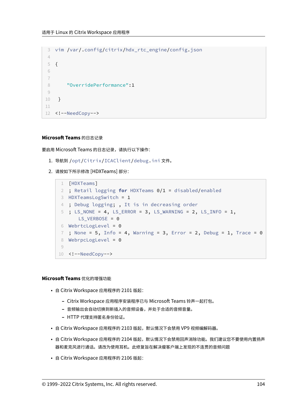```
3 vim /var/.config/citrix/hdx_rtc_engine/config.json
4
5 {
6
7
8 "OverridePerformance":1
9
10 }
11
12 <!--NeedCopy-->
```
# **Microsoft Teams** 的日志记录

要启用 Microsoft Teams 的日志记录,请执行以下操作:

- 1. 导航到 /opt/Citrix/ICAClient/debug.ini 文件。
- 2. 请按如下所示修改 [HDXTeams] 部分:

```
1 [HDXTeams]
2 ; Retail logging for HDXTeams 0/1 = disabled/enabled
3 HDXTeamsLogSwitch = 1
4 ; Debug logging; , It is in decreasing order
5 ; LS_NONE = 4, LS_ERROR = 3, LS_WARNING = 2, LS_INFO = 1,
      LS_VERBOSE = 06 WebrtcLogLevel = 0
7 ; None = 5, Info = 4, Warning = 3, Error = 2, Debug = 1, Trace = 08 WebrpcLogLevel = 0
9
10 <!--NeedCopy-->
```
## **Microsoft Teams** 优化的增强功能

- 自 Citrix Workspace 应用程序的 2101 版起:
	- **–** Citrix Workspace 应用程序安装程序已与 Microsoft Teams 铃声一起打包。
	- **–** 音频输出会自动切换到新插入的音频设备,并处于合适的音频音量。
	- **–** HTTP 代理支持匿名身份验证。
- 自 Citrix Workspace 应用程序的 2103 版起,默认情况下会禁用 VP9 视频编解码器。
- 自 Citrix Workspace 应用程序的 2104 版起,默认情况下会禁用回声消除功能。我们建议您不要使用内置扬声 器和麦克风进行通话。请改为使用耳机。此修复旨在解决瘦客户端上发现的不连贯的音频问题
- 自 Citrix Workspace 应用程序的 2106 版起: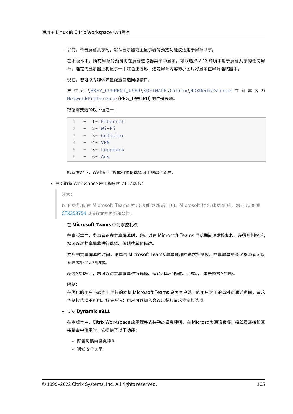**–** 以前,单击屏幕共享时,默认显示器或主显示器的预览功能仅适用于屏幕共享。

在本版本中,所有屏幕的预览将在屏幕选取器菜单中显示。可以选择 VDA 环境中用于屏幕共享的任何屏 幕。选定的显示器上将显示一个红色正方形,选定屏幕内容的小图片将显示在屏幕选取器中。

**–** 现在,您可以为媒体流量配置首选网络接口。

导 航 到 \HKEY\_CURRENT\_USER\SOFTWARE\Citrix\HDXMediaStream 并 创 建 名 为 NetworkPreference (REG\_DWORD) 的注册表项。

根据需要选择以下值之一:

| 4        | 1- Ethernet |  |
|----------|-------------|--|
| 2        | $2 - Wi-Fi$ |  |
| 3        | 3- Cellular |  |
| $\Delta$ | 4- VPN      |  |
| 5        | 5- Loopback |  |
| 6        | 6- Any      |  |

默认情况下,WebRTC 媒体引擎将选择可用的最佳路由。

#### • 自 Citrix Workspace 应用程序的 2112 版起:

注意:

以下功能仅在 Microsoft Teams 推出功能更新后可用。Microsoft 推出此更新后, 您可以查看 CTX253754 以获取文档更新和公告。

#### **–** 在 **Microsoft Teams** 中请求控制权

[在本版本中](https://support.citrix.com/article/CTX253754?_ga=2.97575065.720441965.1633910494-935350695.1633365909),参与者正在共享屏幕时,您可以在 Microsoft Teams 通话期间请求控制权。获得控制权后, 您可以对共享屏幕进行选择、编辑或其他修改。

要控制共享屏幕的时间,请单击 Microsoft Teams 屏幕顶部的请求控制权。共享屏幕的会议参与者可以 允许或拒绝您的请求。

获得控制权后,您可以对共享屏幕进行选择、编辑和其他修改。完成后,单击释放控制权。

限制:

在优化的用户与端点上运行的本机 Microsoft Teams 桌面客户端上的用户之间的点对点通话期间,请求 控制权选项不可用。解决方法:用户可以加入会议以获取请求控制权选项。

**–** 支持 **Dynamic e911**

在本版本中,Citrix Workspace 应用程序支持动态紧急呼叫。在 Microsoft 通话套餐、接线员连接和直 接路由中使用时,它提供了以下功能:

- \* 配置和路由紧急呼叫
- \* 通知安全人员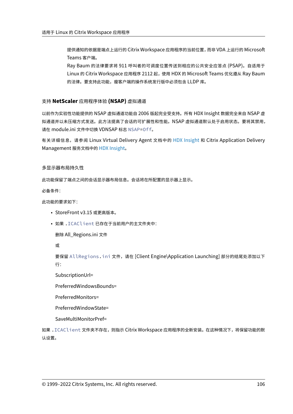提供通知的依据是端点上运行的 Citrix Workspace 应用程序的当前位置,而非 VDA 上运行的 Microsoft Teams 客户端。

Ray Baum 的法律要求将 911 呼叫者的可调度位置传送到相应的公共安全应答点 (PSAP)。自适用于 Linux 的 Citrix Workspace 应用程序 2112 起,使用 HDX 的 Microsoft Teams 优化遵从 Ray Baum 的法律。要支持此功能,瘦客户端的操作系统发行版中必须包含 LLDP 库。

# 支持 **NetScaler** 应用程序体验 **(NSAP)** 虚拟通道

以前作为实验性功能提供的 NSAP 虚拟通道功能自 2006 版起完全受支持。所有 HDX Insight 数据完全来自 NSAP 虚 拟通道并以未压缩方式发送。此方法提高了会话的可扩展性和性能。NSAP 虚拟通道默认处于启用状态。要将其禁用, 请在 module.ini 文件中切换 VDNSAP 标志 NSAP=Off。

有关详细信息,请参阅 Linux Virtual Delivery Agent 文档中的 HDX Insight 和 Citrix Application Delivery Management 服务文档中的 HDX Insight。

多显示器布局持久性

此功能保留了端点之间的会话显示器布局信息。会话将在所配置的显示器上显示。

必备条件:

此功能的要求如下:

- StoreFront v3.15 或更高版本。
- 如果 .ICAClient 已存在于当前用户的主文件夹中:

删除 All\_Regions.ini 文件

或

要保留 AllRegions.ini 文件,请在 [Client Engine\Application Launching] 部分的结尾处添加以下 行:

SubscriptionUrl=

PreferredWindowsBounds=

PreferredMonitors=

PreferredWindowState=

SaveMultiMonitorPref=

如果 .ICAClient 文件夹不存在,则指示 Citrix Workspace 应用程序的全新安装。在这种情况下,将保留功能的默 认设置。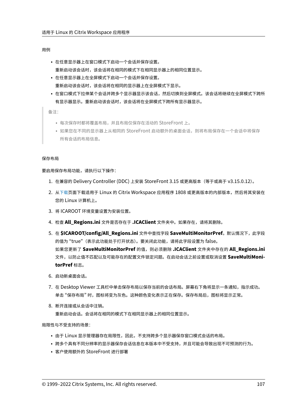#### 用例

- 在任意显示器上在窗口模式下启动一个会话并保存设置。 重新启动该会话时,该会话将在相同的模式下在相同显示器上的相同位置显示。
- 在任意显示器上在全屏模式下启动一个会话并保存设置。 重新启动该会话时,该会话将在相同的显示器上在全屏模式下显示。
- 在窗口模式下拉伸某个会话并跨多个显示器显示该会话,然后切换到全屏模式。该会话将继续在全屏模式下跨所 有显示器显示。重新启动该会话时,该会话将在全屏模式下跨所有显示器显示。

备注:

- 每次保存时都将覆盖布局,并且布局仅保存在活动的 StoreFront 上。
- 如果您在不同的显示器上从相同的 StoreFront 启动额外的桌面会话,则将布局保存在一个会话中将保存 所有会话的布局信息。

#### 保存布局

要启用保存布局功能,请执行以下操作:

- 1. 在兼容的 Delivery Controller (DDC) 上安装 StoreFront 3.15 或更高版本(等于或高于 v3.15.0.12)。
- 2. 从下载页面下载适用于 Linux 的 Citrix Workspace 应用程序 1808 或更高版本的内部版本,然后将其安装在 您的 Linux 计算机上。
- 3. 将 [ICA](https://www.citrix.com/downloads/)ROOT 环境变量设置为安装位置。
- 4. 检查 **All\_Regions.ini** 文件是否存在于 **.ICAClient** 文件夹中。如果存在,请将其删除。
- 5. 在 **\$ICAROOT/config/All\_Regions.ini** 文件中查找字段 **SaveMultiMonitorPref**。默认情况下,此字段 的值为 "true"(表示此功能处于打开状态)。要关闭此功能,请将此字段设置为 false。 如果您更新了 **SaveMultiMonitorPref** 的值,则必须删除 **.ICAClient** 文件夹中存在的 **All\_Regions.ini** 文件,以防止值不匹配以及可能存在的配置文件锁定问题。在启动会话之前设置或取消设置 **SaveMultiMoni‑ torPref** 标志。
- 6. 启动新桌面会话。
- 7. 在 Desktop Viewer 工具栏中单击保存布局以保存当前的会话布局。屏幕右下角将显示一条通知,指示成功。 单击 "保存布局" 时,图标将变为灰色。这种颜色变化表示正在保存。保存布局后,图标将显示正常。
- 8. 断开连接或从会话中注销。 重新启动会话。会话将在相同的模式下在相同显示器上的相同位置显示。

局限性与不受支持的场景:

- 由于 Linux 显示管理器存在局限性,因此,不支持跨多个显示器保存窗口模式会话的布局。
- 跨多个具有不同分辨率的显示器保存会话信息在本版本中不受支持,并且可能会导致出现不可预测的行为。
- 客户使用额外的 StoreFront 进行部署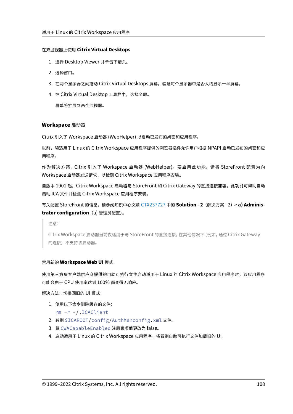## 在双监视器上使用 **Citrix Virtual Desktops**

- 1. 选择 Desktop Viewer 并单击下箭头。
- 2. 选择窗口。
- 3. 在两个显示器之间拖动 Citrix Virtual Desktops 屏幕。验证每个显示器中是否大约显示一半屏幕。
- 4. 在 Citrix Virtual Desktop 工具栏中,选择全屏。

屏幕将扩展到两个监视器。

## **Workspace** 启动器

Citrix 引入了 Workspace 启动器 (WebHelper) 以启动已发布的桌面和应用程序。

以前,随适用于 Linux 的 Citrix Workspace 应用程序提供的浏览器插件允许用户根据 NPAPI 启动已发布的桌面和应 用程序。

作为解决方案,Citrix 引入了 Workspace 启动器 (WebHelper)。要启用此功能,请将 StoreFront 配置为向 Workspace 启动器发送请求,以检测 Citrix Workspace 应用程序安装。

自版本 1901 起,Citrix Workspace 启动器与 StoreFront 和 Citrix Gateway 的直接连接兼容。此功能可帮助自动 启动 ICA 文件并检测 Citrix Workspace 应用程序安装。

有关配置 StoreFront 的信息,请参阅知识中心文章 CTX237727 中的 **Solution ‑ 2**(解决方案 ‑ 2)> **a) Adminis‑ trator configuration**(a) 管理员配置)。

注意:

Citrix Workspace 启动器当前仅适用于与 Stor[eFront](https://support.citrix.com/article/CTX237727) 的直接连接。在其他情况下(例如,通过 Citrix Gateway 的连接)不支持该启动器。

## 禁用新的 **Workspace Web UI** 模式

使用第三方瘦客户端供应商提供的自助可执行文件启动适用于 Linux 的 Citrix Workspace 应用程序时,该应用程序 可能会由于 CPU 使用率达到 100% 而变得无响应。

解决方法:切换回旧的 UI 模式:

1. 使用以下命令删除缓存的文件:

rm -r ~/.ICAClient

- 2. 转到 \$ICAROOT/config/AuthManconfig.xml 文件。
- 3. 将 CWACapableEnabled 注册表项值更改为 false。
- 4. 启动适用于 Linux 的 Citrix Workspace 应用程序。将看到自助可执行文件加载旧的 UI。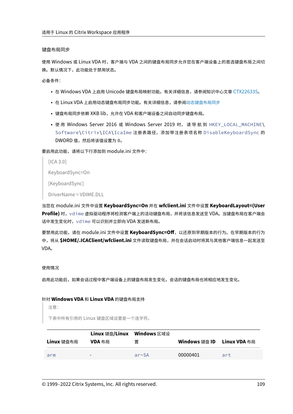#### 键盘布局同步

使用 Windows 或 Linux VDA 时,客户端与 VDA 之间的键盘布局同步允许您在客户端设备上的首选键盘布局之间切 换。默认情况下,此功能处于禁用状态。

必备条件:

- 在 Windows VDA 上启用 Unicode 键盘布局映射功能。有关详细信息,请参阅知识中心文章 CTX226335。
- 在 Linux VDA 上启用动态键盘布局同步功能。有关详细信息,请参阅动态键盘布局同步
- 键盘布局同步依赖 XKB lib,允许在 VDA 和客户端设备之间自动同步键盘布局。
- 使用 Windows Server 2016 或 Windows Server 2019 时,请导航到 HKEY\_LOCAL\_MACHINE\ Software\Citrix\ICA\IcaIme 注册表路径,添加带注册表项名称 DisableKeyboardSync 的 DWORD 值,然后将该值设置为 0。

要启用此功能,请将以下行添加到 module.ini 文件中:

 $[ICA 3.0]$ 

KeyboardSync=On

[KeyboardSync]

DriverName = VDIME.DLL

当您在 module.ini 文件中设置 **KeyboardSync=On** 并在 **wfclient.ini** 文件中设置 **KeyboardLayout=(User Profile)** 时,vdime 虚拟驱动程序将检测客户端上的活动键盘布局,并将该信息发送至 VDA。当键盘布局在客户端会 话中发生变化时,vdime 可以识别并立即向 VDA 发送新布局。

要禁用此功能,请在 module.ini 文件中设置 **KeyboardSync=Off**,以还原到早期版本的行为。在早期版本的行为 中,将从 **\$HOME/.ICAClient/wfclient.ini** 文件读取键盘布局,并在会话启动时将其与其他客户端信息一起发送至 VDA。

使用情况

启用此功能后,如果会话过程中客户端设备上的键盘布局发生变化,会话的键盘布局也将相应地发生变化。

#### 针对 **Windows VDA** 和 **Linux VDA** 的键盘布局支持

注意:

下表中所有引用的 Linux 键盘区域设置是一个连字符。

|            | Linux 键盘/Linux Windows 区域设 |         |                            |     |
|------------|----------------------------|---------|----------------------------|-----|
| Linux 键盘布局 | VDA 布局                     | 置       | Windows 键盘 ID Linux VDA 布局 |     |
| arm        | $\overline{\phantom{0}}$   | $ar-SA$ | 00000401                   | art |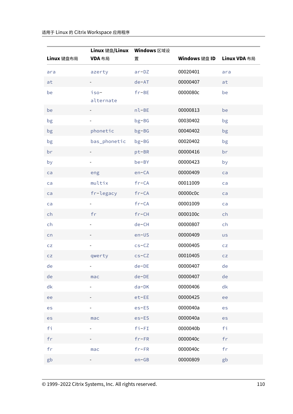|            | Linux 键盘/Linux Windows 区域设 |           |               |              |
|------------|----------------------------|-----------|---------------|--------------|
| Linux 键盘布局 | VDA 布局                     | 置         | Windows 键盘 ID | Linux VDA 布局 |
| ara        | azerty                     | $ar-DZ$   | 00020401      | ara          |
| at         |                            | $de-AT$   | 00000407      | at           |
| be         | $iso-$<br>alternate        | $fr-BE$   | 0000080c      | be           |
| be         |                            | $nl$ -BE  | 00000813      | be           |
| bg         |                            | $bg-BG$   | 00030402      | bg           |
| bg         | phonetic                   | $bg-BG$   | 00040402      | bg           |
| bg         | bas_phonetic               | $bg-BG$   | 00020402      | bg           |
| br         |                            | pt-BR     | 00000416      | br           |
| by         |                            | be-BY     | 00000423      | by           |
| ca         | eng                        | $en-CA$   | 00000409      | ca           |
| ca         | multix                     | $fr-CA$   | 00011009      | ca           |
| ca         | fr-legacy                  | $fr-CA$   | 00000c0c      | ca           |
| ca         |                            | $fr-CA$   | 00001009      | ca           |
| ch         | fr                         | $fr-CH$   | 0000100c      | ch           |
| ch         |                            | $de-CH$   | 00000807      | ch           |
| cn         |                            | $en$ –US  | 00000409      | <b>us</b>    |
| CZ         |                            | $cs - CZ$ | 00000405      | CZ           |
| CZ         | qwerty                     | $cs-CZ$   | 00010405      | CZ           |
| de         |                            | $de-DE$   | 00000407      | de           |
| de         | mac                        | $de-DE$   | 00000407      | de           |
| dk         |                            | $da-DK$   | 00000406      | dk           |
| ee         |                            | $et$ -EE  | 00000425      | ee           |
| es         |                            | $es$ -ES  | 0000040a      | es           |
| es         | mac                        | $es$ -ES  | 0000040a      | es           |
| fi         |                            | $fi-FI$   | 0000040b      | fi           |
| fr         |                            | $fr$ -FR  | 0000040c      | fr           |
| fr         | mac                        | $fr-FR$   | 0000040c      | fr           |
| gb         |                            | $en-GB$   | 00000809      | gb           |
|            |                            |           |               |              |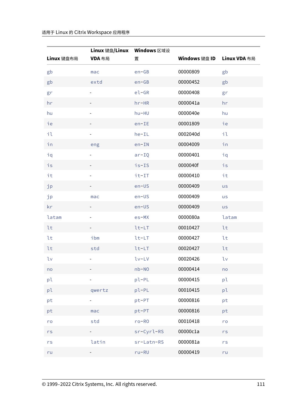| Linux 键盘布局     | Linux 键盘/Linux Windows 区域设<br>VDA 布局 | 置            | Windows 键盘 ID | Linux VDA 布局   |
|----------------|--------------------------------------|--------------|---------------|----------------|
| gb             | mac                                  | $en-GB$      | 00000809      | gb             |
| gb             | extd                                 | $en-GB$      | 00000452      | gb             |
| gr             |                                      | $e$ l-GR     | 00000408      | gr             |
| hr             |                                      | $hr-HR$      | 0000041a      | hr             |
| hu             |                                      | hu-HU        | 0000040e      | hu             |
| ie             |                                      | $en-IE$      | 00001809      | ie             |
| il             |                                      | $he-IL$      | 0002040d      | il             |
| in             | eng                                  | $en-IN$      | 00004009      | in             |
| iq             |                                      | $ar-IQ$      | 00000401      | iq             |
| i <sub>S</sub> |                                      | $is-IS$      | 0000040f      | i <sub>S</sub> |
| it             |                                      | $it-TT$      | 00000410      | it             |
| jp             |                                      | $en$ –US     | 00000409      | <b>us</b>      |
| jp             | mac                                  | $en$ –US     | 00000409      | <b>us</b>      |
| kr             |                                      | $en$ –US     | 00000409      | <b>us</b>      |
| latam          |                                      | $es-MX$      | 0000080a      | latam          |
| lt             |                                      | $lt-LT$      | 00010427      | lt             |
| lt             | ibm                                  | $lt-LT$      | 00000427      | lt             |
| lt             | std                                  | $lt-LT$      | 00020427      | lt             |
| lv             |                                      | $1v-LV$      | 00020426      | lv             |
| no             |                                      | $nb - NO$    | 00000414      | no             |
| pl             |                                      | pl-PL        | 00000415      | pl             |
| pl             | qwertz                               | $p1-PL$      | 00010415      | pl             |
| pt             |                                      | pt-PT        | 00000816      | pt             |
| pt             | mac                                  | pt-PT        | 00000816      | pt             |
| ro             | std                                  | $ro-RO$      | 00010418      | ro             |
| rs             |                                      | $sr-Cyrl-RS$ | 00000c1a      | $rs$           |
| $r s$          | latin                                | sr-Latn-RS   | 0000081a      | rs             |
| ru             |                                      | $ru-RU$      | 00000419      | ru             |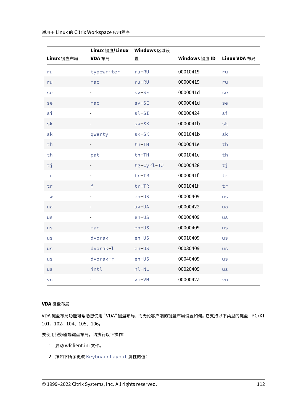|            | Linux 键盘/Linux Windows 区域设 |            |               |              |
|------------|----------------------------|------------|---------------|--------------|
| Linux 键盘布局 | VDA 布局                     | 置          | Windows 键盘 ID | Linux VDA 布局 |
| ru         | typewriter                 | $ru-RU$    | 00010419      | ru           |
| ru         | mac                        | $ru-RU$    | 00000419      | ru           |
| se         |                            | $sv-SE$    | 0000041d      | se           |
| se         | mac                        | $sv-SE$    | 0000041d      | se           |
| si         |                            | $s1-SI$    | 00000424      | si           |
| sk         |                            | sk-SK      | 0000041b      | sk           |
| sk         | qwerty                     | sk-SK      | 0001041b      | sk           |
| th         |                            | $th$ -TH   | 0000041e      | th           |
| th         | pat                        | th-TH      | 0001041e      | th           |
| tj         |                            | tg-Cyrl-TJ | 00000428      | tj           |
| tr         |                            | $tr$ -TR   | 0000041f      | tr           |
| tr         | $\mathsf f$                | $tr$ -TR   | 0001041f      | tr           |
| tw         |                            | $en$ -US   | 00000409      | us           |
| ua         |                            | uk-UA      | 00000422      | ua           |
| <b>us</b>  |                            | $en$ -US   | 00000409      | <b>us</b>    |
| <b>us</b>  | mac                        | $en$ –US   | 00000409      | <b>us</b>    |
| <b>us</b>  | dvorak                     | $en$ -US   | 00010409      | <b>us</b>    |
| <b>US</b>  | dvorak-l                   | $en$ -US   | 00030409      | <b>us</b>    |
| us         | dvorak-r                   | $en$ -US   | 00040409      | us           |
| <b>us</b>  | intl                       | $nl-NL$    | 00020409      | <b>us</b>    |
| vn         |                            | $vi - VN$  | 0000042a      | vn           |

# **VDA** 键盘布局

VDA 键盘布局功能可帮助您使用 "VDA" 键盘布局,而无论客户端的键盘布局设置如何。它支持以下类型的键盘:PC/XT 101、102、104、105、106。

要使用服务器端键盘布局,请执行以下操作:

- 1. 启动 wfclient.ini 文件。
- 2. 按如下所示更改 KeyboardLayout 属性的值: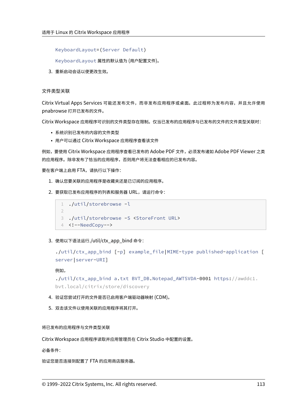KeyboardLayout=(Server Default)

KeyboardLayout 属性的默认值为 (用户配置文件)。

3. 重新启动会话以使更改生效。

# 文件类型关联

Citrix Virtual Apps Services 可能还发布文件,而非发布应用程序或桌面。此过程称为发布内容,并且允许使用 pnabrowse 打开已发布的文件。

Citrix Workspace 应用程序可识别的文件类型存在限制。仅当已发布的应用程序与已发布的文件的文件类型关联时:

- 系统识别已发布的内容的文件类型
- 用户可以通过 Citrix Workspace 应用程序查看该文件

例如,要使用 Citrix Workspace 应用程序查看已发布的 Adobe PDF 文件,必须发布诸如 Adobe PDF Viewer 之类 的应用程序。除非发布了恰当的应用程序,否则用户将无法查看相应的已发布内容。

要在客户端上启用 FTA,请执行以下操作:

- 1. 确认您要关联的应用程序是收藏夹还是已订阅的应用程序。
- 2. 要获取已发布应用程序的列表和服务器 URL,请运行命令:

```
1 ./util/storebrowse -l
\mathcal{L}3 ./util/storebrowse -S <StoreFront URL>
4 <!--NeedCopy-->
```
3. 使用以下语法运行./util/ctx\_app\_bind 命令:

```
./util/ctx_app_bind [-p] example_file|MIME-type published-application [
server|server-URI]
```
例如,

```
./util/ctx_app_bind a.txt BVT_DB.Notepad_AWTSVDA-0001 https://awddc1.
bvt.local/citrix/store/discovery
```
- 4. 验证您尝试打开的文件是否已启用客户端驱动器映射 (CDM)。
- 5. 双击该文件以使用关联的应用程序将其打开。

将已发布的应用程序与文件类型关联

Citrix Workspace 应用程序读取并应用管理员在 Citrix Studio 中配置的设置。

必备条件:

验证您是否连接到配置了 FTA 的应用商店服务器。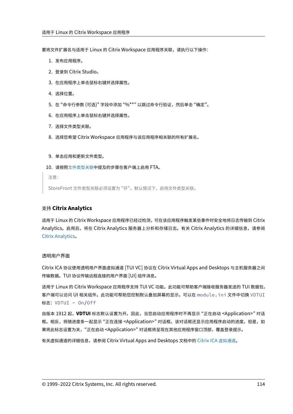要将文件扩展名与适用于 Linux 的 Citrix Workspace 应用程序关联,请执行以下操作:

- 1. 发布应用程序。
- 2. 登录到 Citrix Studio。
- 3. 在应用程序上单击鼠标右键并选择属性。
- 4. 选择位置。
- 5. 在"命令行参数 (可选)"字段中添加"%\*\*"以跳过命令行验证,然后单击"确定"。
- 6. 在应用程序上单击鼠标右键并选择属性。
- 7. 选择文件类型关联。
- 8. 选择您希望 Citrix Workspace 应用程序与该应用程序相关联的所有扩展名。

# 9. 单击应用和更新文件类型。

10. 请按照文件类型关联中提及的步骤在客户端上启用 FTA。

注意:

StoreFront [文件类型关](https://docs.citrix.com/zh-cn/citrix-workspace-app-for-linux/configure-xenapp.html#file-type-association)联必须设置为 "开"。默认情况下,启用文件类型关联。

# 支持 **Citrix Analytics**

适用于 Linux 的 Citrix Workspace 应用程序已经过检测,可在该应用程序触发某些事件时安全地将日志传输到 Citrix Analytics。启用后,将在 Citrix Analytics 服务器上分析和存储日志。有关 Citrix Analytics 的详细信息,请参阅 Citrix Analytics。

# [透明用户界面](https://docs.citrix.com/zh-cn/citrix-analytics/)

Citrix ICA 协议使用透明用户界面虚拟通道 [TUI VC] 协议在 Citrix Virtual Apps and Desktops 与主机服务器之间 传输数据。TUI 协议传输远程连接的用户界面 [UI] 组件消息。

适用于 Linux 的 Citrix Workspace 应用程序支持 TUI VC 功能。此功能可帮助客户端接收服务器发送的 TUI 数据包, 客户端可以访问 UI 相关组件。此功能可帮助您控制默认叠加屏幕的显示。可以在 module.ini 文件中切换 VDTUI 标志: VDTUI - On/Off

自版本 1912 起,**VDTUI** 标志默认设置为开。因此,当您启动应用程序时不再显示 "正在启动 <Application>" 对话 框。相反,将随进度条一起显示 "正在连接 <Application>" 对话框。该对话框还显示应用程序启动的进度。但是,如 果将此标志设置为关,"正在启动 <Application>" 对话框将呈现在其他应用程序窗口顶部,覆盖登录提示。

有关虚拟通道的详细信息,请参阅 Citrix Virtual Apps and Desktops 文档中的 Citrix ICA 虚拟通道。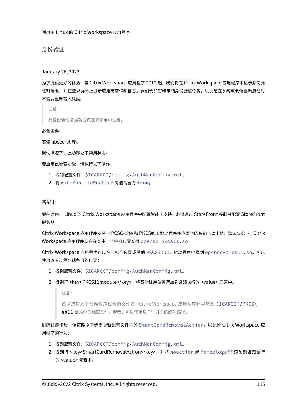身份验证

January 26, 2022

为了提供更好的体验,自 Citrix Workspace 应用程序 2012 起,我们将在 Citrix Workspace 应用程序中显示身份验 证对话框,并在登录屏幕上显示应用商店详细信息。我们会加密和存储身份验证令牌,以便您在系统或会话重新启动时 不需要重新输入凭据。

注意:

此身份验证增强功能仅在云部署中适用。

必备条件:

安装 libsecret 库。

默认情况下,此功能处于禁用状态。

要启用此增强功能,请执行以下操作:

- 1. 找到配置文件: \$ICAROOT/config/AuthManConfig.xml。
- 2. 将 AuthManLiteEnabled 的值设置为 **true**。

智能卡

要在适用于 Linux 的 Citrix Workspace 应用程序中配置智能卡支持,必须通过 StoreFront 控制台配置 StoreFront 服务器。

Citrix Workspace 应用程序支持与 PCSC‑Lite 和 PKCS#11 驱动程序相应兼容的智能卡读卡器。默认情况下,Citrix Workspace 应用程序现在在其中一个标准位置查找 opensc-pkcs11.so。

Citrix Workspace 应用程序可以在非标准位置或其他 PKCS\##11 驱动程序中找到 opensc-pkcs11.so。可以 使用以下过程存储各自的位置:

- 1. 找到配置文件: \$ICAROOT/config/AuthManConfig.xml。
- 2. 找到行 <key>PKCS11module</key>,将驱动程序位置添加到紧跟该行的 <value> 元素中。
	- 注意:

如果您输入了驱动程序位置的文件名,Citrix Workspace 应用程序将导航到 \$ICAROOT/PKCS\ ##11 目录中的相应文件。或者,可以使用以 "/" 开头的绝对路径。

删除智能卡后,请按照以下步骤更新配置文件中的 SmartCardRemovalAction,以配置 Citrix Workspace 应 用程序的行为:

- 1. 找到配置文件: \$ICAROOT/config/AuthManConfig.xml。
- 2. 找到行 <key>SmartCardRemovalAction</key>,并将 noaction 或 forcelogoff 添加到紧跟该行 的 <value> 元素中。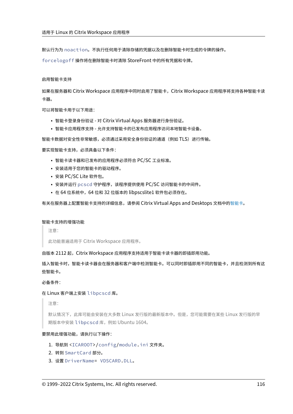默认行为为 noaction。不执行任何用于清除存储的凭据以及在删除智能卡时生成的令牌的操作。

forcelogoff 操作将在删除智能卡时清除 StoreFront 中的所有凭据和令牌。

#### 启用智能卡支持

如果在服务器和 Citrix Workspace 应用程序中同时启用了智能卡,Citrix Workspace 应用程序将支持各种智能卡读 卡器。

可以将智能卡用于以下用途:

- 智能卡登录身份验证 ‑ 对 Citrix Virtual Apps 服务器进行身份验证。
- 智能卡应用程序支持 允许支持智能卡的已发布应用程序访问本地智能卡设备。

智能卡数据对安全性非常敏感,必须通过采用安全身份验证的通道(例如 TLS)进行传输。

要实现智能卡支持,必须具备以下条件:

- 智能卡读卡器和已发布的应用程序必须符合 PC/SC 工业标准。
- 安装适用于您的智能卡的驱动程序。
- 安装 PC/SC Lite 软件包。
- 安装并运行 pcscd 守护程序,该程序提供使用 PC/SC 访问智能卡的中间件。
- 在 64 位系统中, 64 位和 32 位版本的 libpscslite1 软件包必须存在。

有关在服务器上配置智能卡支持的详细信息,请参阅 Citrix Virtual Apps and Desktops 文档中的智能卡。

#### 智能卡支持的增强功能

注意:

此功能普遍适用于 Citrix Workspace 应用程序。

自版本 2112 起,Citrix Workspace 应用程序支持适用于智能卡读卡器的即插即用功能。

插入智能卡时,智能卡读卡器会在服务器和客户端中检测智能卡。可以同时即插即用不同的智能卡,并且检测到所有这 些智能卡。

必备条件:

### 在 Linux 客户端上安装 libpcscd 库。

注意:

默认情况下,此库可能会安装在大多数 Linux 发行版的最新版本中。但是,您可能需要在某些 Linux 发行版的早 期版本中安装 libpcscd 库,例如 Ubuntu 1604。

#### 要禁用此增强功能,请执行以下操作:

- 1. 导航到 <ICAROOT>/config/module.ini 文件夹。
- 2. 转到 SmartCard 部分。
- 3. 设置 DriverName= VDSCARD.DLL。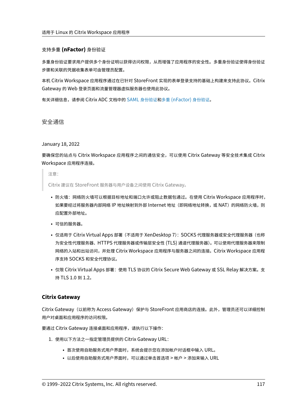# 支持多重 **(nFactor)** 身份验证

多重身份验证要求用户提供多个身份证明以获得访问权限,从而增强了应用程序的安全性。多重身份验证使得身份验证 步骤和关联的凭据收集表单可由管理员配置。

本机 Citrix Workspace 应用程序通过在已针对 StoreFront 实现的表单登录支持的基础上构建来支持此协议。Citrix Gateway 的 Web 登录页面和流量管理器虚拟服务器也使用此协议。

有关详细信息,请参阅 Citrix ADC 文档中的 SAML 身份验证和多重 (nFactor) 身份验证。

安全通信

January 18, 2022

要确保您的站点与 Citrix Workspace 应用程序之间的通信安全,可以使用 Citrix Gateway 等安全技术集成 Citrix Workspace 应用程序连接。

注意:

Citrix 建议在 StoreFront 服务器与用户设备之间使用 Citrix Gateway。

- 防火墙:网络防火墙可以根据目标地址和端口允许或阻止数据包通过。在使用 Citrix Workspace 应用程序时, 如果要经过将服务器内部网络 IP 地址映射到外部 Internet 地址(即网络地址转换,或 NAT)的网络防火墙,则 应配置外部地址。
- 可信的服务器。
- 仅适用于 Citrix Virtual Apps 部署 (不适用于 XenDesktop 7): SOCKS 代理服务器或安全代理服务器 (也称 为安全性代理服务器、HTTPS 代理服务器或传输层安全性 (TLS) 通道代理服务器)。可以使用代理服务器来限制 网络的入站和出站访问,并处理 Citrix Workspace 应用程序与服务器之间的连接。Citrix Workspace 应用程 序支持 SOCKS 和安全代理协议。
- 仅限 Citrix Virtual Apps 部署:使用 TLS 协议的 Citrix Secure Web Gateway 或 SSL Relay 解决方案。支 持 TLS 1.0 到 1.2。

# **Citrix Gateway**

Citrix Gateway (以前称为 Access Gateway) 保护与 StoreFront 应用商店的连接。此外, 管理员还可以详细控制 用户对桌面和应用程序的访问权限。

要通过 Citrix Gateway 连接桌面和应用程序,请执行以下操作:

- 1. 使用以下方法之一指定管理员提供的 Citrix Gateway URL:
	- 首次使用自助服务式用户界面时,系统会提示您在添加帐户对话框中输入 URL。
	- 以后使用自助服务式用户界面时,可以通过单击首选项 > 帐户 > 添加来输入 URL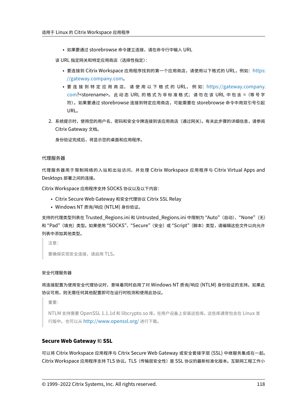• 如果要通过 storebrowse 命令建立连接,请在命令行中输入 URL

该 URL 指定网关和特定应用商店(选择性指定):

- 要连接到 Citrix Workspace 应用程序找到的第一个应用商店,请使用以下格式的 URL,例如: https: //gateway.company.com。
- 要 连 接 到 特 定 应 用 商 店, 请 使 用 以 下 格 式 的 URL, 例 如:https://gateway.company. com?<storename>。 此 动 态 URL 的 格 式 为 非 标 准 格 式; 请 勿 在 该 URL 中 包 含 =([等 号 字](https://gateway.company.com) [符\)。如果要通过](https://gateway.company.com) storebrowse 连接到特定应用商店,可能需要在 storebrowse 命令中用双引号引起 URL。
- 2. 系统[提示时,](https://gateway.company.com)使用您的用户名、密码和安全令牌连接到该应用商店(通过网关)。有关此步骤的详细信息,请参阅 Citrix Gateway 文档。

身份验证完成后,将显示您的桌面和应用程序。

## 代理服务器

代理服务器用于限制网络的入站和出站访问,并处理 Citrix Workspace 应用程序与 Citrix Virtual Apps and Desktops 部署之间的连接。

Citrix Workspace 应用程序支持 SOCKS 协议以及以下内容:

- Citrix Secure Web Gateway 和安全代理协议 Citrix SSL Relay
- Windows NT 质询/响应 (NTLM) 身份验证。

支持的代理类型列表在 Trusted Regions.ini 和 Untrusted Regions.ini 中限制为 "Auto"(自动)、 "None"(无) 和"Pad"(填充)类型。如果使用"SOCKS"、"Secure"(安全)或"Script"(脚本)类型,请编辑这些文件以向允许 列表中添加其他类型。

注意:

要确保实现安全连接,请启用 TLS。

# 安全代理服务器

将连接配置为使用安全代理协议时,意味着同时启用了对 Windows NT 质询/响应 (NTLM) 身份验证的支持。如果此 协议可用,则无需任何其他配置即可在运行时检测和使用此协议。

重要:

NTLM 支持需要 OpenSSL 1.1.1d 和 libcrypto.so 库。在用户设备上安装这些库。这些库通常包含在 Linux 发 行版中。也可以从 http://www.openssl.org/ 进行下载。

# **Secure Web Gat[eway](http://www.openssl.org/)** 和 **SSL**

可以将 Citrix Workspace 应用程序与 Citrix Secure Web Gateway 或安全套接字层 (SSL) 中继服务集成在一起。 Citrix Workspace 应用程序支持 TLS 协议。TLS(传输层安全性)是 SSL 协议的最新标准化版本。互联网工程工作小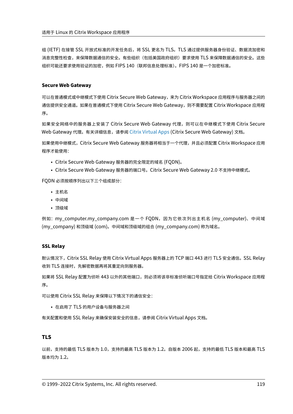组 (IETF) 在接管 SSL 开放式标准的开发任务后,将 SSL 更名为 TLS。TLS 通过提供服务器身份验证、数据流加密和 消息完整性检查,来保障数据通信的安全。有些组织(包括美国政府组织)要求使用 TLS 来保障数据通信的安全。这些 组织可能还要求使用验证的加密,例如 FIPS 140(联邦信息处理标准)。FIPS 140 是一个加密标准。

# **Secure Web Gateway**

可以在普通模式或中继模式下使用 Citrix Secure Web Gateway,来为 Citrix Workspace 应用程序与服务器之间的 通信提供安全通道。如果在普通模式下使用 Citrix Secure Web Gateway, 则不需要配置 Citrix Workspace 应用程 序。

如果安全网络中的服务器上安装了 Citrix Secure Web Gateway 代理, 则可以在中继模式下使用 Citrix Secure Web Gateway 代理。有关详细信息,请参阅 Citrix Virtual Apps (Citrix Secure Web Gateway) 文档。

如果使用中继模式,Citrix Secure Web Gateway 服务器将相当于一个代理,并且必须配置 Citrix Workspace 应用 程序才能使用:

- Citrix Secure Web Gateway 服务器[的完全限定的域名](https://docs.citrix.com/zh-cn/xenapp-and-xendesktop/xenapp-6-5/xenapp65-w2k8-wrapper/sg-presentation-server-v2.html) (FQDN)。
- Citrix Secure Web Gateway 服务器的端口号。Citrix Secure Web Gateway 2.0 不支持中继模式。

FQDN 必须按顺序列出以下三个组成部分:

- 主机名
- 中间域
- 顶级域

例如:my\_computer.my\_company.com 是一个 FQDN,因为它依次列出主机名 (my\_computer)、中间域 (my\_company) 和顶级域 (com)。中间域和顶级域的组合 (my\_company.com) 称为域名。

# **SSL Relay**

默认情况下,Citrix SSL Relay 使用 Citrix Virtual Apps 服务器上的 TCP 端口 443 进行 TLS 安全通信。SSL Relay 收到 TLS 连接时,先解密数据再将其重定向到服务器。

如果将 SSL Relay 配置为侦听 443 以外的其他端口,则必须将该非标准侦听端口号指定给 Citrix Workspace 应用程 序。

可以使用 Citrix SSL Relay 来保障以下情况下的通信安全:

• 在启用了 TLS 的用户设备与服务器之间

有关配置和使用 SSL Relay 来确保安装安全的信息,请参阅 Citrix Virtual Apps 文档。

# **TLS**

以前,支持的最低 TLS 版本为 1.0,支持的最高 TLS 版本为 1.2。自版本 2006 起,支持的最低 TLS 版本和最高 TLS 版本均为 1.2。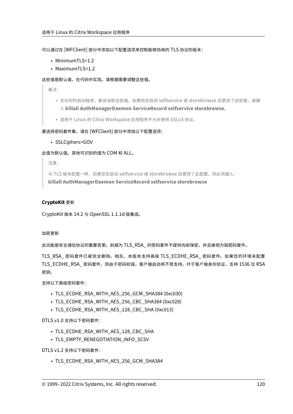可以通过在 [WFClient] 部分中添加以下配置选项来控制能够协商的 TLS 协议的版本:

- MinimumTLS=1.2
- MaximumTLS=1.2

# 这些值是默认值,在代码中实现。请根据需要调整这些值。

备注:

- 无论何时启动程序,都会读取这些值。如果您在启动 selfservice 或 storebrowse 后更改了这些值,请键 入 **killall AuthManagerDaemon ServiceRecord selfservice storebrowse**。
- 适用于 Linux 的 Citrix Workspace 应用程序不允许使用 SSLv3 协议。

# 要选择密码套件集,请在 [WFClient] 部分中添加以下配置选项:

• SSLCiphers=GOV

此值为默认值。其他可识别的值为 COM 和 ALL。

注意:

与 TLS 版本配置一样,如果您在启动 selfservice 或 storebrowse 后更改了此配置,则必须键入: **killall AuthManagerDaemon ServiceRecord selfservice storebrowse**

# **CryptoKit** 更新

CryptoKit 版本 14.2 与 OpenSSL 1.1.1d 版集成。

# 加密更新

此功能是安全通信协议的重要变更。前缀为 TLS RSA 的密码套件不提供向前保密,并且被视为弱密码套件。

TLS\_RSA\_ 密码套件已被完全删除。相反,本版本支持高级 TLS\_ECDHE\_RSA\_ 密码套件。如果您的环境未配置 TLS\_ECDHE\_RSA\_ 密码套件,则由于密码较弱,客户端启动将不受支持。对于客户端身份验证,支持 1536 位 RSA 密钥。

支持以下高级密码套件:

- TLS ECDHE\_RSA\_WITH\_AES\_256\_GCM\_SHA384 (0xc030)
- TLS\_ECDHE\_RSA\_WITH\_AES\_256\_CBC\_SHA384 (0xc028)
- TLS ECDHE\_RSA\_WITH\_AES\_128\_CBC\_SHA (0xc013)

DTLS v1.0 支持以下密码套件:

- TLS\_ECDHE\_RSA\_WITH\_AES\_128\_CBC\_SHA
- TLS\_EMPTY\_RENEGOTIATION\_INFO\_SCSV

DTLS v1.2 支持以下密码套件:

• TLS\_ECDHE\_RSA\_WITH\_AES\_256\_GCM\_SHA384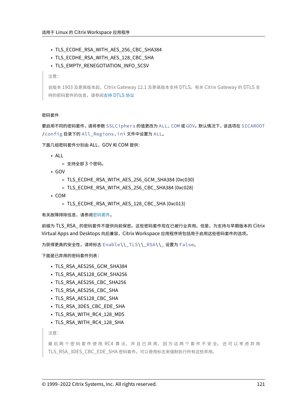- TLS\_ECDHE\_RSA\_WITH\_AES\_256\_CBC\_SHA384
- TLS ECDHE\_RSA\_WITH\_AES\_128\_CBC\_SHA
- TLS\_EMPTY\_RENEGOTIATION\_INFO\_SCSV

注意:

自版本 1903 及更高版本起,Citrix Gateway 12.1 及更高版本支持 DTLS。有关 Citrix Gateway 的 DTLS 支 持的密码套件的信息,请参阅支持 DTLS 协议

#### 密码套件

要启用不同的密码套件,请将参数 SSLCiphers 的值更改为 ALL、COM 或 GOV。默认情况下,该选项在 \$ICAROOT /config 目录下的 All\_Regions.ini 文件中设置为 ALL。

下面几组密码套件分别由 ALL、GOV 和 COM 提供:

- ALL
	- **–** 支持全部 3 个密码。
- GOV
	- **–** TLS\_ECDHE\_RSA\_WITH\_AES\_256\_GCM\_SHA384 (0xc030)
	- **–** TLS\_ECDHE\_RSA\_WITH\_AES\_256\_CBC\_SHA384 (0xc028)
- COM
	- **–** TLS\_ECDHE\_RSA\_WITH\_AES\_128\_CBC\_SHA (0xc013)

有关故障排除信息,请参阅密码套件。

前缀为 TLS RSA 的密码套件不提供向前保密。这些密码套件现在已被行业弃用。但是,为支持与早期版本的 Citrix Virtual Apps and Deskt[ops](https://docs.citrix.com/zh-cn/citrix-workspace-app-for-linux/troubleshooting.html#cipher-suites) 向后兼容, Citrix Workspace 应用程序将包括用于启用这些密码套件的选项。

为获得更高的安全性,请将标志 Enable\\\_TLS\\\_RSA\\\_ 设置为 False。

下面是已弃用的密码套件列表:

- TLS\_RSA\_AES256\_GCM\_SHA384
- TLS RSA AES128 GCM SHA256
- TLS RSA AES256 CBC SHA256
- TLS RSA AES256 CBC SHA
- TLS RSA AES128 CBC SHA
- TLS RSA 3DES CBC EDE SHA
- TLS RSA WITH RC4 128 MD5
- TLS\_RSA\_WITH\_RC4\_128\_SHA

注意:

最 后 两 个 密 码 套 件 使 用 RC4 算 法, 并 且 已 弃 用, 因 为 这 两 个 套 件 不 安 全。 还 可 以 考 虑 弃 用 TLS\_RSA\_3DES\_CBC\_EDE\_SHA 密码套件。可以使用标志来强制执行所有这些弃用。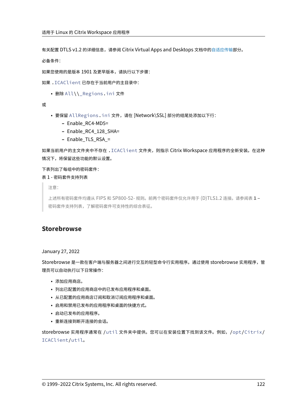有关配置 DTLS v1.2 的详细信息,请参阅 Citrix Virtual Apps and Desktops 文档中的自适应传输部分。

必备条件:

如果您使用的是版本 1901 及更早版本,请执行以下步骤:

如果 .ICAClient 已存在于当前用户的主目录中:

• 删除 All\\\_Regions.ini 文件

或

- 要保留 AllRegions.ini 文件,请在 [Network\SSL] 部分的结尾处添加以下行:
	- **–** Enable\_RC4‑MD5=
	- **–** Enable\_RC4\_128\_SHA=
	- **–** Enable\_TLS\_RSA\_=

如果当前用户的主文件夹中不存在 .ICAClient 文件夹,则指示 Citrix Workspace 应用程序的全新安装。在这种 情况下,将保留这些功能的默认设置。

下表列出了每组中的密码套件:

表 1 ‑ 密码套件支持列表

注意:

上述所有密码套件均遵从 FIPS 和 SP800‑52‑ 规则。前两个密码套件仅允许用于 (D)TLS1.2 连接。请参阅表 **1 –** 密码套件支持列表,了解密码套件可支持性的综合表征。

# **Storebrowse**

January 27, 2022

Storebrowse 是一款在客户端与服务器之间进行交互的轻型命令行实用程序。通过使用 storebrowse 实用程序,管 理员可以自动执行以下日常操作:

- 添加应用商店。
- 列出已配置的应用商店中的已发布应用程序和桌面。
- 从已配置的应用商店订阅和取消订阅应用程序和桌面。
- 启用和禁用已发布的应用程序和桌面的快捷方式。
- 启动已发布的应用程序。
- 重新连接到断开连接的会话。

storebrowse 实用程序通常在 /util 文件夹中提供。您可以在安装位置下找到该文件。例如,/opt/Citrix/ ICAClient/util。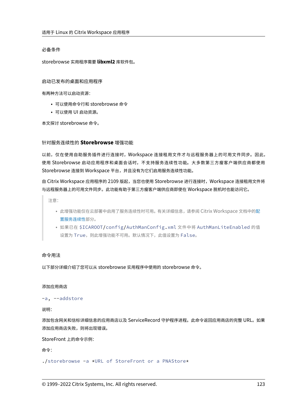# 必备条件

storebrowse 实用程序需要 **libxml2** 库软件包。

启动已发布的桌面和应用程序

有两种方法可以启动资源:

- 可以使用命令行和 storebrowse 命令
- 可以使用 UI 启动资源。

本文探讨 storebrowse 命令。

# 针对服务连续性的 **Storebrowse** 增强功能

以前,仅在使用自助服务插件进行连接时,Workspace 连接租用文件才与远程服务器上的可用文件同步。因此, 使用 Storebrowse 启动应用程序和桌面会话时,不支持服务连续性功能。大多数第三方瘦客户端供应商都使用 Storebrowse 连接到 Workspace 平台,并且没有为它们启用服务连续性功能。

自 Citrix Workspace 应用程序的 2109 版起,当您也使用 Storebrowse 进行连接时,Workspace 连接租用文件将 与远程服务器上的可用文件同步。此功能有助于第三方瘦客户端供应商即使在 Workspace 脱机时也能访问它。

注意:

- 此增强功能仅在云部署中启用了服务连续性时可用。有关详细信息,请参阅 Citrix Workspace 文档中的配 置服务连续性部分。
- 如果已在 \$ICAROOT/config/AuthManConfig.xml 文件中将 AuthManLiteEnabled 的值 设置为 True,则此增强功能不可用。默认情况下,此值设置为 False。

# 命令用法

以下部分详细介绍了您可以从 storebrowse 实用程序中使用的 storebrowse 命令。

添加应用商店

-a, --addstore

说明:

添加包含网关和信标详细信息的应用商店以及 ServiceRecord 守护程序进程。此命令返回应用商店的完整 URL。如果 添加应用商店失败,则将出现错误。

StoreFront 上的命令示例:

命令:

./storebrowse -a \*URL of StoreFront or a PNAStore\*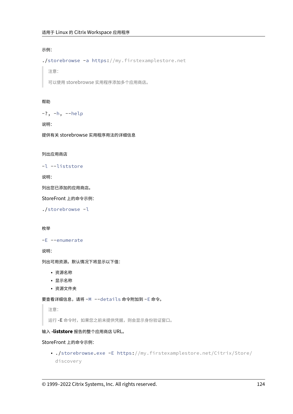# 示例:

./storebrowse -a https://my.firstexamplestore.net

注意:

可以使用 storebrowse 实用程序添加多个应用商店。

# 帮助

-?, -h, --help

说明:

提供有关 storebrowse 实用程序用法的详细信息

# 列出应用商店

-l --liststore

说明:

列出您已添加的应用商店。

StoreFront 上的命令示例:

./storebrowse -l

# 枚举

```
-E --enumerate
```
说明:

列出可用资源。默认情况下将显示以下值:

- 资源名称
- 显示名称
- 资源文件夹

要查看详细信息,请将 -M --details 命令附加到 -E 命令。

注意:

运行 **‑E** 命令时,如果您之前未提供凭据,则会显示身份验证窗口。

# 输入 **‑liststore** 报告的整个应用商店 URL。

# StoreFront 上的命令示例:

• ./storebrowse.exe -E https://my.firstexamplestore.net/Citrix/Store/ discovery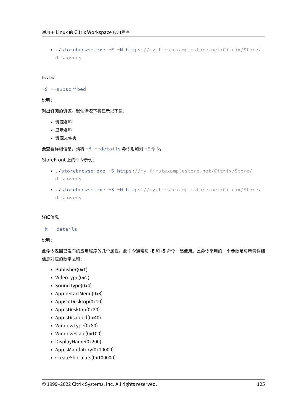• ./storebrowse.exe -E -M https://my.firstexamplestore.net/Citrix/Store/ discovery

# 已订阅

```
-S --subscribed
```
说明:

列出订阅的资源。默认情况下将显示以下值:

- 资源名称
- 显示名称
- 资源文件夹

要查看详细信息,请将 -M --details 命令附加到 -E 命令。

# StoreFront 上的命令示例:

- ./storebrowse.exe -S https://my.firstexamplestore.net/Citrix/Store/ discovery
- ./storebrowse.exe -S -M https://my.firstexamplestore.net/Citrix/Store/ discovery

# 详细信息

# -M --details

说明:

此命令返回已发布的应用程序的几个属性。此命令通常与 **‑E** 和 **‑S** 命令一起使用。此命令采用的一个参数是与所需详细 信息对应的数字之和:

- Publisher(0x1)
- VideoType(0x2)
- SoundType(0x4)
- AppInStartMenu(0x8)
- AppOnDesktop(0x10)
- AppIsDesktop(0x20)
- AppIsDisabled(0x40)
- WindowType(0x80)
- WindowScale(0x100)
- DisplayName(0x200)
- AppIsMandatory(0x10000)
- CreateShortcuts(0x100000)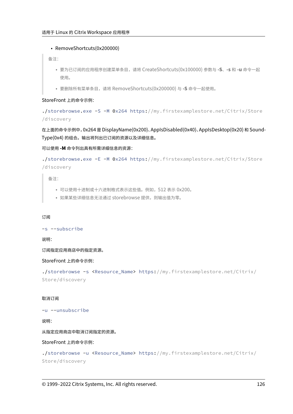# • RemoveShortcuts(0x200000)

备注:

- 要为已订阅的应用程序创建菜单条目,请将 CreateShortcuts(0x100000) 参数与 **‑S**、**‑s** 和 **‑u** 命令一起 使用。
- 要删除所有菜单条目,请将 RemoveShortcuts(0x200000) 与 **‑S** 命令一起使用。

# StoreFront 上的命令示例:

./storebrowse.exe -S -M 0x264 https://my.firstexamplestore.net/Citrix/Store /discovery

在上面的命令示例中,0x264 是 DisplayName(0x200)、AppIsDisabled(0x40)、AppIsDesktop(0x20) 和 Sound‑ Type(0x4) 的组合。输出将列出已订阅的资源以及详细信息。

可以使用 **‑M** 命令列出具有所需详细信息的资源:

```
./storebrowse.exe -E -M 0x264 https://my.firstexamplestore.net/Citrix/Store
/discovery
```
备注:

- 可以使用十进制或十六进制格式表示这些值。例如,512 表示 0x200。
- 如果某些详细信息无法通过 storebrowse 提供,则输出值为零。

# 订阅

-s --subscribe

说明:

订阅指定应用商店中的指定资源。

StoreFront 上的命令示例:

```
./storebrowse -s <Resource_Name> https://my.firstexamplestore.net/Citrix/
Store/discovery
```
# 取消订阅

-u --unsubscribe

说明:

从指定应用商店中取消订阅指定的资源。

StoreFront 上的命令示例:

./storebrowse -u <Resource\_Name> https://my.firstexamplestore.net/Citrix/ Store/discovery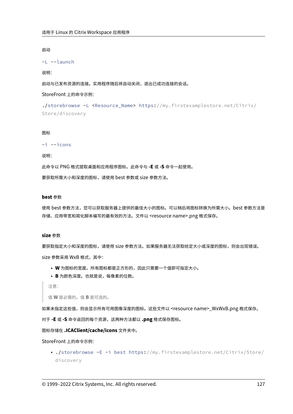## 启动

```
-L --launch
```
#### 说明:

启动与已发布资源的连接。实用程序随后将自动关闭,退出已成功连接的会话。

StoreFront 上的命令示例:

```
./storebrowse -L <Resource_Name> https://my.firstexamplestore.net/Citrix/
Store/discovery
```
#### 图标

-i --icons

#### 说明:

此命令以 PNG 格式提取桌面和应用程序图标。此命令与 **‑E** 或 **‑S** 命令一起使用。

要获取所需大小和深度的图标,请使用 best 参数或 size 参数方法。

#### **best** 参数

使用 best 参数方法,您可以获取服务器上提供的最佳大小的图标。可以稍后将图标转换为所需大小。best 参数方法是 存储、应用带宽和简化脚本编写的最有效的方法。文件以 <resource name>.png 格式保存。

# **size** 参数

要获取指定大小和深度的图标,请使用 size 参数方法。如果服务器无法获取给定大小或深度的图标,则会出现错误。 size 参数采用 WxB 格式,其中:

- **W** 为图标的宽度。所有图标都是正方形的,因此只需要一个值即可指定大小。
- **B** 为颜色深度。也就是说,每像素的位数。

注意:

值 **W** 是必需的。值 **B** 是可选的。

如果未指定这些值,则会显示所有可用图像深度的图标。这些文件以 <resource name>\_WxWxB.png 格式保存。

对于 **‑E** 或 **‑S** 命令返回的每个资源,这两种方法都以 **.png** 格式保存图标。

图标存储在 **.ICAClient/cache/icons** 文件夹中。

StoreFront 上的命令示例:

• ./storebrowse -E -i best https://my.firstexamplestore.net/Citrix/Store/ discovery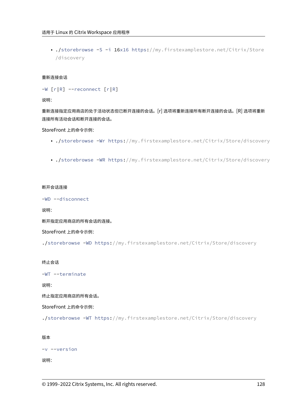• ./storebrowse -S -i 16x16 https://my.firstexamplestore.net/Citrix/Store /discovery

## 重新连接会话

```
-W [r|R] --reconnect [r|R]
```
说明:

重新连接指定应用商店的处于活动状态但已断开连接的会话。[r] 选项将重新连接所有断开连接的会话。[R] 选项将重新 连接所有活动会话和断开连接的会话。

StoreFront 上的命令示例:

- ./storebrowse -Wr https://my.firstexamplestore.net/Citrix/Store/discovery
- ./storebrowse -WR https://my.firstexamplestore.net/Citrix/Store/discovery

### 断开会话连接

-WD --disconnect

说明:

断开指定应用商店的所有会话的连接。

StoreFront 上的命令示例:

./storebrowse -WD https://my.firstexamplestore.net/Citrix/Store/discovery

终止会话

-WT --terminate

说明:

终止指定应用商店的所有会话。

StoreFront 上的命令示例:

./storebrowse -WT https://my.firstexamplestore.net/Citrix/Store/discovery

### 版本

```
-v --version
```
说明: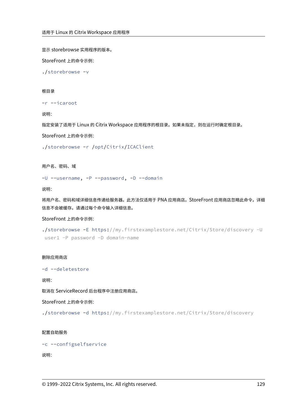显示 storebrowse 实用程序的版本。

StoreFront 上的命令示例:

./storebrowse -v

### 根目录

```
-r --icaroot
```
说明:

指定安装了适用于 Linux 的 Citrix Workspace 应用程序的根目录。如果未指定,则在运行时确定根目录。

StoreFront 上的命令示例:

./storebrowse -r /opt/Citrix/ICAClient

用户名、密码、域

-U --username, -P --password, -D --domain

说明:

将用户名、密码和域详细信息传递给服务器。此方法仅适用于 PNA 应用商店。StoreFront 应用商店忽略此命令。详细 信息不会被缓存。请通过每个命令输入详细信息。

# StoreFront 上的命令示例:

```
./storebrowse -E https://my.firstexamplestore.net/Citrix/Store/discovery -U
user1 -P password -D domain-name
```
#### 删除应用商店

-d --deletestore

说明:

取消在 ServiceRecord 后台程序中注册应用商店。

StoreFront 上的命令示例:

./storebrowse -d https://my.firstexamplestore.net/Citrix/Store/discovery

# 配置自助服务

```
-c --configselfservice
```
# 说明: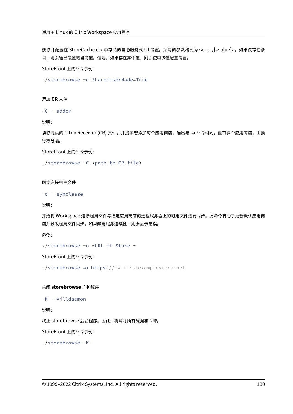获取并配置在 StoreCache.ctx 中存储的自助服务式 UI 设置。采用的参数格式为 <entry[=value]>。如果仅存在条 目,则会输出设置的当前值。但是,如果存在某个值,则会使用该值配置设置。

StoreFront 上的命令示例:

./storebrowse -c SharedUserMode=True

添加 **CR** 文件

-C --addcr

说明:

读取提供的 Citrix Receiver (CR) 文件,并提示您添加每个应用商店。输出与 -a 命令相同,但有多个应用商店,由换 行符分隔。

StoreFront 上的命令示例:

./storebrowse -C <path to CR file>

同步连接租用文件

```
-o --synclease
```
说明:

开始将 Workspace 连接租用文件与指定应用商店的远程服务器上的可用文件进行同步。此命令有助于更新默认应用商 店并触发租用文件同步。如果禁用服务连续性,则会显示错误。

命令:

./storebrowse -o \*URL of Store \*

StoreFront 上的命令示例:

./storebrowse –o https://my.firstexamplestore.net

关闭 **storebrowse** 守护程序

```
-K --killdaemon
```
说明:

终止 storebrowse 后台程序。因此,将清除所有凭据和令牌。

StoreFront 上的命令示例:

./storebrowse -K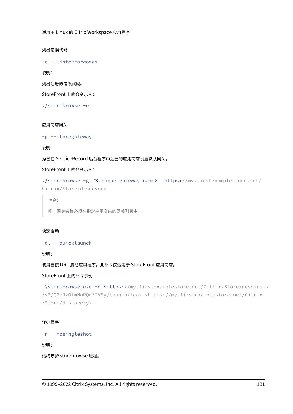列出错误代码

-e --listerrorcodes

说明:

列出注册的错误代码。

StoreFront 上的命令示例:

./storebrowse -e

# 应用商店网关

-g --storegateway

说明:

为已在 ServiceRecord 后台程序中注册的应用商店设置默认网关。

StoreFront 上的命令示例:

```
./storebrowse -g "<unique gateway name>" https://my.firstexamplestore.net/
Citrix/Store/discovery
```
注意:

唯一网关名称必须在指定应用商店的网关列表中。

# 快速启动

-q, --quicklaunch

说明:

使用直接 URL 启动应用程序。此命令仅适用于 StoreFront 应用商店。

# StoreFront 上的命令示例:

.\storebrowse.exe -q <https://my.firstexamplestore.net/Citrix/Store/resources /v2/Q2hJkOlmNoPQrSTV9y/launch/ica> <https://my.firstexamplestore.net/Citrix /Store/discovery>

# 守护程序

-n --nosingleshot

说明:

始终守护 storebrowse 进程。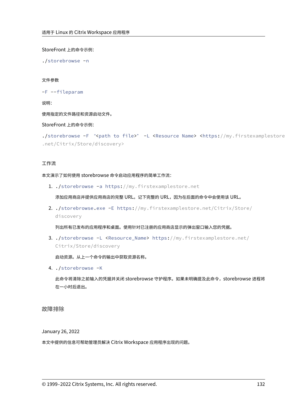StoreFront 上的命令示例:

./storebrowse -n

#### 文件参数

```
-F --fileparam
```
说明:

使用指定的文件路径和资源启动文件。

StoreFront 上的命令示例:

```
./storebrowse -F "<path to file>" -L <Resource Name> <https://my.firstexamplestore
.net/Citrix/Store/discovery>
```
# 工作流

本文演示了如何使用 storebrowse 命令启动应用程序的简单工作流:

1. ./storebrowse -a https://my.firstexamplestore.net

添加应用商店并提供应用商店的完整 URL。记下完整的 URL,因为在后面的命令中会使用该 URL。

2. ./storebrowse.exe -E https://my.firstexamplestore.net/Citrix/Store/ discovery

列出所有已发布的应用程序和桌面。使用针对已注册的应用商店显示的弹出窗口输入您的凭据。

3. ./storebrowse -L <Resource\_Name> https://my.firstexamplestore.net/ Citrix/Store/discovery

启动资源。从上一个命令的输出中获取资源名称。

4. ./storebrowse -K

此命令将清除之前输入的凭据并关闭 storebrowse 守护程序。如果未明确提及此命令, storebrowse 进程将 在一小时后退出。

故障排除

January 26, 2022

本文中提供的信息可帮助管理员解决 Citrix Workspace 应用程序出现的问题。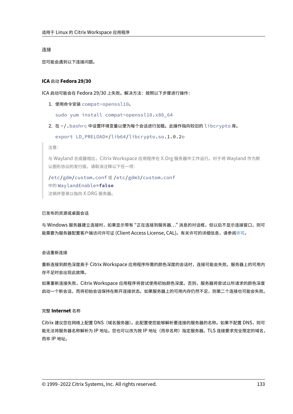#### 连接

您可能会遇到以下连接问题。

## **ICA** 启动 **Fedora 29/30**

ICA 启动可能会在 Fedora 29/30 上失败。解决方法:按照以下步骤进行操作:

1. 使用命令安装 compat-openssl10。

sudo yum install compat-openssl10.x86\_64

2. 在 ~/.bashrc 中设置环境变量以便为每个会话进行加载。此操作指向较旧的 libcrypto 库。

export LD\_PRELOAD=/lib64/libcrypto.so.1.0.2o

注意:

与 Wayland 合成器相比,Citrix Workspace 应用程序在 X.Org 服务器中工作运行。对于将 Wayland 作为默 认图形协议的发行版,请取消注释以下任一项:

/etc/gdm/custom.conf 或 /etc/gdm3/custom.conf 中的 WaylandEnable=**false** 注销并登录以指向 X.ORG 服务器。

#### 已发布的资源或桌面会话

与 Windows 服务器建立连接时,如果显示带有 "正在连接到服务器..." 消息的对话框,但以后不显示连接窗口,则可 能需要为服务器配置客户端访问许可证 (Client Access License, CAL)。有关许可的详细信息,请参阅许可。

## 会话重新连接

重新连接到颜色深度高于 Citrix Workspace 应用程序所需的颜色深度的会话时,连接可能会失败。服务器上的可用内 存不足时会出现此故障。

如果重新连接失败,Citrix Workspace 应用程序将尝试使用初始颜色深度。否则,服务器将尝试以所请求的颜色深度 启动一个新会话,而将初始会话保持在断开连接状态。如果服务器上的可用内存仍然不足,则第二个连接也可能会失败。

#### 完整 **Internet** 名称

Citrix 建议您在网络上配置 DNS(域名服务器)。此配置使您能够解析要连接的服务器的名称。如果不配置 DNS,则可 能无法将服务器名称解析为 IP 地址。您也可以改为按 IP 地址(而非名称)指定服务器。TLS 连接要求完全限定的域名, 而非 IP 地址。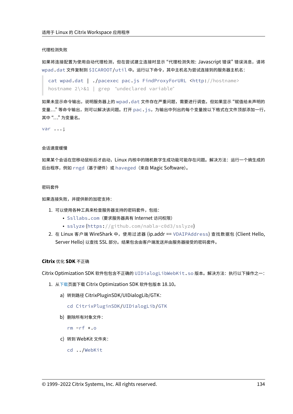#### 代理检测失败

如果将连接配置为使用自动代理检测,但在尝试建立连接时显示 "代理检测失败: Javascript 错误" 错误消息,请将 wpad.dat 文件复制到 \$ICAROOT/util 中。运行以下命令,其中主机名为尝试连接到的服务器主机名:

```
cat wpad.dat | ./pacexec pac.js FindProxyForURL <http://hostname>
hostname 2\>&1 | grep "undeclared variable"
```
如果未显示命令输出,说明服务器上的 wpad.dat 文件存在严重问题,需要进行调查。但如果显示 "赋值给未声明的 变量..." 等命令输出,则可以解决该问题。打开 pac.js,为输出中列出的每个变量按以下格式在文件顶部添加一行, 其中 "…" 为变量名。

var ...;

#### 会话速度缓慢

如果某个会话在您移动鼠标后才启动,Linux 内核中的随机数字生成功能可能存在问题。解决方法:运行一个熵生成的 后台程序,例如 rngd (基于硬件)或 haveged (来自 Magic Software)。

#### 密码套件

如果连接失败,并提供新的加密支持:

- 1. 可以使用各种工具来检查服务器支持的密码套件,包括:
	- Ssllabs.com(要求服务器具有 Internet 访问权限)
	- sslyze (https://github.com/nabla-c0d3/sslyze)
- 2. 在 Linux 客户端 WireShark 中,使用过滤器 (ip.addr == VDAIPAddress) 查找数据包 (Client Hello, Server Hello) 以查找 SSL 部分。结果包含由客户端发送并由服务器接受的密码套件。

#### **Citrix** 优化 **SDK** 不正确

Citrix Optimization SDK 软件包包含不正确的 UIDialogLibWebKit.so 版本。解决方法:执行以下操作之一:

- 1. 从下载页面下载 Citrix Optimization SDK 软件包版本 18.10。
	- a) 转到路径 CitrixPluginSDK/UIDialogLib/GTK:
		- [c](https://www.citrix.co.in/downloads/workspace-app/legacy-workspace-app-for-linux/workspace-app-for-linux-1810.html)d CitrixPluginSDK/UIDialogLib/GTK
	- b) 删除所有对象文件:
		- rm -rf \*.o
	- c) 转到 WebKit 文件夹:
		- cd ../WebKit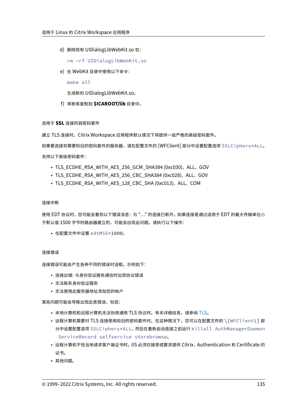d) 删除现有 UIDialogLibWebKit.so 包:

rm -rf UIDialogLibWebKit.so

e) 在 WebKit 目录中使用以下命令:

make all

生成新的 UIDialogLibWebKit.so。

f) 将新库复制到 **\$ICAROOT/lib** 目录中。

# 适用于 **SSL** 连接的弱密码套件

建立 TLS 连接时, Citrix Workspace 应用程序默认情况下将提供一组严格的高级密码套件。

如果要连接到需要较旧的密码套件的服务器,请在配置文件的 [WFClient] 部分中设置配置选项 SSLCiphers=ALL。

支持以下高级密码套件:

- TLS\_ECDHE\_RSA\_WITH\_AES\_256\_GCM\_SHA384 (0xc030)、ALL、GOV
- TLS\_ECDHE\_RSA\_WITH\_AES\_256\_CBC\_SHA384 (0xc028)、ALL、GOV
- TLS\_ECDHE\_RSA\_WITH\_AES\_128\_CBC\_SHA (0xc013)、ALL、COM

#### 连接中断

使用 EDT 协议时,您可能会看到以下错误消息: 与 "..." 的连接已断开。如果连接是通过适用于 EDT 的最大传输单位小 于默认值 1500 字节的路由器建立的,可能会出现此问题。请执行以下操作:

• 在配置文件中设置 edtMSS=1000。

#### 连接错误

连接错误可能会产生各种不同的错误对话框。示例如下:

- 连接出错: 与身份验证服务通信时出现协议错误
- 无法联系身份验证服务
- 无法使用此服务器地址添加您的帐户

某些问题可能会导致出现此类错误,包括:

- 本地计算机和远程计算机无法协商通用 TLS 协议时。有关详细信息,请参阅 TLS。
- 远程计算机需要对 TLS 连接使用较旧的密码套件时。在这种情况下,您可以在配置文件的 \ [WFClient\] 部 分中设置配置选项 SSLCiphers=ALL,然后在重新启动连接之前运行 killall AuthManagerDaemon ServiceRecord selfservice storebrowse。
- 远程计算机不恰当地请求客户端证书时。IIS 必须仅接受或要求提供 Citrix、Authentication 和 Certificate 的 证书。
- 其他问题。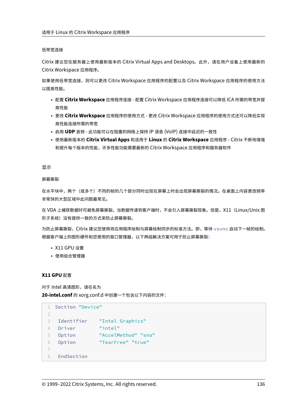### 低带宽连接

Citrix 建议您在服务器上使用最新版本的 Citrix Virtual Apps and Desktops。此外,请在用户设备上使用最新的 Citrix Workspace 应用程序。

如果使用低带宽连接,则可以更改 Citrix Workspace 应用程序的配置以及 Citrix Workspace 应用程序的使用方法 以提高性能。

- 配置 **Citrix Workspace** 应用程序连接 ‑ 配置 Citrix Workspace 应用程序连接可以降低 ICA 所需的带宽并提 高性能
- 更改 **Citrix Workspace** 应用程序的使用方式 ‑ 更改 Citrix Workspace 应用程序的使用方式还可以降低实现 高性能连接所需的带宽
- 启用 **UDP** 音频 ‑ 此功能可以在阻塞的网络上保持 IP 语音 (VoIP) 连接中延迟的一致性
- 使用最新版本的 **Citrix Virtual Apps** 和适用于 **Linux** 的 **Citrix Workspace** 应用程序 ‑ Citrix 不断地增强 和提升每个版本的性能,许多性能功能需要最新的 Citrix Workspace 应用程序和服务器软件

#### 显示

#### 屏幕撕裂

在水平块中,两个(或多个)不同的帧的几个部分同时出现在屏幕上时会出现屏幕撕裂的情况。在桌面上内容更改频率 非常快的大型区域中此问题最常见。

在 VDA 上捕获数据时可避免屏幕撕裂。当数据传递到客户端时,不会引入屏幕撕裂现象。但是, X11 (Linux/Unix 图 形子系统)没有提供一致的方式来防止屏幕撕裂。

为防止屏幕撕裂,Citrix 建议您使用将应用程序绘制与屏幕绘制同步的标准方法。即,等待 vsvnc 启动下一帧的绘制。 根据客户端上的图形硬件和您使用的窗口管理器,以下两组解决方案可用于防止屏幕撕裂:

- X11 GPU 设置
- 使用组合管理器

# **X11 GPU** 配置

对于 Intel 高清图形,请在名为 **20‑intel.conf** 的 xorg.conf.d 中创建一个包含以下内容的文件:

```
1 Section "Device"
2
3 Identifier "Intel Graphics"
4 Driver "intel"
5 Option "AccelMethod" "sna"
6 Option "TearFree" "true"
7
8 EndSection
```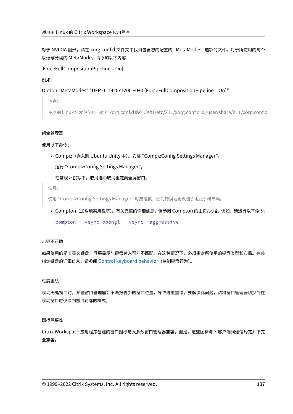对于 NVIDIA 图形,请在 xorg.conf.d 文件夹中找到包含您的配置的 "MetaModes" 选项的文件。对于所使用的每个 以逗号分隔的 MetaMode,请添加以下内容:

{ForceFullCompositionPipeline = On}

例如:

Option "MetaModes" "DFP‑0: 1920x1200 +0+0 {ForceFullCompositionPipeline = On}"

注意:

不同的 Linux 分发包使用不同的 xorg.conf.d 路径,例如 /etc/X11/xorg.conf.d 或 /user/share/X11/xorg.conf.d。

# 组合管理器

使用以下命令:

• Compiz(嵌入到 Ubuntu Unity 中)。安装 "CompizConfig Settings Manager"。

运行 "CompizConfig Settings Manager"。

在常规 > 撰写下,取消选中取消重定向全屏窗口。

注意:

使用"CompizConfig Settings Manager"时应谨慎,因为错误地更改值会阻止系统启动。

• Compton (加载项实用程序)。有关完整的详细信息,请参阅 Compton 的主页/文档。例如,请运行以下命令: compton --vsync opengl --vsync -aggressive

## 击键不正确

如果使用的是非英文键盘,屏幕显示与键盘输入可能不匹配。在这种情况下,必须指定所使用的键盘类型和布局。有关 指定键盘的详细信息,请参阅 Control keyboard behavior(控制键盘行为)。

#### 过度重绘

移动无缝窗口时,某些窗口管理器会不断报告新的窗口位置,导致过度重绘。要解决此问题,请将窗口管理器切换到在 移动窗口时仅绘制窗口轮廓的模式。

# 图标兼容性

Citrix Workspace 应用程序创建的窗口图标与大多数窗口管理器兼容。但是,这些图标与 X 客户端间通信约定并不完 全兼容。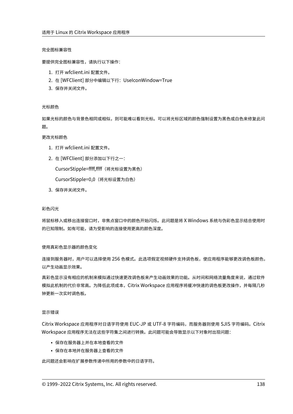### 完全图标兼容性

要提供完全图标兼容性,请执行以下操作:

- 1. 打开 wfclient.ini 配置文件。
- 2. 在 [WFClient] 部分中编辑以下行:UseIconWindow=True
- 3. 保存并关闭文件。

## 光标颜色

如果光标的颜色与背景色相同或相似,则可能难以看到光标。可以将光标区域的颜色强制设置为黑色或白色来修复此问 题。

# 更改光标颜色

- 1. 打开 wfclient.ini 配置文件。
- 2. 在 [WFClient] 部分添加以下行之一:

CursorStipple=ffff,ffff(将光标设置为黑色)

CursorStipple=0,0 (将光标设置为白色)

3. 保存并关闭文件。

#### 彩色闪光

将鼠标移入或移出连接窗口时,非焦点窗口中的颜色开始闪烁。此问题是将 X Windows 系统与伪彩色显示结合使用时 的已知限制。如有可能,请为受影响的连接使用更高的颜色深度。

## 使用真彩色显示器的颜色变化

连接到服务器时,用户可以选择使用 256 色模式。此选项假定视频硬件支持调色板,使应用程序能够更改调色板颜色, 以产生动画显示效果。

真彩色显示没有相应的机制来模拟通过快速更改调色板来产生动画效果的功能。从时间和网络流量角度来说,通过软件 模拟此机制的代价非常高。为降低此项成本,Citrix Workspace 应用程序将缓冲快速的调色板更改操作,并每隔几秒 钟更新一次实时调色板。

## 显示错误

Citrix Workspace 应用程序对日语字符使用 EUC‑JP 或 UTF‑8 字符编码,而服务器则使用 SJIS 字符编码。Citrix Workspace 应用程序无法在这些字符集之间进行转换。此问题可能会导致显示以下对象时出现问题:

- 保存在服务器上并在本地查看的文件
- 保存在本地并在服务器上查看的文件

此问题还会影响在扩展参数传递中所用的参数中的日语字符。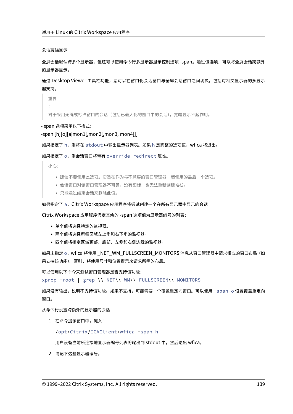会话宽幅显示

全屏会话默认跨多个显示器,但还可以使用命令行多显示器显示控制选项 ‑span。通过该选项,可以将全屏会话跨额外 的显示器显示。

通过 Desktop Viewer 工具栏功能,您可以在窗口化会话窗口与全屏会话窗口之间切换,包括对相交显示器的多显示 器支持。

重要 :

对于采用无缝或标准窗口的会话(包括已最大化的窗口中的会话),宽幅显示不起作用。

‑ span 选项采用以下格式:

‑span [h][o][a|mon1[,mon2[,mon3, mon4]]]

如果指定了 h, 则将在 stdout 中输出显示器列表。如果 h 是完整的选项值, wfica 将退出。

如果指定了 o, 则会话窗口将带有 override-redirect 属性。

小心:

- 建议不要使用此选项。它旨在作为与不兼容的窗口管理器一起使用的最后一个选项。
- 会话窗口对该窗口管理器不可见,没有图标,也无法重新创建堆栈。
- 只能通过结束会话来删除此值。

如果指定了 a,Citrix Workspace 应用程序将尝试创建一个在所有显示器中显示的会话。

Citrix Workspace 应用程序假定其余的 ‑span 选项值为显示器编号的列表:

- 单个值将选择特定的监视器。
- 两个值将选择所需区域左上角和右下角的监视器。
- 四个值将指定区域顶部、底部、左侧和右侧边缘的监视器。

如果未指定 o,wfica 将使用\_NET\_WM\_FULLSCREEN\_MONITORS 消息从窗口管理器中请求相应的窗口布局(如 果支持该功能)。否则,将使用尺寸和位置提示来请求所需的布局。

可以使用以下命令来测试窗口管理器是否支持该功能:

xprop -root | grep \\\_NET\\\_WM\\\_FULLSCREEN\\\_MONITORS

如果没有输出,说明不支持该功能。如果不支持,可能需要一个覆盖重定向窗口。可以使用 -span o 设置覆盖重定向 窗口。

从命令行设置跨额外的显示器的会话:

1. 在命令提示窗口中,键入:

/opt/Citrix/ICAClient/wfica -span h

用户设备当前所连接地显示器编号列表将输出到 stdout 中,然后退出 wfica。

2. 请记下这些显示器编号。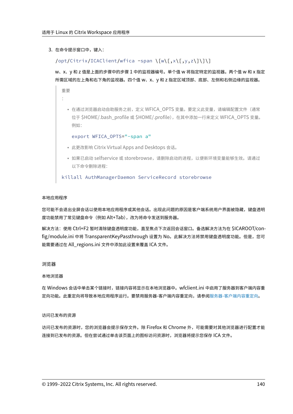3. 在命令提示窗口中, 键入:

/opt/Citrix/ICAClient/wfica -span \[w\[,x\[,y,z\]\]\]

w、x、y 和 z 值是上面的步骤中的步骤 1 中的监视器编号。单个值 w 将指定特定的监视器。两个值 w 和 x 指定 所需区域的左上角和右下角的监视器。四个值 w、x、y 和 z 指定区域顶部、底部、左侧和右侧边缘的监视器。

重要 :

> • 在通过浏览器启动自助服务之前,定义 WFICA OPTS 变量。要定义此变量,请编辑配置文件(通常 位于 \$HOME/.bash\_profile 或 \$HOME/.profile), 在其中添加一行来定义 WFICA\_OPTS 变量。 例如:

```
export WFICA_OPTS="-span a"
```
- 此更改影响 Citrix Virtual Apps and Desktops 会话。
- 如果已启动 selfservice 或 storebrowse,请删除启动的进程,以便新环境变量能够生效。请通过 以下命令删除进程:

killall AuthManagerDaemon ServiceRecord storebrowse

#### 本地应用程序

您可能不会退出全屏会话以使用本地应用程序或其他会话。出现此问题的原因是客户端系统用户界面被隐藏,键盘透明 度功能禁用了常见键盘命令(例如 Alt+Tab),改为将命令发送到服务器。

解决方法:使用 Ctrl+F2 暂时清除键盘透明度功能,直至焦点下次返回会话窗口。备选解决方法为在 \$ICAROOT/config/module.ini 中将 TransparentKeyPassthrough 设置为 No。此解决方法将禁用键盘透明度功能。但是,您可 能需要通过在 All\_regions.ini 文件中添加此设置来覆盖 ICA 文件。

#### 浏览器

#### 本地浏览器

在 Windows 会话中单击某个链接时,链接内容将显示在本地浏览器中。wfclient.ini 中启用了服务器到客户端内容重 定向功能。此重定向将导致本地应用程序运行。要禁用服务器‑客户端内容重定向,请参阅服务器‑客户端内容重定向。

#### 访问已发布的资源

访问已发布的资源时,您的浏览器会提示保存文件。除 Firefox 和 Chrome 外,可能需要对其他浏览器进行配置才能 连接到已发布的资源。但在尝试通过单击该页面上的图标访问资源时,浏览器将提示您保存 ICA 文件。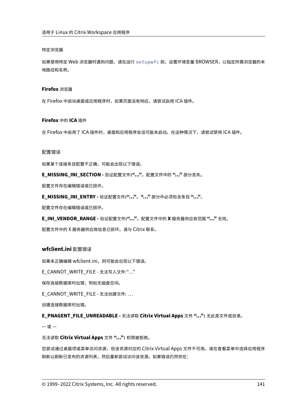## 特定浏览器

如果使用特定 Web 浏览器时遇到问题,请在运行 setupwfc 前,设置环境变量 BROWSER,以指定所需浏览器的本 地路径和名称。

# **Firefox** 浏览器

在 Firefox 中启动桌面或应用程序时,如果页面没有响应,请尝试启用 ICA 插件。

# **Firefox** 中的 **ICA** 插件

在 Firefox 中启用了 ICA 插件时,桌面和应用程序会话可能未启动。在这种情况下,请尝试禁用 ICA 插件。

### 配置错误

如果某个连接条目配置不正确,可能会出现以下错误。

**E\_MISSING\_INI\_SECTION ‑** 验证配置文件**:"…"**。配置文件中的 **"…"** 部分丢失。

配置文件存在编辑错误或已损坏。

**E\_MISSING\_INI\_ENTRY ‑** 验证配置文件**:"…"**。**"…"** 部分中必须包含条目 **"…"**。

配置文件存在编辑错误或已损坏。

**E\_INI\_VENDOR\_RANGE ‑** 验证配置文件**:"…"**。配置文件中的 **X** 服务器供应商范围 **"…"** 无效。

配置文件中的 X 服务器供应商信息已损坏。请与 Citrix 联系。

# **wfclient.ini** 配置错误

如果未正确编辑 wfclient.ini, 则可能会出现以下错误。

E\_CANNOT\_WRITE\_FILE - 无法写入文件: "… "

保存连接数据库时出错;例如无磁盘空间。

E\_CANNOT\_WRITE\_FILE - 无法创建文件: …

创建连接数据库时出错。

**E\_PNAGENT\_FILE\_UNREADABLE ‑** 无法读取 **Citrix Virtual Apps** 文件 **"…":** 无此类文件或目录。

 $-\n$ 或 $-$ 

无法读取 **Citrix Virtual Apps** 文件 **"…":** 权限被拒绝。

您尝试通过桌面项或菜单访问资源,但该资源对应的 Citrix Virtual Apps 文件不可用。请在查看菜单中选择应用程序 刷新以刷新已发布的资源列表,然后重新尝试访问该资源。如果错误仍然存在: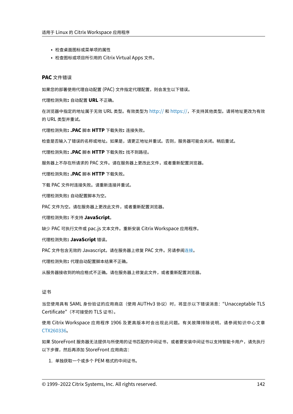- 检查桌面图标或菜单项的属性
- 检查图标或项目所引用的 Citrix Virtual Apps 文件。

#### **PAC** 文件错误

如果您的部署使用代理自动配置 (PAC) 文件指定代理配置,则会发生以下错误。

代理检测失败**:** 自动配置 **URL** 不正确。

在浏览器中指定的地址属于无效 URL 类型。有效类型为 http:// 和 https://,不支持其他类型。请将地址更改为有效 的 URL 类型并重试。

代理检测失败**: .PAC** 脚本 **HTTP** 下载失败**:** 连接失败。

检查是否输入了错误的名称或地址。如果是,请更正地址[并重试。](http://)否[则,服务器](https://)可能会关闭。稍后重试。

代理检测失败**: .PAC** 脚本 **HTTP** 下载失败**:** 找不到路径。

服务器上不存在所请求的 PAC 文件。请在服务器上更改此文件,或者重新配置浏览器。

代理检测失败**: .PAC** 脚本 **HTTP** 下载失败。

下载 PAC 文件时连接失败。请重新连接并重试。

代理检测失败**:** 自动配置脚本为空。

PAC 文件为空。请在服务器上更改此文件,或者重新配置浏览器。

代理检测失败**:** 不支持 **JavaScript**。

缺少 PAC 可执行文件或 pac.js 文本文件。重新安装 Citrix Workspace 应用程序。

代理检测失败**: JavaScript** 错误。

PAC 文件包含无效的 Javascript。请在服务器上修复 PAC 文件。另请参阅连接。

代理检测失败**:** 代理自动配置脚本结果不正确。

从服务器接收到的响应格式不正确。请在服务器上修复此文件,或者重新配[置浏览](https://docs.citrix.com/zh-cn/citrix-workspace-app-for-linux/troubleshooting.html)器。

## 证书

当您使用具有 SAML 身份验证的应用商店(使用 AUTHv3 协议)时,将显示以下错误消息: "Unacceptable TLS Certificate"(不可接受的 TLS 证书)。

使用 Citrix Workspace 应用程序 1906 及更高版本时会出现此问题。有关故障排除说明,请参阅知识中心文章 CTX260336。

如果 StoreFront 服务器无法提供与所使用的证书匹配的中间证书,或者要安装中间证书以支持智能卡用户,请先执行 [以下步骤,然](https://support.citrix.com/article/CTX260336)后再添加 StoreFront 应用商店:

1. 单独获取一个或多个 PEM 格式的中间证书。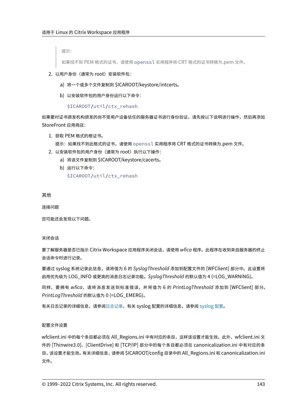提示:

如果找不到 PEM 格式的证书,请使用 openssl 实用程序将 CRT 格式的证书转换为.pem 文件。

- 2. 以用户身份(通常为 root)安装软件包:
	- a) 将一个或多个文件复制到 \$ICAROOT/keystore/intcerts。
	- b) 以安装软件包的用户身份运行以下命令:

\$ICAROOT/util/ctx\_rehash

如果要对证书颁发机构颁发的尚不受用户设备信任的服务器证书进行身份验证,请先按以下说明进行操作,然后再添加 StoreFront 应用商店:

1. 获取 PEM 格式的根证书。

提示:如果找不到此格式的证书,请使用 openssl 实用程序将 CRT 格式的证书转换为.pem 文件。

- 2. 以安装软件包的用户身份(通常为 root)执行以下操作:
	- a) 将该文件复制到 \$ICAROOT/keystore/cacerts。
	- b) 运行以下命令:

\$ICAROOT/util/ctx\_rehash

其他

连接问题

您可能还会发现以下问题。

关闭会话

要了解服务器是否已指示 Citrix Workspace 应用程序关闭会话,请使用 *wfica* 程序。此程序在收到来自服务器的终止 会话命令时进行记录。

要通过 syslog 系统记录此信息,请将值为 6 的 *SyslogThreshold* 添加到配置文件的 [WFClient] 部分中。此设置将 启用优先级为 LOG\_INFO 或更高的消息日志记录功能。*SyslogThreshold* 的默认值为 4 (=LOG\_WARNING)。

同样,要拥有 *wfica*,请将消息发送到标准错误,并将值为 6 的 *PrintLogThreshold* 添加到 [WFClient] 部分。 *PrintLogThreshold* 的默认值为 0 (=LOG\_EMERG)。

有关日志记录的详细信息,请参阅日志记录,有关 syslog 配置的详细信息,请参阅 syslog 配置。

## 配置文件设置

wfclient.ini 中的每个条目都必须在 All\_Regions.ini 中有对应的条目,这样该设置才能生效。此外,wfclient.ini 文 件的 [Thinwire3.0]、[ClientDrive] 和 [TCP/IP] 部分中的每个条目都必须在 canonicalization.ini 中有对应的条 目,该设置才能生效。有关详细信息,请参阅 \$ICAROOT/config 目录中的 All\_Regions.ini 和 canonicalization.ini 文件。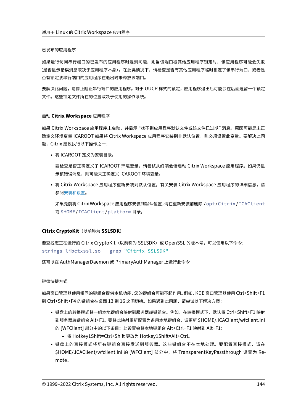## 已发布的应用程序

如果运行访问串行端口的已发布的应用程序时遇到问题,则当该端口被其他应用程序锁定时,该应用程序可能会失败 (是否显示错误消息取决于应用程序本身)。在此类情况下,请检查是否有其他应用程序临时锁定了该串行端口,或者是 否有锁定该串行端口的应用程序在退出时未释放该端口。

要解决此问题,请停止阻止串行端口的应用程序。对于 UUCP 样式的锁定,应用程序退出后可能会在后面遗留一个锁定 文件。这些锁定文件所在的位置取决于使用的操作系统。

## 启动 **Citrix Workspace** 应用程序

如果 Citrix Workspace 应用程序未启动,并显示 "找不到应用程序默认文件或该文件已过期" 消息。原因可能是未正 确定义环境变量 ICAROOT 如果将 Citrix Workspace 应用程序安装到非默认位置,则必须设置此变量。要解决此问 题,Citrix 建议执行以下操作之一:

• 将 ICAROOT 定义为安装目录。

要检查是否正确定义了 ICAROOT 环境变量,请尝试从终端会话启动 Citrix Workspace 应用程序。如果仍显 示该错误消息,则可能未正确定义 ICAROOT 环境变量。

• 将 Citrix Workspace 应用程序重新安装到默认位置。有关安装 Citrix Workspace 应用程序的详细信息,请 参阅安装和设置。

如果先前将 Citrix Workspace 应用程序安装到默认位置,请在重新安装前删除 /opt/Citrix/ICAClient 或 \$[HOME/ICA](https://docs.citrix.com/zh-cn/citrix-workspace-app-for-linux/install.html)Client/platform 目录。

# **Citrix CryptoKit**(以前称为 **SSLSDK**)

要查找您正在运行的 Citrix CryptoKit(以前称为 SSLSDK)或 OpenSSL 的版本号,可以使用以下命令: strings libctxssl.so | grep "Citrix SSLSDK"

还可以在 AuthManagerDaemon 或 PrimaryAuthManager 上运行此命令

# 键盘快捷方式

如果窗口管理器使用相同的键组合提供本机功能,您的键组合可能不起作用。例如,KDE 窗口管理器使用 Ctrl+Shift+F1 到 Ctrl+Shift+F4 的键组合在桌面 13 到 16 之间切换。如果遇到此问题,请尝试以下解决方案:

- 键盘上的转换模式将一组本地键组合映射到服务器端键组合。例如,在转换模式下,默认将 Ctrl+Shift+F1 映射 到服务器端键组合 Alt+F1。要将此映射重新配置为备用本地键组合,请更新 \$HOME/.ICAClient/wfclient.ini 的 [WFClient] 部分中的以下条目:此设置会将本地键组合 Alt+Ctrl+F1 映射到 Alt+F1:
	- **–** 将 Hotkey1Shift=Ctrl+Shift 更改为 Hotkey1Shift=Alt+Ctrl。
- 键盘上的直接模式将所有键组合直接发送到服务器。这些键组合不在本地处理。要配置直接模式,请在 \$HOME/.ICAClient/wfclient.ini 的 [WFClient] 部分中, 将 TransparentKeyPassthrough 设置为 Remote。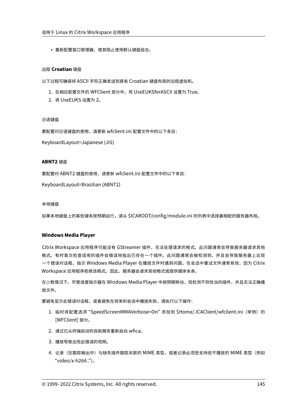• 重新配置窗口管理器,使其阻止使用默认键盘组合。

# 远程 **Croatian** 键盘

以下过程可确保将 ASCII 字符正确发送到具有 Croatian 键盘布局的远程虚拟机。

- 1. 在相应配置文件的 WFClient 部分中,将 UseEUKSforASCII 设置为 True。
- 2. 将 UseEUKS 设置为 2。

## 日语键盘

要配置对日语键盘的使用,请更新 wfclient.ini 配置文件中的以下条目:

KeyboardLayout=Japanese (JIS)

## **ABNT2** 键盘

要配置对 ABNT2 键盘的使用,请更新 wfclient.ini 配置文件中的以下条目:

KeyboardLayout=Brazilian (ABNT2)

#### 本地键盘

如果本地键盘上的某些键未按预期运行,请从 \$ICAROOT/config/module.ini 的列表中选择最相配的服务器布局。

# **Windows Media Player**

Citrix Workspace 应用程序可能没有 GStreamer 插件,无法处理请求的格式。此问题通常会导致服务器请求其他 格式。有时首次检查适用的插件会错误地指出已存在一个插件。此问题通常会被检测到,并且会导致服务器上出现 一个错误对话框,指示 Windows Media Player 在播放文件时遇到问题。在会话中重试文件通常有效,因为 Citrix Workspace 应用程序拒绝该格式。因此,服务器会请求其他格式或提供媒体本身。

在少数情况下,尽管进度指示器在 Windows Media Player 中按预期移动,但检测不到恰当的插件,并且无法正确播 放文件。

要避免显示此错误对话框,或者避免在将来的会话中播放失败,请执行以下操作:

- 1. 临时将配置选项"SpeedScreenMMAVerbose=On"添加到 \$Home/.ICAClient/wfclient.ini(举例)的 [WFClient] 部分。
- 2. 通过已从终端启动的自助服务重新启动 wfica。
- 3. 播放导致出现此错误的视频。
- 4. 记录(在跟踪输出中)与缺失插件跟踪关联的 MIME 类型,或者记录必须受支持但不播放的 MIME 类型(例如 "video/x‑h264..")。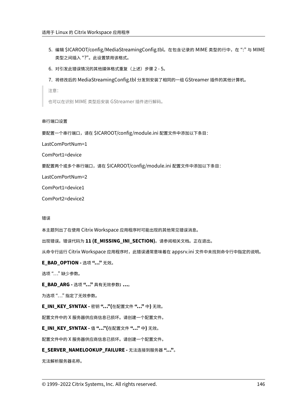- 5. 编辑 \$ICAROOT/config/MediaStreamingConfig.tbl。在包含记录的 MIME 类型的行中, 在":" 与 MIME 类型之间插入 "?"。此设置禁用该格式。
- 6. 对引发此错误情况的其他媒体格式重复(上述)步骤 2 5。
- 7. 将修改后的 MediaStreamingConfig.tbl 分发到安装了相同的一组 GStreamer 插件的其他计算机。

注意:

也可以在识别 MIME 类型后安装 GStreamer 插件进行解码。

#### 串行端口设置

要配置一个串行端口,请在 \$ICAROOT/config/module.ini 配置文件中添加以下条目:

LastComPortNum=1

ComPort1=device

要配置两个或多个串行端口,请在 \$ICAROOT/config/module.ini 配置文件中添加以下条目:

LastComPortNum=2

ComPort1=device1

ComPort2=device2

错误

本主题列出了在使用 Citrix Workspace 应用程序时可能出现的其他常见错误消息。

出现错误。错误代码为 **11 (E\_MISSING\_INI\_SECTION)**。请参阅相关文档。正在退出。

从命令行运行 Citrix Workspace 应用程序时,此错误通常意味着在 appsrv.ini 文件中未找到命令行中指定的说明。

**E\_BAD\_OPTION - 选项 "…"** 无效。

选项 "…" 缺少参数。

**E\_BAD\_ARG ‑** 选项 **"…"** 具有无效参数**: …**。

为选项 "…" 指定了无效参数。

**E\_INI\_KEY\_SYNTAX ‑** 密钥 **"…"(**在配置文件 **"…"** 中**)** 无效。

配置文件中的 X 服务器供应商信息已损坏。请创建一个配置文件。

**E\_INI\_KEY\_SYNTAX ‑** 值 **"…"(**在配置文件 **"…"** 中**)** 无效。

配置文件中的 X 服务器供应商信息已损坏。请创建一个配置文件。

#### **E\_SERVER\_NAMELOOKUP\_FAILURE ‑** 无法连接到服务器 **"…"**。

无法解析服务器名称。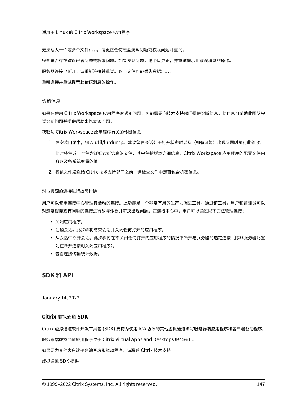无法写入一个或多个文件**: …**。请更正任何磁盘满载问题或权限问题并重试。

检查是否存在磁盘已满问题或权限问题。如果发现问题,请予以更正,并重试提示此错误消息的操作。

服务器连接已断开。请重新连接并重试。以下文件可能丢失数据**: …**。

重新连接并重试提示此错误消息的操作。

#### 诊断信息

如果在使用 Citrix Workspace 应用程序时遇到问题,可能需要向技术支持部门提供诊断信息。此信息可帮助此团队尝 试诊断问题并提供帮助来修复该问题。

获取与 Citrix Workspace 应用程序有关的诊断信息:

- 1. 在安装目录中,键入 util/lurdump。建议您在会话处于打开状态时以及(如有可能)出现问题时执行此修改。 此时将生成一个包含详细诊断信息的文件,其中包括版本详细信息、Citrix Workspace 应用程序的配置文件内 容以及各系统变量的值。
- 2. 将该文件发送给 Citrix 技术支持部门之前,请检查文件中是否包含机密信息。

对与资源的连接进行故障排除

用户可以使用连接中心管理其活动的连接。此功能是一个非常有用的生产力促进工具,通过该工具,用户和管理员可以 对速度缓慢或有问题的连接进行故障诊断并解决出现问题。在连接中心中,用户可以通过以下方法管理连接:

- 关闭应用程序。
- 注销会话。此步骤将结束会话并关闭任何打开的应用程序。
- 从会话中断开会话。此步骤将在不关闭任何打开的应用程序的情况下断开与服务器的选定连接(除非服务器配置 为在断开连接时关闭应用程序)。
- 查看连接传输统计数据。

# **SDK** 和 **API**

January 14, 2022

#### **Citrix** 虚拟通道 **SDK**

Citrix 虚拟通道软件开发工具包 (SDK) 支持为使用 ICA 协议的其他虚拟通道编写服务器端应用程序和客户端驱动程序。

服务器端虚拟通道应用程序位于 Citrix Virtual Apps and Desktops 服务器上。

如果要为其他客户端平台编写虚拟驱动程序,请联系 Citrix 技术支持。

虚拟通道 SDK 提供: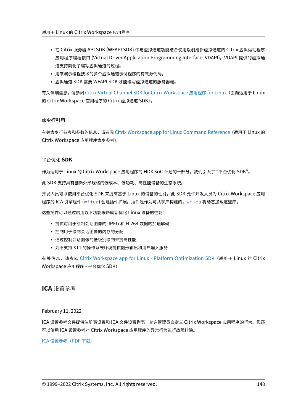- 在 Citrix 服务器 API SDK (WFAPI SDK) 中与虚拟通道功能结合使用以创建新虚拟通道的 Citrix 虚拟驱动程序 应用程序编程接口 (Virtual Driver Application Programming Interface, VDAPI)。VDAPI 提供的虚拟通 道支持简化了编写虚拟通道的过程。
- 用来演示编程技术的多个虚拟通道示例程序的有效源代码。
- 虚拟通道 SDK 需要 WFAPI SDK 才能编写虚拟通道的服务器端。

有关详细信息,请参阅 Citrix Virtual Channel SDK for Citrix Workspace 应用程序 for Linux(面向适用于 Linux 的 Citrix Workspace 应用程序的 Citrix 虚拟通道 SDK)。

# 命令行引用

有关命令行参考和参数的信息,请参阅 Citrix Workspace app for Linux Command Reference(适用于 Linux 的 Citrix Workspace 应用程序命令参考)。

# 平台优化 **SDK**

作为适用于 Linux 的 Citrix Workspace 应用程序的 HDX SoC 计划的一部分,我们引入了"平台优化 SDK"。

此 SDK 支持具有创新外形规格的低成本、低功耗、高性能设备的生态系统。

开发人员可以使用平台优化 SDK 来提高基于 Linux 的设备的性能。此 SDK 允许开发人员为 Citrix Workspace 应用 程序的 ICA 引擎组件 (wfica) 创建插件扩展。插件是作为可共享库构建的,wfica 将动态加载这些库。

这些插件可以通过启用以下功能来帮助您优化 Linux 设备的性能:

- 提供对用于绘制会话图像的 JPEG 和 H.264 数据的加速解码
- 控制用于绘制会话图像的内存的分配
- 通过控制会话图像的低级别绘制来提高性能
- 为不支持 X11 的操作系统环境提供图形输出和用户输入服务

有关信息,请参阅 Citrix Workspace app for Linux ‑ Platform Optimization SDK(适用于 Linux 的 Citrix Workspace 应用程序 ‑ 平台优化 SDK)。

**ICA** 设置参考

February 11, 2022

ICA 设置参考文件提供注册表设置和 ICA 文件设置列表,允许管理员自定义 Citrix Workspace 应用程序的行为。您还 可以使用 ICA 设置参考对 Citrix Workspace 应用程序的异常行为进行故障排除。

ICA 设置参考(PDF 下载)